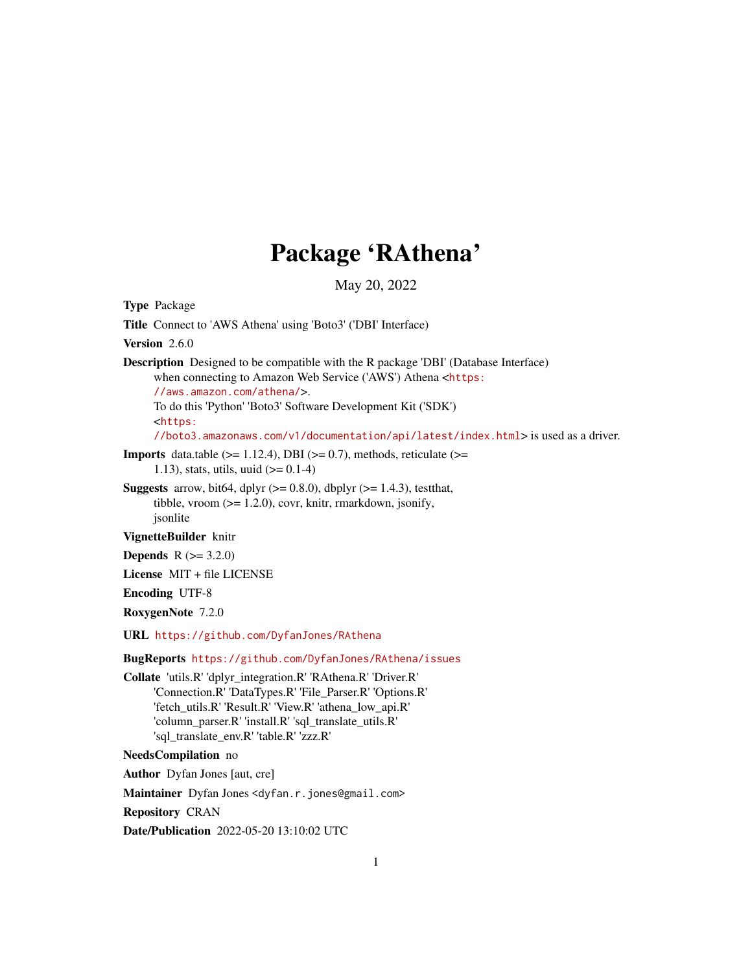## Package 'RAthena'

May 20, 2022

<span id="page-0-0"></span>Type Package Title Connect to 'AWS Athena' using 'Boto3' ('DBI' Interface) Version 2.6.0 Description Designed to be compatible with the R package 'DBI' (Database Interface) when connecting to Amazon Web Service ('AWS') Athena <[https:](https://aws.amazon.com/athena/) [//aws.amazon.com/athena/](https://aws.amazon.com/athena/)>. To do this 'Python' 'Boto3' Software Development Kit ('SDK') <[https:](https://boto3.amazonaws.com/v1/documentation/api/latest/index.html) [//boto3.amazonaws.com/v1/documentation/api/latest/index.html](https://boto3.amazonaws.com/v1/documentation/api/latest/index.html)> is used as a driver. **Imports** data.table  $(>= 1.12.4)$ , DBI  $(>= 0.7)$ , methods, reticulate  $(>= 1.12.4)$ 1.13), stats, utils, uuid  $(>= 0.1-4)$ **Suggests** arrow, bit64, dplyr  $(>= 0.8.0)$ , dbplyr  $(>= 1.4.3)$ , testthat, tibble, vroom  $(>= 1.2.0)$ , covr, knitr, rmarkdown, jsonify, jsonlite VignetteBuilder knitr **Depends**  $R (= 3.2.0)$ License MIT + file LICENSE Encoding UTF-8 RoxygenNote 7.2.0 URL <https://github.com/DyfanJones/RAthena> BugReports <https://github.com/DyfanJones/RAthena/issues> Collate 'utils.R' 'dplyr\_integration.R' 'RAthena.R' 'Driver.R' 'Connection.R' 'DataTypes.R' 'File\_Parser.R' 'Options.R' 'fetch\_utils.R' 'Result.R' 'View.R' 'athena\_low\_api.R' 'column\_parser.R' 'install.R' 'sql\_translate\_utils.R' 'sql\_translate\_env.R' 'table.R' 'zzz.R' NeedsCompilation no Author Dyfan Jones [aut, cre] Maintainer Dyfan Jones <dyfan.r.jones@gmail.com> Repository CRAN

Date/Publication 2022-05-20 13:10:02 UTC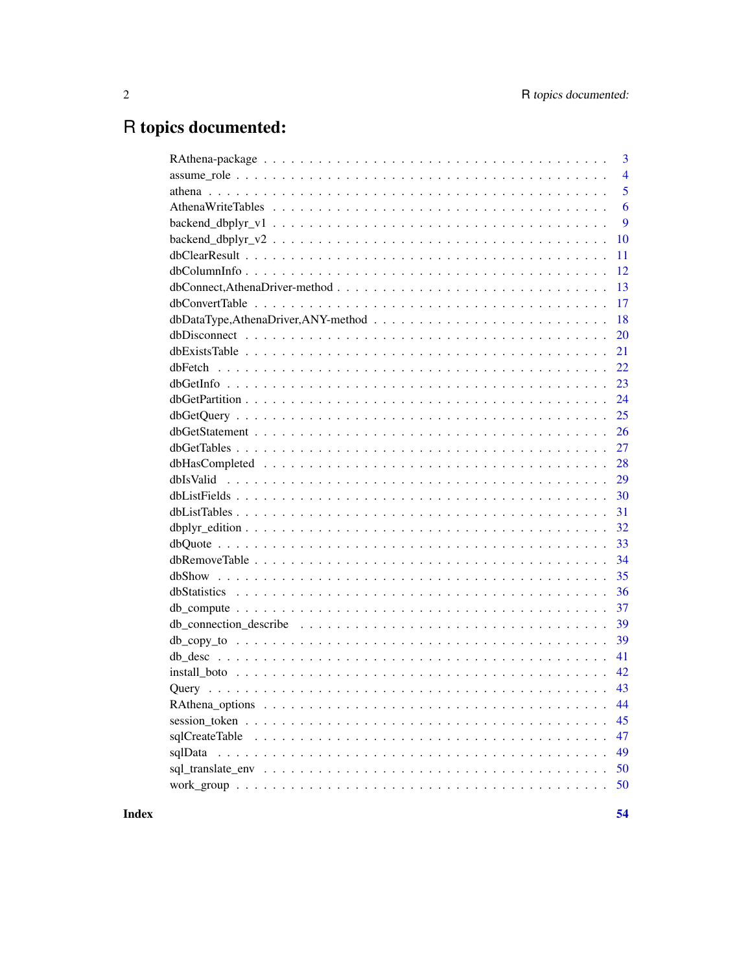# R topics documented:

| $\overline{3}$                                                                                                        |
|-----------------------------------------------------------------------------------------------------------------------|
| $\overline{4}$                                                                                                        |
| 5                                                                                                                     |
| 6                                                                                                                     |
| 9                                                                                                                     |
| $backend_d bplyr_v2 \ldots \ldots \ldots \ldots \ldots \ldots \ldots \ldots \ldots \ldots \ldots \ldots \ldots$<br>10 |
| 11                                                                                                                    |
| 12                                                                                                                    |
| 13                                                                                                                    |
| 17                                                                                                                    |
| 18                                                                                                                    |
| 20                                                                                                                    |
| 21                                                                                                                    |
| 22                                                                                                                    |
| 23                                                                                                                    |
| 24                                                                                                                    |
| 25                                                                                                                    |
| 26                                                                                                                    |
| 27                                                                                                                    |
| 28                                                                                                                    |
| 29                                                                                                                    |
| 30                                                                                                                    |
| 31                                                                                                                    |
| 32<br>$dbplyr\_edition \ldots \ldots \ldots \ldots \ldots \ldots \ldots \ldots \ldots \ldots \ldots \ldots \ldots$    |
| 33                                                                                                                    |
| 34                                                                                                                    |
| 35                                                                                                                    |
| 36                                                                                                                    |
| 37                                                                                                                    |
| 39                                                                                                                    |
| 39                                                                                                                    |
| 41                                                                                                                    |
| 42                                                                                                                    |
| 43                                                                                                                    |
|                                                                                                                       |
| 45                                                                                                                    |
| 47<br>sqlCreateTable                                                                                                  |
| 49<br>sqlData                                                                                                         |
| 50                                                                                                                    |
| 50                                                                                                                    |

**Index**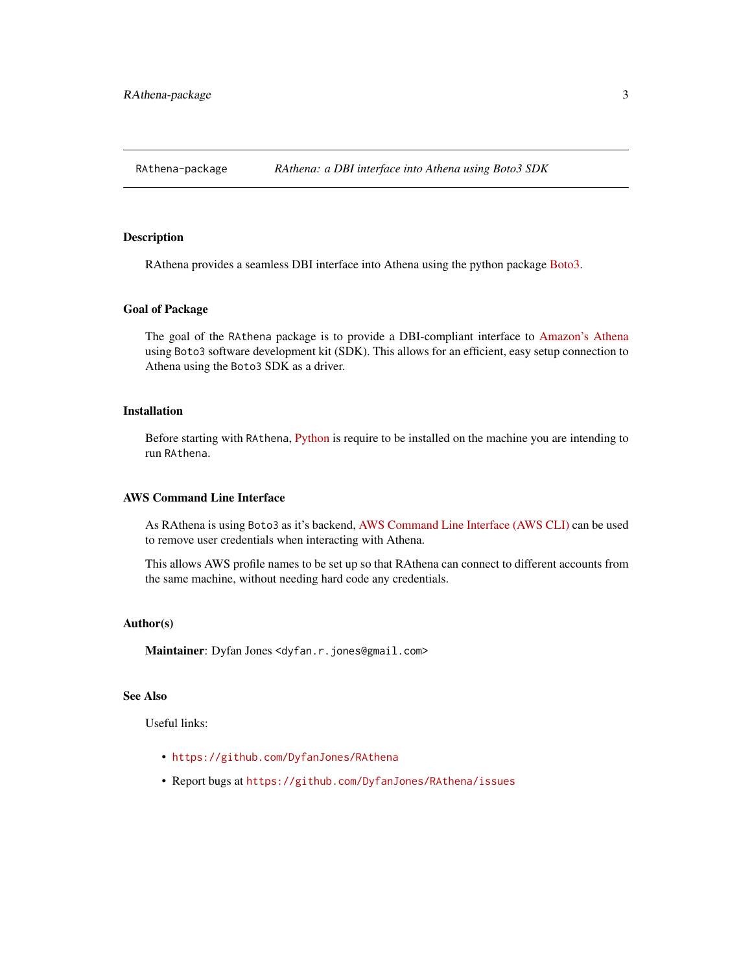<span id="page-2-0"></span>

## Description

RAthena provides a seamless DBI interface into Athena using the python package [Boto3.](https://boto3.amazonaws.com/v1/documentation/api/latest/index.html)

#### Goal of Package

The goal of the RAthena package is to provide a DBI-compliant interface to [Amazon's Athena](https://aws.amazon.com/athena/) using Boto3 software development kit (SDK). This allows for an efficient, easy setup connection to Athena using the Boto3 SDK as a driver.

#### Installation

Before starting with RAthena, [Python](https://www.python.org/) is require to be installed on the machine you are intending to run RAthena.

## AWS Command Line Interface

As RAthena is using Boto3 as it's backend, [AWS Command Line Interface \(AWS CLI\)](https://aws.amazon.com/cli/) can be used to remove user credentials when interacting with Athena.

This allows AWS profile names to be set up so that RAthena can connect to different accounts from the same machine, without needing hard code any credentials.

#### Author(s)

Maintainer: Dyfan Jones <dyfan.r.jones@gmail.com>

#### See Also

Useful links:

- <https://github.com/DyfanJones/RAthena>
- Report bugs at <https://github.com/DyfanJones/RAthena/issues>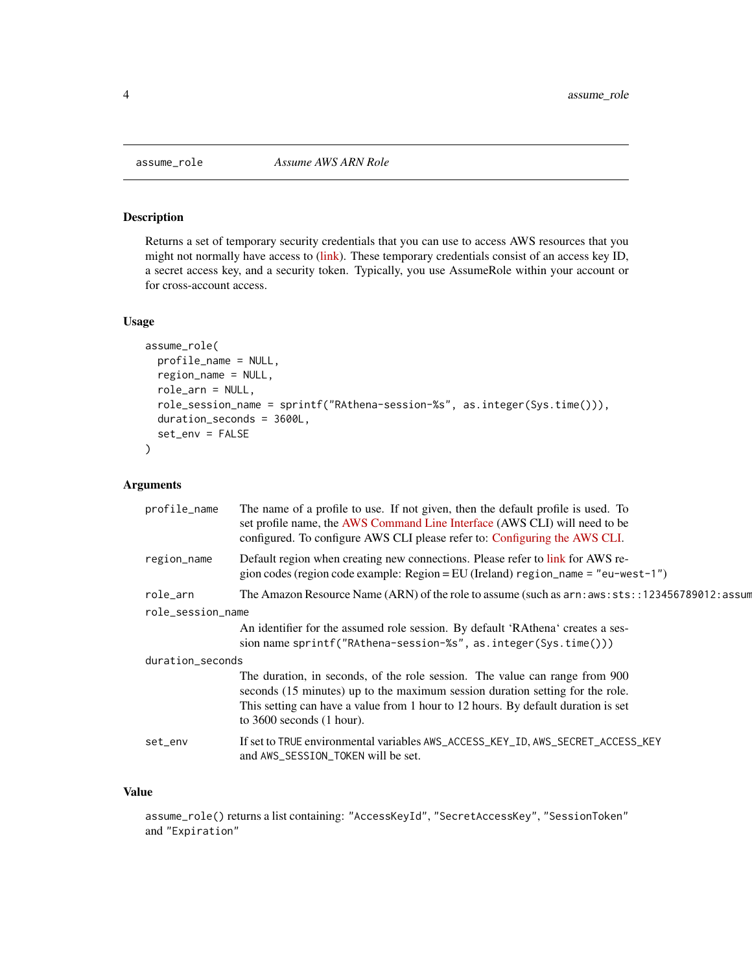<span id="page-3-0"></span>

#### Description

Returns a set of temporary security credentials that you can use to access AWS resources that you might not normally have access to [\(link\)](https://boto3.amazonaws.com/v1/documentation/api/latest/reference/services/sts.html#STS.Client.assume_role). These temporary credentials consist of an access key ID, a secret access key, and a security token. Typically, you use AssumeRole within your account or for cross-account access.

#### Usage

```
assume_role(
 profile_name = NULL,
  region_name = NULL,
  role_arn = NULL,
  role_session_name = sprintf("RAthena-session-%s", as.integer(Sys.time())),
  duration_seconds = 3600L,
  set_env = FALSE
)
```
## Arguments

| profile_name      | The name of a profile to use. If not given, then the default profile is used. To<br>set profile name, the AWS Command Line Interface (AWS CLI) will need to be<br>configured. To configure AWS CLI please refer to: Configuring the AWS CLI.                                       |
|-------------------|------------------------------------------------------------------------------------------------------------------------------------------------------------------------------------------------------------------------------------------------------------------------------------|
| region_name       | Default region when creating new connections. Please refer to link for AWS re-<br>gion codes (region code example: Region = EU (Ireland) region_name = $"eu-west-1"$ )                                                                                                             |
| role_arn          | The Amazon Resource Name (ARN) of the role to assume (such as $arn:aws:sts::123456789012:assum$                                                                                                                                                                                    |
| role_session_name |                                                                                                                                                                                                                                                                                    |
|                   | An identifier for the assumed role session. By default 'RAthena' creates a ses-<br>sion name sprintf("RAthena-session-%s", as.integer(Sys.time()))                                                                                                                                 |
| duration_seconds  |                                                                                                                                                                                                                                                                                    |
|                   | The duration, in seconds, of the role session. The value can range from 900<br>seconds (15 minutes) up to the maximum session duration setting for the role.<br>This setting can have a value from 1 hour to 12 hours. By default duration is set<br>to $3600$ seconds $(1$ hour). |
| set_env           | If set to TRUE environmental variables AWS_ACCESS_KEY_ID, AWS_SECRET_ACCESS_KEY<br>and AWS_SESSION_TOKEN will be set.                                                                                                                                                              |
|                   |                                                                                                                                                                                                                                                                                    |

## Value

assume\_role() returns a list containing: "AccessKeyId", "SecretAccessKey", "SessionToken" and "Expiration"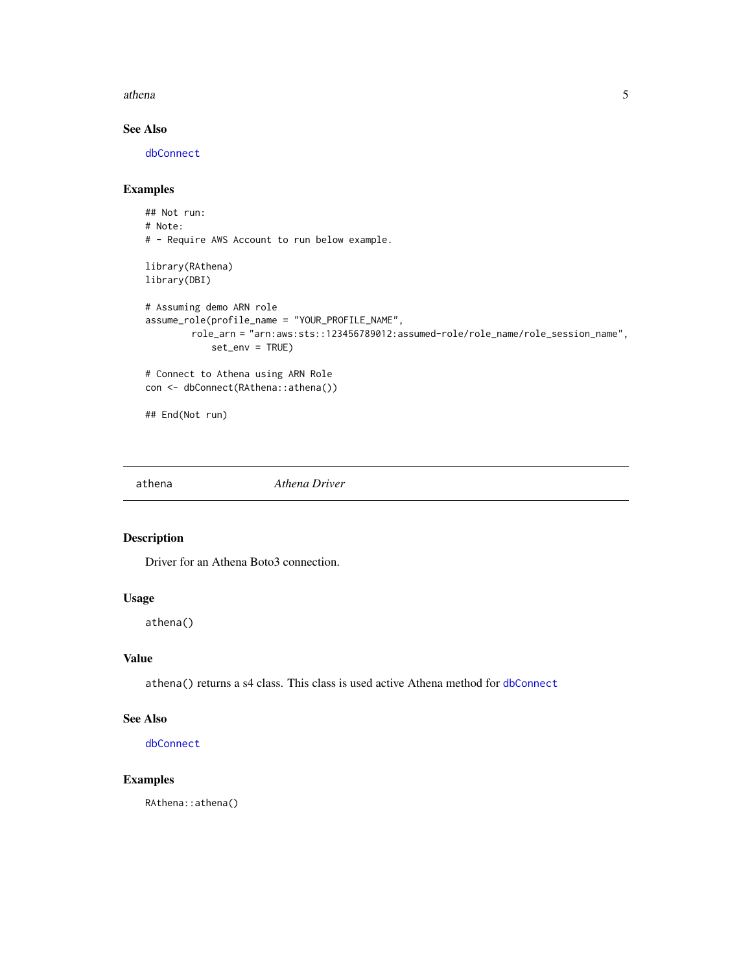#### <span id="page-4-0"></span>athena 5

## See Also

[dbConnect](#page-12-1)

## Examples

```
## Not run:
# Note:
# - Require AWS Account to run below example.
library(RAthena)
library(DBI)
# Assuming demo ARN role
assume_role(profile_name = "YOUR_PROFILE_NAME",
        role_arn = "arn:aws:sts::123456789012:assumed-role/role_name/role_session_name",
            set_env = TRUE)
# Connect to Athena using ARN Role
con <- dbConnect(RAthena::athena())
## End(Not run)
```
athena *Athena Driver*

## Description

Driver for an Athena Boto3 connection.

## Usage

athena()

#### Value

athena() returns a s4 class. This class is used active Athena method for [dbConnect](#page-12-1)

#### See Also

[dbConnect](#page-12-1)

## Examples

RAthena::athena()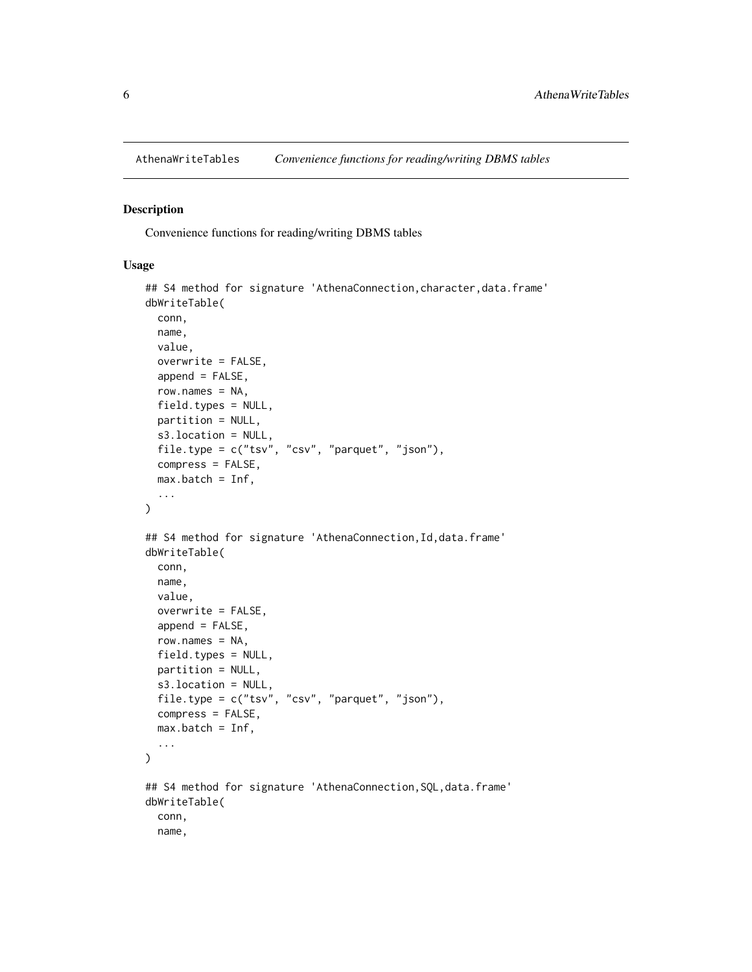<span id="page-5-1"></span><span id="page-5-0"></span>

#### Description

Convenience functions for reading/writing DBMS tables

#### Usage

```
## S4 method for signature 'AthenaConnection, character, data.frame'
dbWriteTable(
  conn,
 name,
 value,
 overwrite = FALSE,
  append = FALSE,row.name s = NA,
 field.types = NULL,
 partition = NULL,
  s3.location = NULL,
  file.type = c("tsv", "csv", "parquet", "json"),
 compress = FALSE,
 max.batch = Inf,...
\lambda## S4 method for signature 'AthenaConnection, Id, data.frame'
dbWriteTable(
 conn,
 name,
  value,
 overwrite = FALSE,
  append = FALSE,row.names = NA,
 field.types = NULL,
 partition = NULL,
 s3.location = NULL,
  file.type = c("tsv", "csv", "parquet", "json"),
 compress = FALSE,
 max.batch = Inf,...
\mathcal{L}## S4 method for signature 'AthenaConnection, SQL, data.frame'
dbWriteTable(
  conn,
 name,
```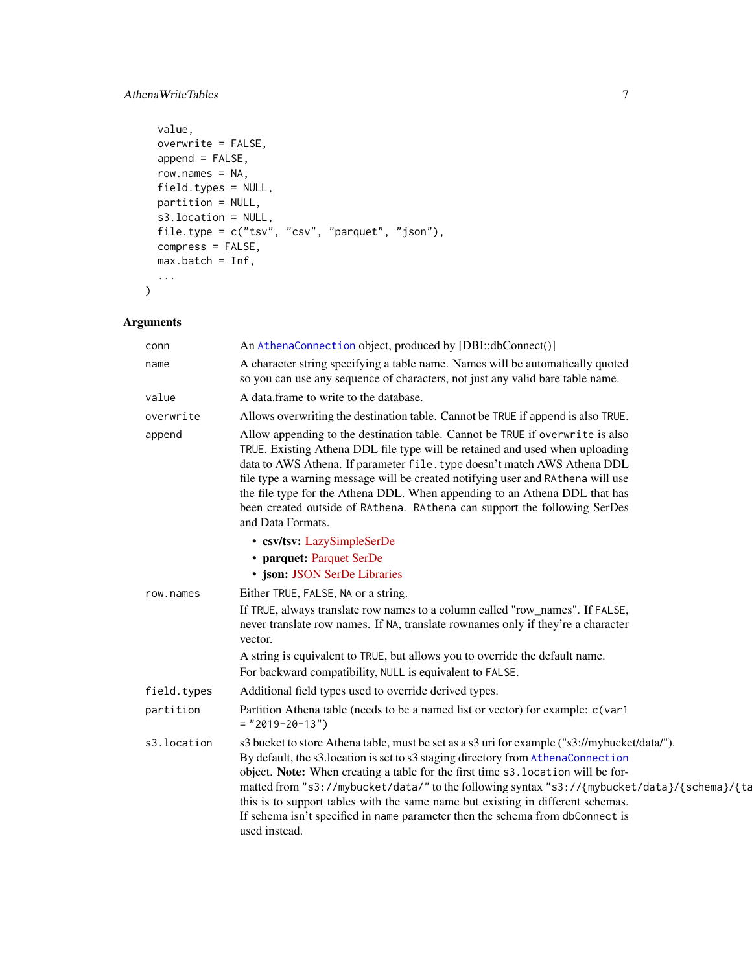## <span id="page-6-0"></span>AthenaWriteTables 7

```
value,
 overwrite = FALSE,
 append = FALSE,row.names = NA,
 field.types = NULL,
 partition = NULL,
 s3.location = NULL,
 file.type = c("tsv", "csv", "parquet", "json"),
 compress = FALSE,
 max.batch = Inf,
  ...
\mathcal{L}
```

| conn        | An AthenaConnection object, produced by [DBI::dbConnect()]                                                                                                                                                                                                                                                                                                                                                                                                                                                                                                 |
|-------------|------------------------------------------------------------------------------------------------------------------------------------------------------------------------------------------------------------------------------------------------------------------------------------------------------------------------------------------------------------------------------------------------------------------------------------------------------------------------------------------------------------------------------------------------------------|
| name        | A character string specifying a table name. Names will be automatically quoted<br>so you can use any sequence of characters, not just any valid bare table name.                                                                                                                                                                                                                                                                                                                                                                                           |
| value       | A data.frame to write to the database.                                                                                                                                                                                                                                                                                                                                                                                                                                                                                                                     |
| overwrite   | Allows overwriting the destination table. Cannot be TRUE if append is also TRUE.                                                                                                                                                                                                                                                                                                                                                                                                                                                                           |
| append      | Allow appending to the destination table. Cannot be TRUE if overwrite is also<br>TRUE. Existing Athena DDL file type will be retained and used when uploading<br>data to AWS Athena. If parameter file. type doesn't match AWS Athena DDL<br>file type a warning message will be created notifying user and RAthena will use<br>the file type for the Athena DDL. When appending to an Athena DDL that has<br>been created outside of RAthena. RAthena can support the following SerDes<br>and Data Formats.                                               |
|             | • csv/tsv: LazySimpleSerDe                                                                                                                                                                                                                                                                                                                                                                                                                                                                                                                                 |
|             | • parquet: Parquet SerDe                                                                                                                                                                                                                                                                                                                                                                                                                                                                                                                                   |
|             | · json: JSON SerDe Libraries                                                                                                                                                                                                                                                                                                                                                                                                                                                                                                                               |
| row.names   | Either TRUE, FALSE, NA or a string.                                                                                                                                                                                                                                                                                                                                                                                                                                                                                                                        |
|             | If TRUE, always translate row names to a column called "row_names". If FALSE,<br>never translate row names. If NA, translate rownames only if they're a character<br>vector.                                                                                                                                                                                                                                                                                                                                                                               |
|             | A string is equivalent to TRUE, but allows you to override the default name.                                                                                                                                                                                                                                                                                                                                                                                                                                                                               |
|             | For backward compatibility, NULL is equivalent to FALSE.                                                                                                                                                                                                                                                                                                                                                                                                                                                                                                   |
| field.types | Additional field types used to override derived types.                                                                                                                                                                                                                                                                                                                                                                                                                                                                                                     |
| partition   | Partition Athena table (needs to be a named list or vector) for example: c(var1<br>$=$ "2019-20-13")                                                                                                                                                                                                                                                                                                                                                                                                                                                       |
| s3.location | s3 bucket to store Athena table, must be set as a s3 uri for example ("s3://mybucket/data/").<br>By default, the s3.location is set to s3 staging directory from AthenaConnection<br>object. Note: When creating a table for the first time s3. location will be for-<br>matted from "s3://mybucket/data/" to the following syntax "s3://{mybucket/data}/{schema}/{ta<br>this is to support tables with the same name but existing in different schemas.<br>If schema isn't specified in name parameter then the schema from dbConnect is<br>used instead. |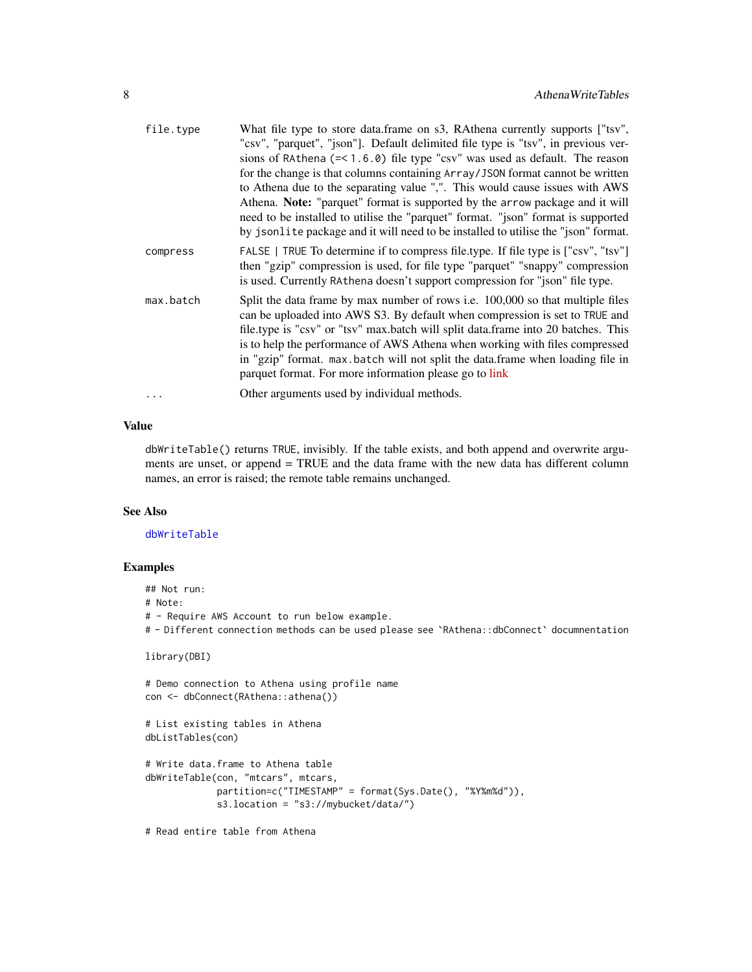<span id="page-7-0"></span>

| file.type | What file type to store data.frame on s3, RAthena currently supports ["tsv",<br>"csv", "parquet", "json"]. Default delimited file type is "tsv", in previous ver-<br>sions of RAthena $(= < 1.6.0)$ file type "csv" was used as default. The reason<br>for the change is that columns containing Array/JS0N format cannot be written<br>to Athena due to the separating value ",". This would cause issues with AWS<br>Athena. Note: "parquet" format is supported by the arrow package and it will<br>need to be installed to utilise the "parquet" format. "json" format is supported<br>by jsonlite package and it will need to be installed to utilise the "json" format. |
|-----------|-------------------------------------------------------------------------------------------------------------------------------------------------------------------------------------------------------------------------------------------------------------------------------------------------------------------------------------------------------------------------------------------------------------------------------------------------------------------------------------------------------------------------------------------------------------------------------------------------------------------------------------------------------------------------------|
| compress  | FALSE   TRUE To determine if to compress file.type. If file type is ["csv", "tsv"]<br>then "gzip" compression is used, for file type "parquet" "snappy" compression<br>is used. Currently RAthena doesn't support compression for "json" file type.                                                                                                                                                                                                                                                                                                                                                                                                                           |
| max.batch | Split the data frame by max number of rows <i>i.e.</i> 100,000 so that multiple files<br>can be uploaded into AWS S3. By default when compression is set to TRUE and<br>file.type is "csv" or "tsv" max.batch will split data.frame into 20 batches. This<br>is to help the performance of AWS Athena when working with files compressed<br>in "gzip" format. max.batch will not split the data.frame when loading file in<br>parquet format. For more information please go to link                                                                                                                                                                                          |
|           | Other arguments used by individual methods.                                                                                                                                                                                                                                                                                                                                                                                                                                                                                                                                                                                                                                   |

## Value

dbWriteTable() returns TRUE, invisibly. If the table exists, and both append and overwrite arguments are unset, or append = TRUE and the data frame with the new data has different column names, an error is raised; the remote table remains unchanged.

## See Also

[dbWriteTable](#page-0-0)

## Examples

## Not run: # Note: # - Require AWS Account to run below example. # - Different connection methods can be used please see `RAthena::dbConnect` documnentation library(DBI) # Demo connection to Athena using profile name con <- dbConnect(RAthena::athena()) # List existing tables in Athena dbListTables(con)

```
# Write data.frame to Athena table
dbWriteTable(con, "mtcars", mtcars,
            partition=c("TIMESTAMP" = format(Sys.Date(), "%Y%m%d")),
             s3.location = "s3://mybucket/data/")
```
# Read entire table from Athena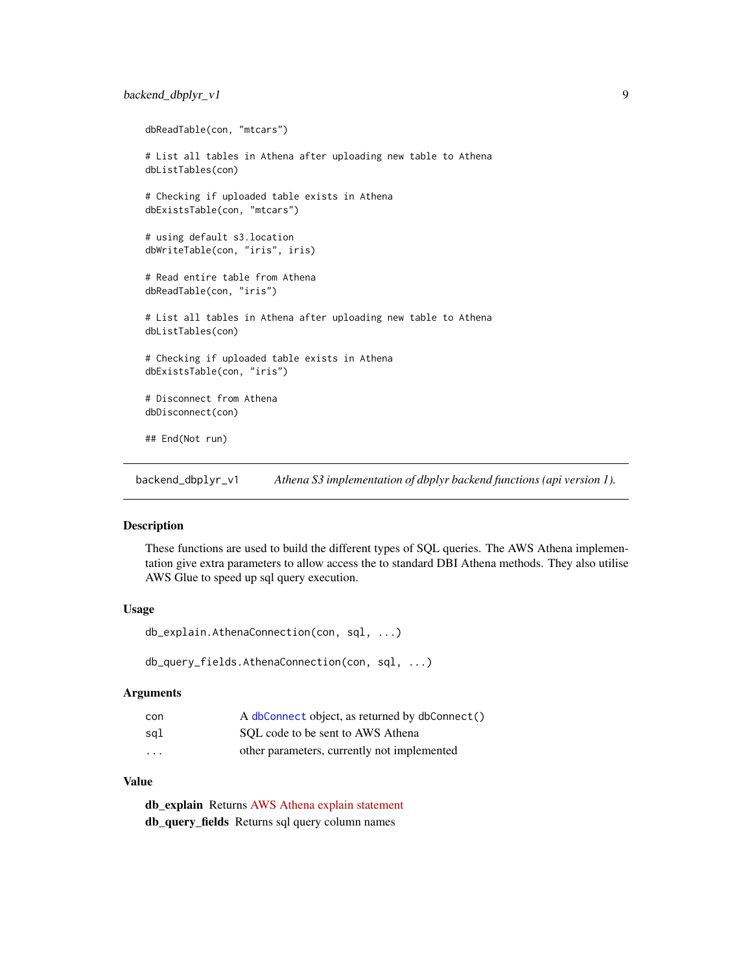## <span id="page-8-0"></span>backend\_dbplyr\_v1 9

```
dbReadTable(con, "mtcars")
# List all tables in Athena after uploading new table to Athena
dbListTables(con)
# Checking if uploaded table exists in Athena
dbExistsTable(con, "mtcars")
# using default s3.location
dbWriteTable(con, "iris", iris)
# Read entire table from Athena
dbReadTable(con, "iris")
# List all tables in Athena after uploading new table to Athena
dbListTables(con)
# Checking if uploaded table exists in Athena
dbExistsTable(con, "iris")
# Disconnect from Athena
dbDisconnect(con)
## End(Not run)
```
<span id="page-8-1"></span>backend\_dbplyr\_v1 *Athena S3 implementation of dbplyr backend functions (api version 1).*

#### Description

These functions are used to build the different types of SQL queries. The AWS Athena implementation give extra parameters to allow access the to standard DBI Athena methods. They also utilise AWS Glue to speed up sql query execution.

#### Usage

```
db_explain.AthenaConnection(con, sql, ...)
```
db\_query\_fields.AthenaConnection(con, sql, ...)

#### Arguments

| con                     | A dbConnect object, as returned by dbConnect() |
|-------------------------|------------------------------------------------|
| sal                     | SOL code to be sent to AWS Athena              |
| $\cdot$ $\cdot$ $\cdot$ | other parameters, currently not implemented    |

## Value

db\_explain Returns [AWS Athena explain statement](https://docs.aws.amazon.com/athena/latest/ug/athena-explain-statement.html) db\_query\_fields Returns sql query column names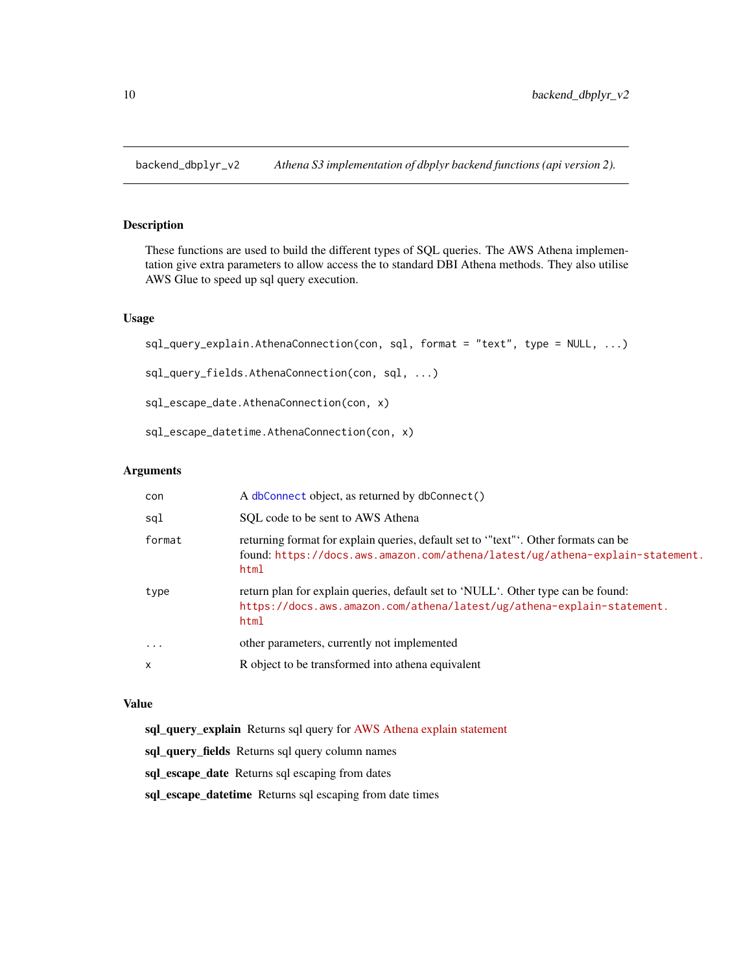<span id="page-9-1"></span><span id="page-9-0"></span>backend\_dbplyr\_v2 *Athena S3 implementation of dbplyr backend functions (api version 2).*

## Description

These functions are used to build the different types of SQL queries. The AWS Athena implementation give extra parameters to allow access the to standard DBI Athena methods. They also utilise AWS Glue to speed up sql query execution.

## Usage

```
sql_query_explain.AthenaConnection(con, sql, format = "text", type = NULL, ...)
sql_query_fields.AthenaConnection(con, sql, ...)
sql_escape_date.AthenaConnection(con, x)
sql_escape_datetime.AthenaConnection(con, x)
```
#### Arguments

| con    | A dbConnect object, as returned by dbConnect()                                                                                                                             |
|--------|----------------------------------------------------------------------------------------------------------------------------------------------------------------------------|
| sql    | SOL code to be sent to AWS Athena                                                                                                                                          |
| format | returning format for explain queries, default set to "text". Other formats can be<br>found: https://docs.aws.amazon.com/athena/latest/ug/athena-explain-statement.<br>html |
| type   | return plan for explain queries, default set to 'NULL'. Other type can be found:<br>https://docs.aws.amazon.com/athena/latest/ug/athena-explain-statement.<br>html         |
| .      | other parameters, currently not implemented                                                                                                                                |
| X      | R object to be transformed into athena equivalent                                                                                                                          |

#### Value

sql\_query\_explain Returns sql query for [AWS Athena explain statement](https://docs.aws.amazon.com/athena/latest/ug/athena-explain-statement.html)

sql\_query\_fields Returns sql query column names

sql\_escape\_date Returns sql escaping from dates

sql\_escape\_datetime Returns sql escaping from date times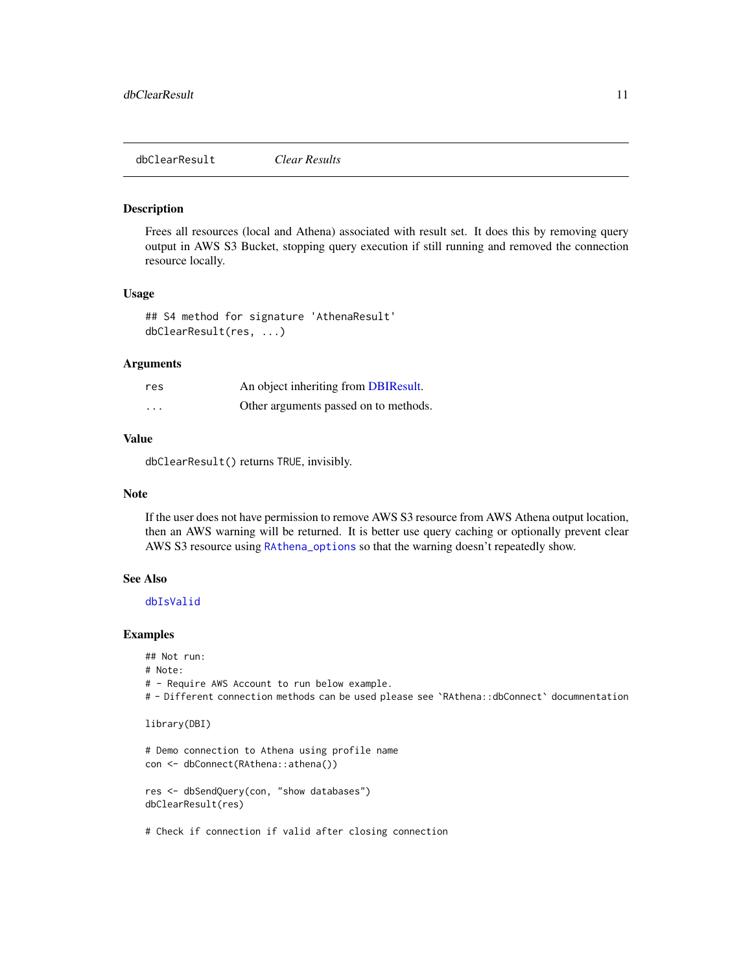## <span id="page-10-0"></span>Description

Frees all resources (local and Athena) associated with result set. It does this by removing query output in AWS S3 Bucket, stopping query execution if still running and removed the connection resource locally.

#### Usage

```
## S4 method for signature 'AthenaResult'
dbClearResult(res, ...)
```
#### Arguments

| res      | An object inheriting from DBIResult.  |
|----------|---------------------------------------|
| $\cdots$ | Other arguments passed on to methods. |

## Value

dbClearResult() returns TRUE, invisibly.

## Note

If the user does not have permission to remove AWS S3 resource from AWS Athena output location, then an AWS warning will be returned. It is better use query caching or optionally prevent clear AWS S3 resource using [RAthena\\_options](#page-43-1) so that the warning doesn't repeatedly show.

#### See Also

#### [dbIsValid](#page-28-1)

## Examples

```
## Not run:
```

```
# Note:
```
# - Require AWS Account to run below example.

# - Different connection methods can be used please see `RAthena::dbConnect` documnentation

```
library(DBI)
```

```
# Demo connection to Athena using profile name
con <- dbConnect(RAthena::athena())
```

```
res <- dbSendQuery(con, "show databases")
dbClearResult(res)
```
# Check if connection if valid after closing connection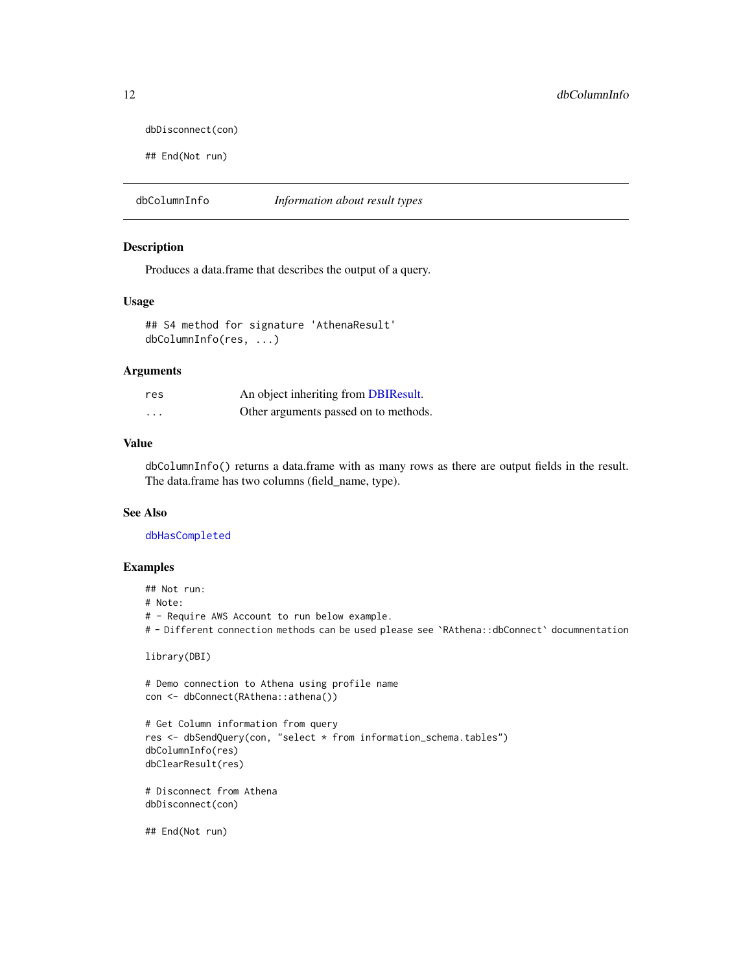```
dbDisconnect(con)
```

```
## End(Not run)
```
dbColumnInfo *Information about result types*

#### Description

Produces a data.frame that describes the output of a query.

#### Usage

```
## S4 method for signature 'AthenaResult'
dbColumnInfo(res, ...)
```
## Arguments

| res | An object inheriting from DBIResult.  |
|-----|---------------------------------------|
| .   | Other arguments passed on to methods. |

#### Value

dbColumnInfo() returns a data.frame with as many rows as there are output fields in the result. The data.frame has two columns (field\_name, type).

## See Also

[dbHasCompleted](#page-27-1)

## Examples

## Not run: # Note: # - Require AWS Account to run below example. # - Different connection methods can be used please see `RAthena::dbConnect` documnentation

library(DBI)

```
# Demo connection to Athena using profile name
con <- dbConnect(RAthena::athena())
```

```
# Get Column information from query
res <- dbSendQuery(con, "select * from information_schema.tables")
dbColumnInfo(res)
dbClearResult(res)
```

```
# Disconnect from Athena
dbDisconnect(con)
```
## End(Not run)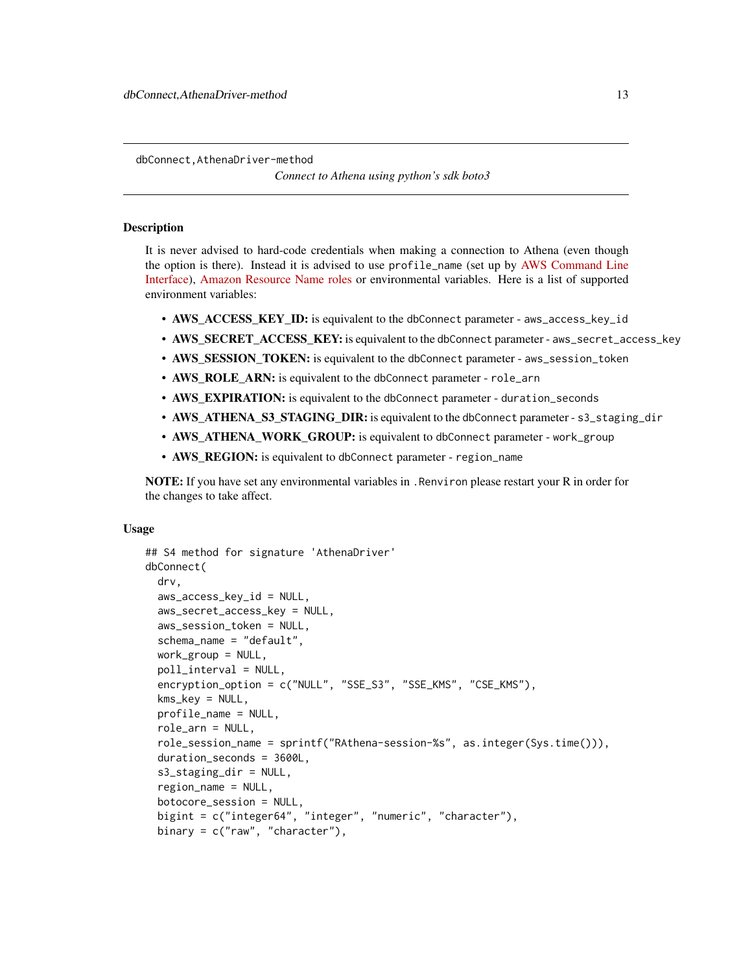<span id="page-12-0"></span>dbConnect,AthenaDriver-method

*Connect to Athena using python's sdk boto3*

#### <span id="page-12-1"></span>**Description**

It is never advised to hard-code credentials when making a connection to Athena (even though the option is there). Instead it is advised to use profile\_name (set up by [AWS Command Line](https://aws.amazon.com/cli/) [Interface\)](https://aws.amazon.com/cli/), [Amazon Resource Name roles](https://docs.aws.amazon.com/general/latest/gr/aws-arns-and-namespaces.html) or environmental variables. Here is a list of supported environment variables:

- AWS ACCESS KEY ID: is equivalent to the dbConnect parameter aws\_access\_key\_id
- AWS\_SECRET\_ACCESS\_KEY: is equivalent to the dbConnect parameter aws\_secret\_access\_key
- AWS\_SESSION\_TOKEN: is equivalent to the dbConnect parameter aws\_session\_token
- AWS\_ROLE\_ARN: is equivalent to the dbConnect parameter role\_arn
- AWS\_EXPIRATION: is equivalent to the dbConnect parameter duration\_seconds
- AWS\_ATHENA\_S3\_STAGING\_DIR: is equivalent to the dbConnect parameter s3\_staging\_dir
- AWS\_ATHENA\_WORK\_GROUP: is equivalent to dbConnect parameter work\_group
- AWS\_REGION: is equivalent to dbConnect parameter region\_name

**NOTE:** If you have set any environmental variables in . Renviron please restart your R in order for the changes to take affect.

#### Usage

```
## S4 method for signature 'AthenaDriver'
dbConnect(
  drv,
  aws_access_key_id = NULL,
  aws_secret_access_key = NULL,
  aws_session_token = NULL,
  schema_name = "default",
  work_group = NULL,
  poll_interval = NULL,
  encryption_option = c("NULL", "SSE_S3", "SSE_KMS", "CSE_KMS"),
  kms_key = NULL,
  profile_name = NULL,
  role_arn = NULL,
  role_session_name = sprintf("RAthena-session-%s", as.integer(Sys.time())),
  duration_seconds = 3600L,
  s3_staging_dir = NULL,
  region_name = NULL,
  botocore_session = NULL,
  bigint = c("integer64", "integer", "numeric", "character"),
  binary = c("raw", "character"),
```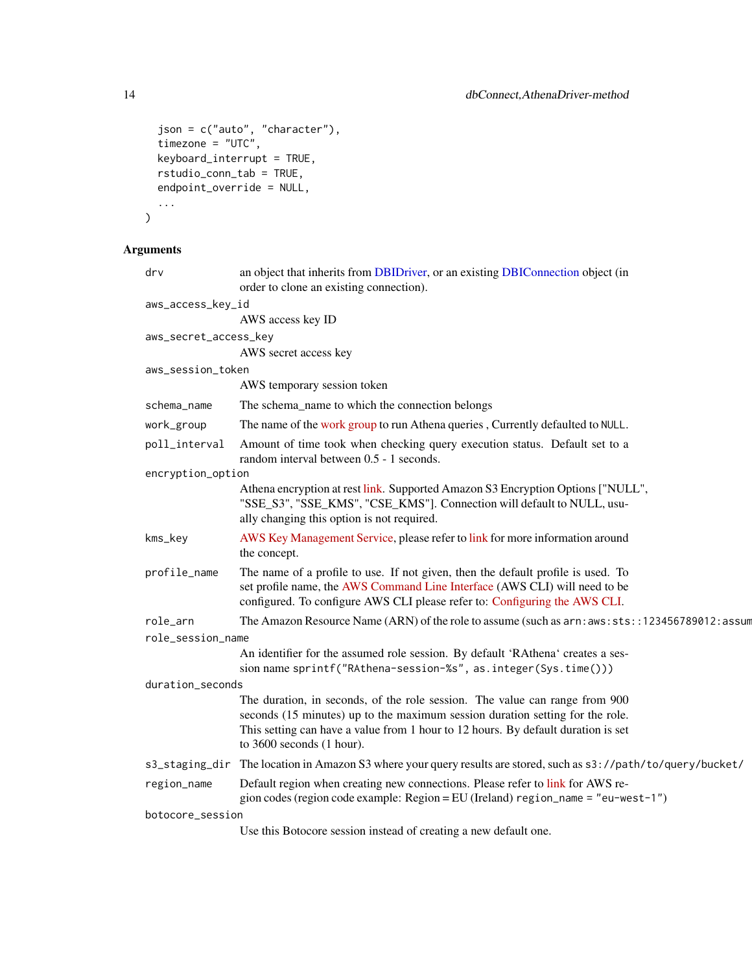```
json = c("auto", "character"),
  timezone = "UTC",
 keyboard_interrupt = TRUE,
 rstudio_conn_tab = TRUE,
 endpoint_override = NULL,
  ...
\mathcal{L}
```

|                   | drv                   | an object that inherits from DBIDriver, or an existing DBIConnection object (in<br>order to clone an existing connection).                                                                                                                                                     |  |
|-------------------|-----------------------|--------------------------------------------------------------------------------------------------------------------------------------------------------------------------------------------------------------------------------------------------------------------------------|--|
| aws_access_key_id |                       |                                                                                                                                                                                                                                                                                |  |
|                   |                       | AWS access key ID                                                                                                                                                                                                                                                              |  |
|                   | aws_secret_access_key |                                                                                                                                                                                                                                                                                |  |
|                   |                       | AWS secret access key                                                                                                                                                                                                                                                          |  |
|                   | aws_session_token     |                                                                                                                                                                                                                                                                                |  |
|                   |                       | AWS temporary session token                                                                                                                                                                                                                                                    |  |
|                   | schema_name           | The schema_name to which the connection belongs                                                                                                                                                                                                                                |  |
|                   | work_group            | The name of the work group to run Athena queries, Currently defaulted to NULL.                                                                                                                                                                                                 |  |
|                   | poll_interval         | Amount of time took when checking query execution status. Default set to a<br>random interval between 0.5 - 1 seconds.                                                                                                                                                         |  |
|                   | encryption_option     |                                                                                                                                                                                                                                                                                |  |
|                   |                       | Athena encryption at rest link. Supported Amazon S3 Encryption Options ["NULL",<br>"SSE_S3", "SSE_KMS", "CSE_KMS"]. Connection will default to NULL, usu-<br>ally changing this option is not required.                                                                        |  |
|                   | kms_key               | AWS Key Management Service, please refer to link for more information around<br>the concept.                                                                                                                                                                                   |  |
|                   | profile_name          | The name of a profile to use. If not given, then the default profile is used. To<br>set profile name, the AWS Command Line Interface (AWS CLI) will need to be<br>configured. To configure AWS CLI please refer to: Configuring the AWS CLI.                                   |  |
|                   | role_arn              | The Amazon Resource Name (ARN) of the role to assume (such as arn: aws:sts::123456789012:assum                                                                                                                                                                                 |  |
| role_session_name |                       |                                                                                                                                                                                                                                                                                |  |
|                   |                       | An identifier for the assumed role session. By default 'RAthena' creates a ses-<br>sion name sprintf("RAthena-session-%s", as.integer(Sys.time()))                                                                                                                             |  |
|                   | duration_seconds      |                                                                                                                                                                                                                                                                                |  |
|                   |                       | The duration, in seconds, of the role session. The value can range from 900<br>seconds (15 minutes) up to the maximum session duration setting for the role.<br>This setting can have a value from 1 hour to 12 hours. By default duration is set<br>to 3600 seconds (1 hour). |  |
|                   |                       | s3_staging_dir The location in Amazon S3 where your query results are stored, such as s3://path/to/query/bucket/                                                                                                                                                               |  |
|                   | region_name           | Default region when creating new connections. Please refer to link for AWS re-<br>gion codes (region code example: Region = EU (Ireland) region_name = "eu-west-1")                                                                                                            |  |
|                   | botocore_session      |                                                                                                                                                                                                                                                                                |  |
|                   |                       | Use this Botocore session instead of creating a new default one.                                                                                                                                                                                                               |  |

<span id="page-13-0"></span>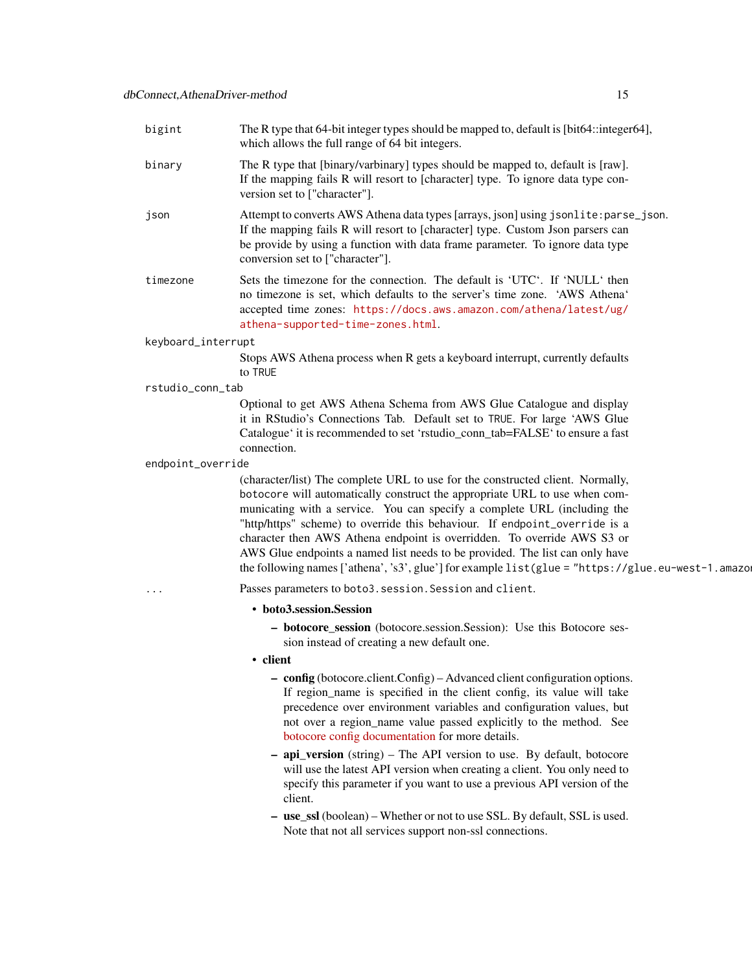| bigint             | The R type that 64-bit integer types should be mapped to, default is [bit64::integer64],<br>which allows the full range of 64 bit integers.                                                                                                                                                                                                                                                                                                                                                                                                                                                     |
|--------------------|-------------------------------------------------------------------------------------------------------------------------------------------------------------------------------------------------------------------------------------------------------------------------------------------------------------------------------------------------------------------------------------------------------------------------------------------------------------------------------------------------------------------------------------------------------------------------------------------------|
| binary             | The R type that [binary/varbinary] types should be mapped to, default is [raw].<br>If the mapping fails R will resort to [character] type. To ignore data type con-<br>version set to ["character"].                                                                                                                                                                                                                                                                                                                                                                                            |
| json               | Attempt to converts AWS Athena data types [arrays, json] using jsonlite: parse_json.<br>If the mapping fails R will resort to [character] type. Custom Json parsers can<br>be provide by using a function with data frame parameter. To ignore data type<br>conversion set to ["character"].                                                                                                                                                                                                                                                                                                    |
| timezone           | Sets the timezone for the connection. The default is 'UTC'. If 'NULL' then<br>no timezone is set, which defaults to the server's time zone. 'AWS Athena'<br>accepted time zones: https://docs.aws.amazon.com/athena/latest/ug/<br>athena-supported-time-zones.html.                                                                                                                                                                                                                                                                                                                             |
| keyboard_interrupt |                                                                                                                                                                                                                                                                                                                                                                                                                                                                                                                                                                                                 |
|                    | Stops AWS Athena process when R gets a keyboard interrupt, currently defaults<br>to TRUE                                                                                                                                                                                                                                                                                                                                                                                                                                                                                                        |
| rstudio_conn_tab   |                                                                                                                                                                                                                                                                                                                                                                                                                                                                                                                                                                                                 |
|                    | Optional to get AWS Athena Schema from AWS Glue Catalogue and display<br>it in RStudio's Connections Tab. Default set to TRUE. For large 'AWS Glue<br>Catalogue' it is recommended to set 'rstudio_conn_tab=FALSE' to ensure a fast<br>connection.                                                                                                                                                                                                                                                                                                                                              |
| endpoint_override  |                                                                                                                                                                                                                                                                                                                                                                                                                                                                                                                                                                                                 |
|                    | (character/list) The complete URL to use for the constructed client. Normally,<br>botocore will automatically construct the appropriate URL to use when com-<br>municating with a service. You can specify a complete URL (including the<br>"http/https" scheme) to override this behaviour. If endpoint_override is a<br>character then AWS Athena endpoint is overridden. To override AWS S3 or<br>AWS Glue endpoints a named list needs to be provided. The list can only have<br>the following names ['athena', 's3', glue'] for example $list(glue = "https://glue.eu-west-1.annotation")$ |
| .                  | Passes parameters to boto3. session. Session and client.                                                                                                                                                                                                                                                                                                                                                                                                                                                                                                                                        |
|                    | • boto3.session.Session                                                                                                                                                                                                                                                                                                                                                                                                                                                                                                                                                                         |
|                    | - botocore_session (botocore.session.Session): Use this Botocore ses-<br>sion instead of creating a new default one.                                                                                                                                                                                                                                                                                                                                                                                                                                                                            |
|                    | • client                                                                                                                                                                                                                                                                                                                                                                                                                                                                                                                                                                                        |
|                    | - config (botocore.client.Config) – Advanced client configuration options.<br>If region_name is specified in the client config, its value will take<br>precedence over environment variables and configuration values, but                                                                                                                                                                                                                                                                                                                                                                      |

client. – use\_ssl (boolean) – Whether or not to use SSL. By default, SSL is used. Note that not all services support non-ssl connections.

specify this parameter if you want to use a previous API version of the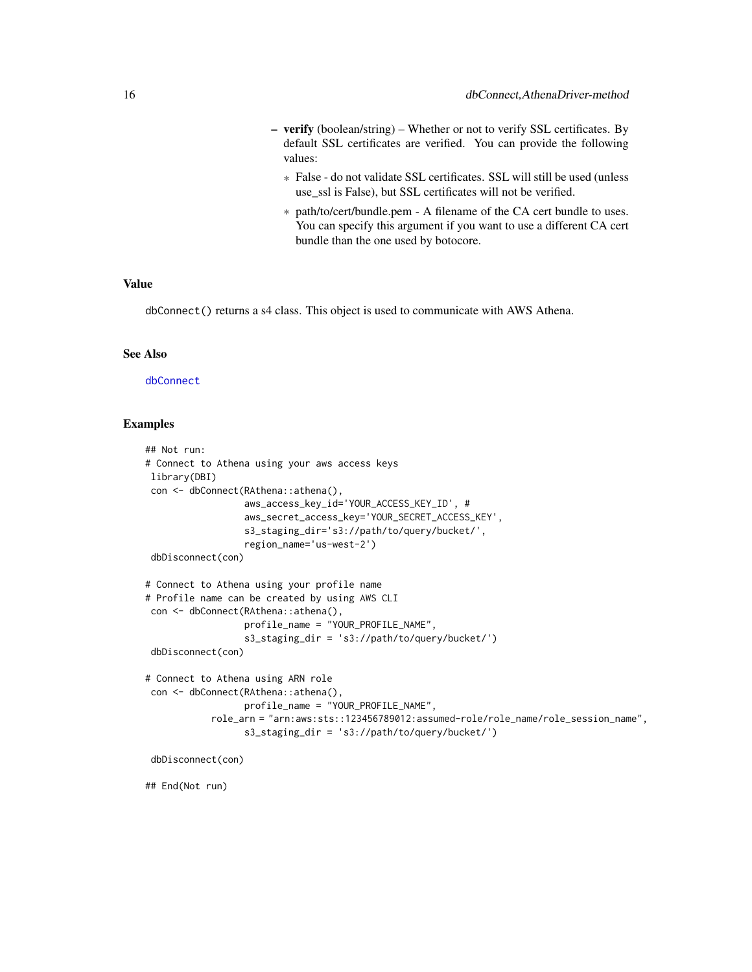- <span id="page-15-0"></span>– verify (boolean/string) – Whether or not to verify SSL certificates. By default SSL certificates are verified. You can provide the following values:
	- \* False do not validate SSL certificates. SSL will still be used (unless use ssl is False), but SSL certificates will not be verified.
	- \* path/to/cert/bundle.pem A filename of the CA cert bundle to uses. You can specify this argument if you want to use a different CA cert bundle than the one used by botocore.

#### Value

dbConnect() returns a s4 class. This object is used to communicate with AWS Athena.

#### See Also

[dbConnect](#page-12-1)

## Examples

```
## Not run:
# Connect to Athena using your aws access keys
library(DBI)
con <- dbConnect(RAthena::athena(),
                  aws_access_key_id='YOUR_ACCESS_KEY_ID', #
                  aws_secret_access_key='YOUR_SECRET_ACCESS_KEY',
                  s3_staging_dir='s3://path/to/query/bucket/',
                  region_name='us-west-2')
 dbDisconnect(con)
# Connect to Athena using your profile name
# Profile name can be created by using AWS CLI
con <- dbConnect(RAthena::athena(),
                  profile_name = "YOUR_PROFILE_NAME",
                  s3_staging_dir = 's3://path/to/query/bucket/')
 dbDisconnect(con)
# Connect to Athena using ARN role
 con <- dbConnect(RAthena::athena(),
                  profile_name = "YOUR_PROFILE_NAME",
            role_arn = "arn:aws:sts::123456789012:assumed-role/role_name/role_session_name",
                  s3_staging_dir = 's3://path/to/query/bucket/')
 dbDisconnect(con)
```
## End(Not run)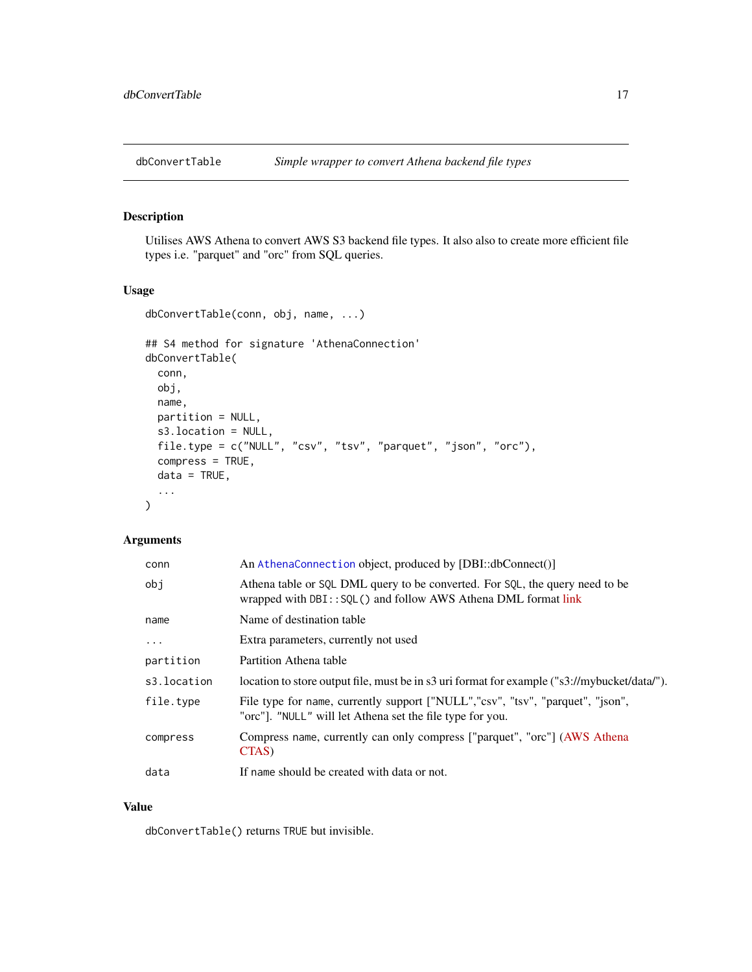<span id="page-16-0"></span>

## Description

Utilises AWS Athena to convert AWS S3 backend file types. It also also to create more efficient file types i.e. "parquet" and "orc" from SQL queries.

## Usage

```
dbConvertTable(conn, obj, name, ...)
```

```
## S4 method for signature 'AthenaConnection'
dbConvertTable(
 conn,
 obj,
 name,
 partition = NULL,
 s3.location = NULL,
 file.type = c("NULL", "csv", "tsv", "parquet", "json", "orc"),
  compress = TRUE,
 data = TRUE,...
)
```
## Arguments

| conn        | An AthenaConnection object, produced by [DBI::dbConnect()]                                                                                         |
|-------------|----------------------------------------------------------------------------------------------------------------------------------------------------|
| obi         | Athena table or SQL DML query to be converted. For SQL, the query need to be<br>wrapped with $DBI$ : $SOL()$ and follow AWS Athena DML format link |
| name        | Name of destination table                                                                                                                          |
| $\ddots$ .  | Extra parameters, currently not used                                                                                                               |
| partition   | Partition Athena table                                                                                                                             |
| s3.location | location to store output file, must be in s3 uri format for example ("s3://mybucket/data/").                                                       |
| file.type   | File type for name, currently support ["NULL","csv", "tsv", "parquet", "json",<br>"orc"]. "NULL" will let Athena set the file type for you.        |
| compress    | Compress name, currently can only compress ["parquet", "orc"] (AWS Athena<br>CTAS)                                                                 |
| data        | If name should be created with data or not.                                                                                                        |

#### Value

dbConvertTable() returns TRUE but invisible.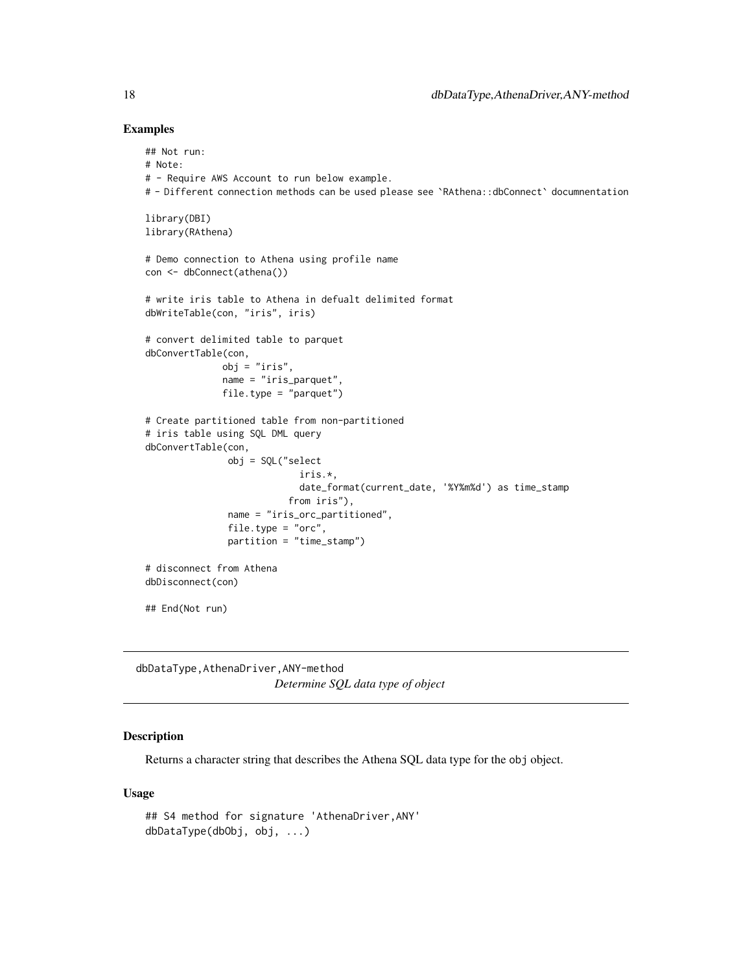#### Examples

```
## Not run:
# Note:
# - Require AWS Account to run below example.
# - Different connection methods can be used please see `RAthena::dbConnect` documnentation
library(DBI)
library(RAthena)
# Demo connection to Athena using profile name
con <- dbConnect(athena())
# write iris table to Athena in defualt delimited format
dbWriteTable(con, "iris", iris)
# convert delimited table to parquet
dbConvertTable(con,
              obj = "iris",name = "iris_parquet",
              file.type = "parquet")
# Create partitioned table from non-partitioned
# iris table using SQL DML query
dbConvertTable(con,
               obj = SQL("select
                            iris.*,
                            date_format(current_date, '%Y%m%d') as time_stamp
                          from iris"),
               name = "iris_orc_partitioned",
               file.type = "orc",
               partition = "time_stamp")
# disconnect from Athena
dbDisconnect(con)
## End(Not run)
```
dbDataType,AthenaDriver,ANY-method *Determine SQL data type of object*

## <span id="page-17-1"></span>Description

Returns a character string that describes the Athena SQL data type for the obj object.

#### Usage

```
## S4 method for signature 'AthenaDriver,ANY'
dbDataType(dbObj, obj, ...)
```
<span id="page-17-0"></span>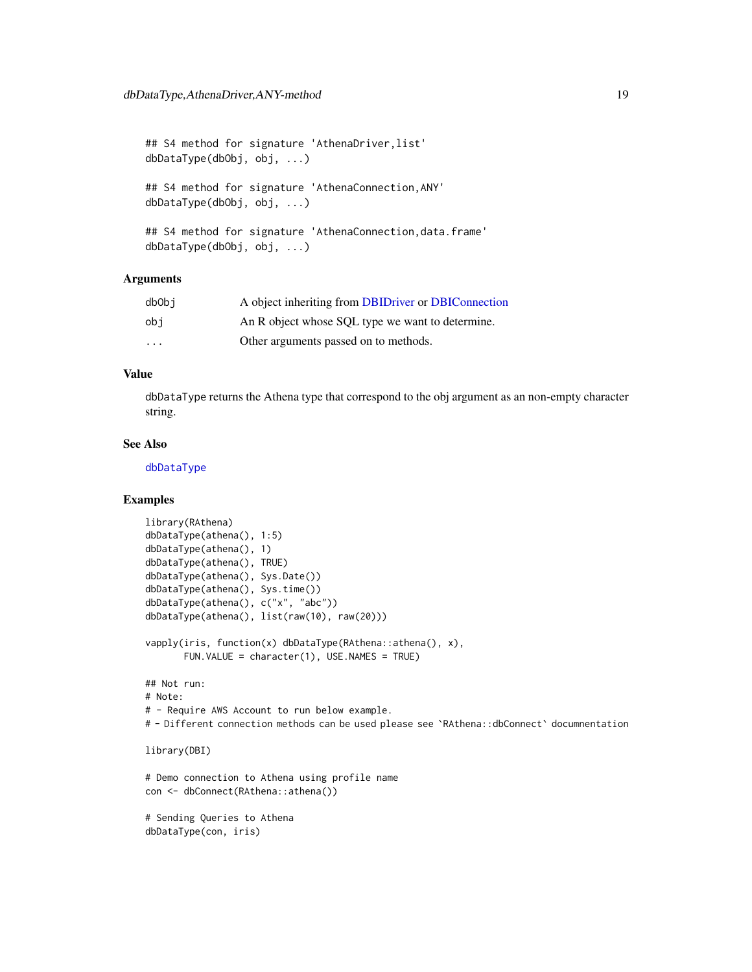```
## S4 method for signature 'AthenaDriver, list'
dbDataType(dbObj, obj, ...)
## S4 method for signature 'AthenaConnection,ANY'
dbDataType(dbObj, obj, ...)
## S4 method for signature 'AthenaConnection, data.frame'
dbDataType(dbObj, obj, ...)
```
## **Arguments**

| dbObi                   | A object inheriting from DBIDriver or DBIConnection |
|-------------------------|-----------------------------------------------------|
| obi                     | An R object whose SQL type we want to determine.    |
| $\cdot$ $\cdot$ $\cdot$ | Other arguments passed on to methods.               |

## Value

dbDataType returns the Athena type that correspond to the obj argument as an non-empty character string.

## See Also

[dbDataType](#page-17-1)

## Examples

```
library(RAthena)
dbDataType(athena(), 1:5)
dbDataType(athena(), 1)
dbDataType(athena(), TRUE)
dbDataType(athena(), Sys.Date())
dbDataType(athena(), Sys.time())
dbDataType(athena(), c("x", "abc"))
dbDataType(athena(), list(raw(10), raw(20)))
vapply(iris, function(x) dbDataType(RAthena::athena(), x),
       FUN.VALUE = character(1), USE.NAMES = TRUE)
## Not run:
# Note:
# - Require AWS Account to run below example.
# - Different connection methods can be used please see `RAthena::dbConnect` documnentation
library(DBI)
# Demo connection to Athena using profile name
con <- dbConnect(RAthena::athena())
# Sending Queries to Athena
dbDataType(con, iris)
```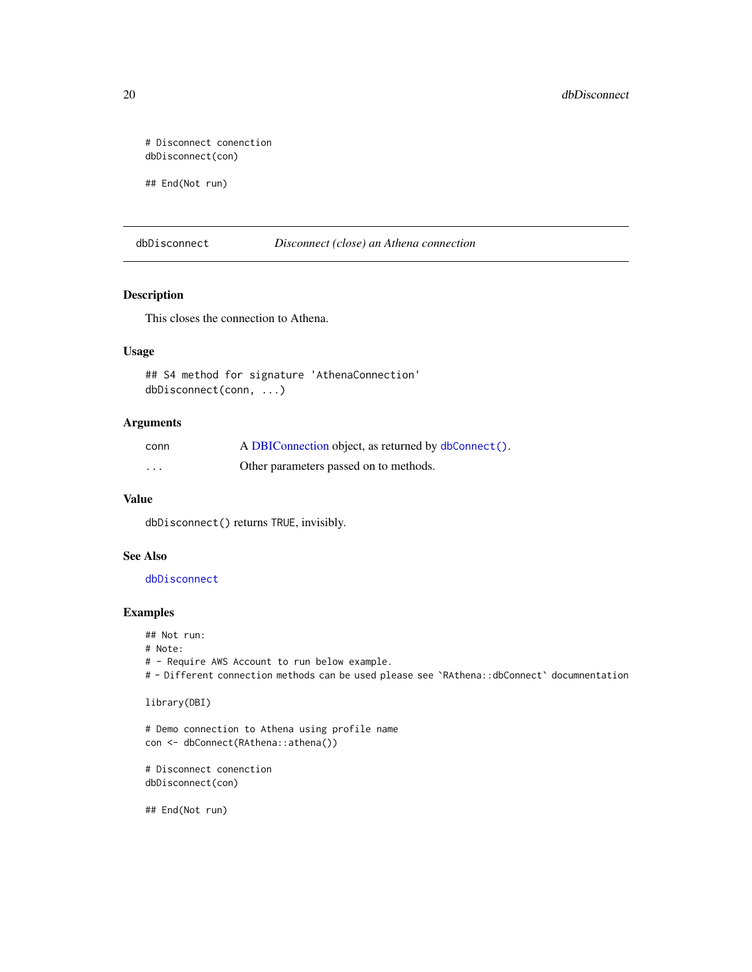```
# Disconnect conenction
dbDisconnect(con)
```
## End(Not run)

<span id="page-19-1"></span>dbDisconnect *Disconnect (close) an Athena connection*

## Description

This closes the connection to Athena.

## Usage

```
## S4 method for signature 'AthenaConnection'
dbDisconnect(conn, ...)
```
## Arguments

| conn | A DBIConnection object, as returned by dbConnect(). |
|------|-----------------------------------------------------|
| .    | Other parameters passed on to methods.              |

#### Value

dbDisconnect() returns TRUE, invisibly.

## See Also

[dbDisconnect](#page-19-1)

#### Examples

## Not run:

```
# Note:
```
# - Require AWS Account to run below example.

# - Different connection methods can be used please see `RAthena::dbConnect` documnentation

library(DBI)

```
# Demo connection to Athena using profile name
con <- dbConnect(RAthena::athena())
```

```
# Disconnect conenction
dbDisconnect(con)
```
## End(Not run)

<span id="page-19-0"></span>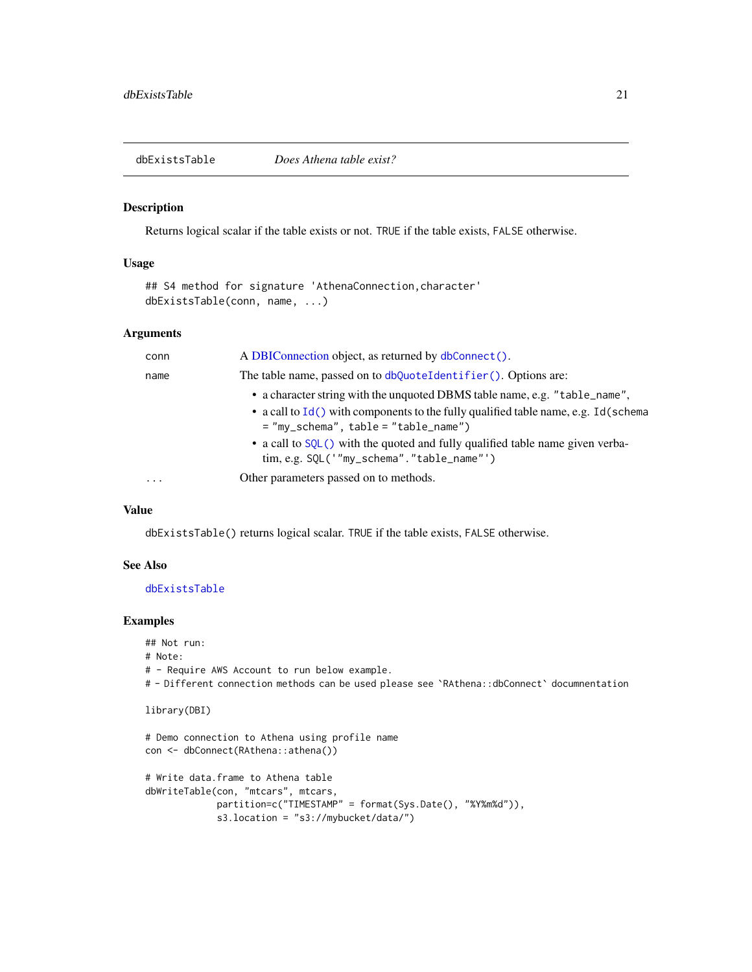<span id="page-20-1"></span><span id="page-20-0"></span>dbExistsTable *Does Athena table exist?*

#### Description

Returns logical scalar if the table exists or not. TRUE if the table exists, FALSE otherwise.

## Usage

```
## S4 method for signature 'AthenaConnection, character'
dbExistsTable(conn, name, ...)
```
#### Arguments

| conn     | A DBIConnection object, as returned by dbConnect().                                                                            |
|----------|--------------------------------------------------------------------------------------------------------------------------------|
| name     | The table name, passed on to dbQuoteIdentifier(). Options are:                                                                 |
|          | • a character string with the unquoted DBMS table name, e.g. "table_name",                                                     |
|          | • a call to $Id()$ with components to the fully qualified table name, e.g. Id(schema<br>$=$ "my_schema", table = "table_name") |
|          | • a call to SQL() with the quoted and fully qualified table name given verba-<br>tim, e.g. SQL('"my_schema"."table_name"')     |
| $\cdots$ | Other parameters passed on to methods.                                                                                         |

## Value

dbExistsTable() returns logical scalar. TRUE if the table exists, FALSE otherwise.

#### See Also

[dbExistsTable](#page-20-1)

## Examples

## Not run: # Note: # - Require AWS Account to run below example. # - Different connection methods can be used please see `RAthena::dbConnect` documnentation library(DBI) # Demo connection to Athena using profile name con <- dbConnect(RAthena::athena()) # Write data.frame to Athena table dbWriteTable(con, "mtcars", mtcars, partition=c("TIMESTAMP" = format(Sys.Date(), "%Y%m%d")), s3.location = "s3://mybucket/data/")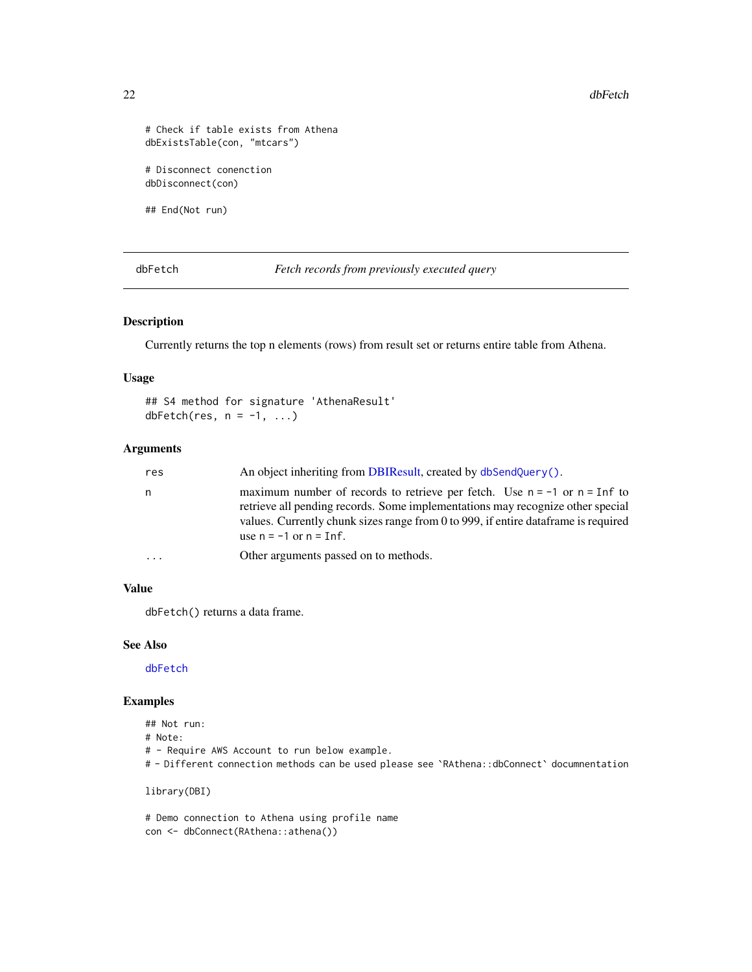22 dbFetch

```
# Check if table exists from Athena
dbExistsTable(con, "mtcars")
# Disconnect conenction
dbDisconnect(con)
```
## End(Not run)

<span id="page-21-1"></span>dbFetch *Fetch records from previously executed query*

## Description

Currently returns the top n elements (rows) from result set or returns entire table from Athena.

## Usage

## S4 method for signature 'AthenaResult' dbFetch(res,  $n = -1, ...$ )

## Arguments

| res       | An object inheriting from DBIResult, created by dbSendQuery().                                                                                                                                                                                                                                     |
|-----------|----------------------------------------------------------------------------------------------------------------------------------------------------------------------------------------------------------------------------------------------------------------------------------------------------|
| n.        | maximum number of records to retrieve per fetch. Use $n = -1$ or $n = \text{Inf}$ to<br>retrieve all pending records. Some implementations may recognize other special<br>values. Currently chunk sizes range from 0 to 999, if entire data frame is required<br>use $n = -1$ or $n = \text{Inf.}$ |
| $\ddotsc$ | Other arguments passed on to methods.                                                                                                                                                                                                                                                              |

#### Value

dbFetch() returns a data frame.

#### See Also

[dbFetch](#page-21-1)

## Examples

- ## Not run:
- # Note:
- # Require AWS Account to run below example.
- # Different connection methods can be used please see `RAthena::dbConnect` documnentation

library(DBI)

# Demo connection to Athena using profile name con <- dbConnect(RAthena::athena())

<span id="page-21-0"></span>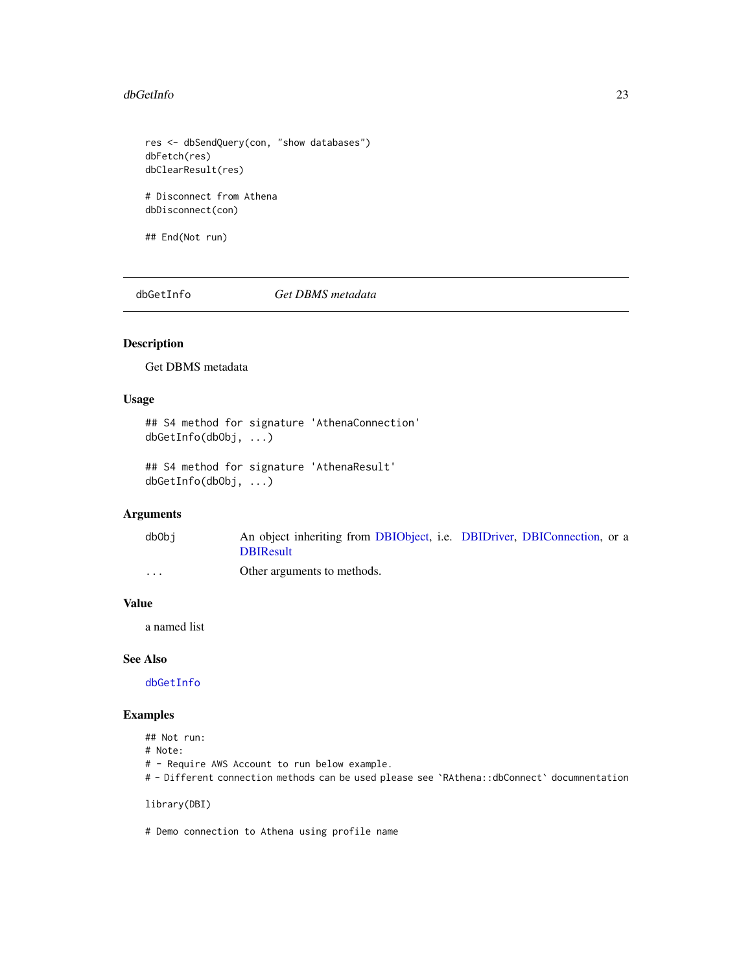#### <span id="page-22-0"></span>dbGetInfo 23

```
res <- dbSendQuery(con, "show databases")
dbFetch(res)
dbClearResult(res)
# Disconnect from Athena
```
dbDisconnect(con)

## End(Not run)

<span id="page-22-1"></span>dbGetInfo *Get DBMS metadata*

## Description

Get DBMS metadata

## Usage

```
## S4 method for signature 'AthenaConnection'
dbGetInfo(dbObj, ...)
```

```
## S4 method for signature 'AthenaResult'
dbGetInfo(dbObj, ...)
```
## Arguments

| dbObi             | An object inheriting from DBIObject, i.e. DBIDriver, DBIConnection, or a |  |
|-------------------|--------------------------------------------------------------------------|--|
|                   | <b>DBIResult</b>                                                         |  |
| $\cdot\cdot\cdot$ | Other arguments to methods.                                              |  |

#### Value

a named list

## See Also

[dbGetInfo](#page-22-1)

## Examples

## Not run:

# Note:

- # Require AWS Account to run below example.
- # Different connection methods can be used please see `RAthena::dbConnect` documnentation

library(DBI)

# Demo connection to Athena using profile name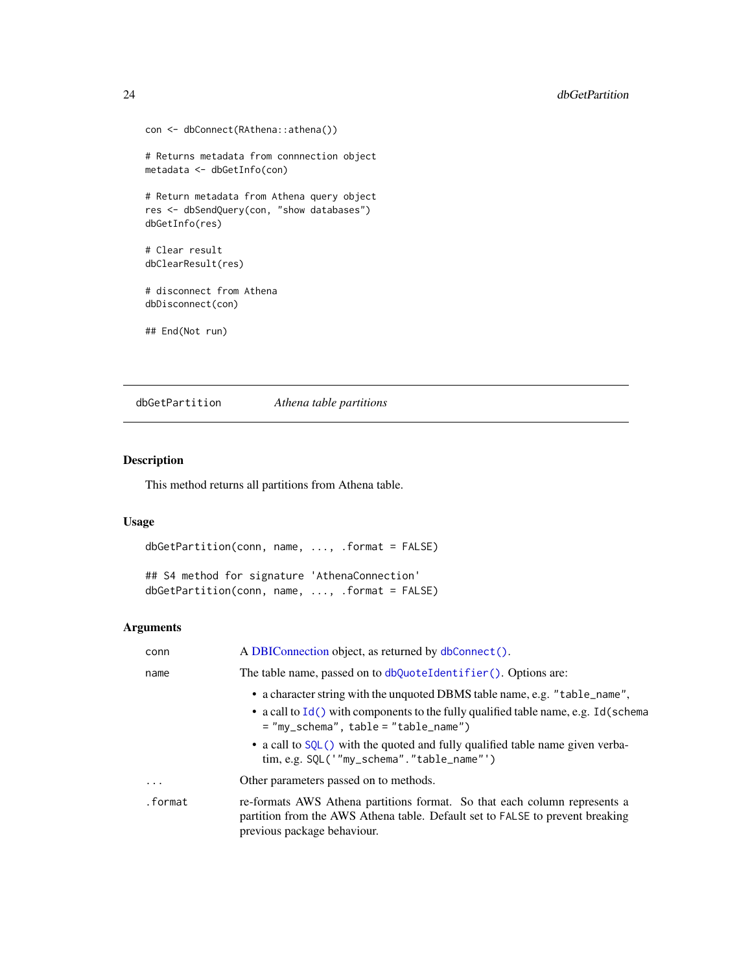```
con <- dbConnect(RAthena::athena())
# Returns metadata from connnection object
metadata <- dbGetInfo(con)
# Return metadata from Athena query object
res <- dbSendQuery(con, "show databases")
dbGetInfo(res)
# Clear result
dbClearResult(res)
# disconnect from Athena
dbDisconnect(con)
## End(Not run)
```
dbGetPartition *Athena table partitions*

## Description

This method returns all partitions from Athena table.

## Usage

dbGetPartition(conn, name, ..., .format = FALSE)

## S4 method for signature 'AthenaConnection' dbGetPartition(conn, name, ..., .format = FALSE)

| conn      | A DBIConnection object, as returned by dbConnect().                                                                                                                                                                                                                                                                                               |
|-----------|---------------------------------------------------------------------------------------------------------------------------------------------------------------------------------------------------------------------------------------------------------------------------------------------------------------------------------------------------|
| name      | The table name, passed on to dbQuoteIdentifier(). Options are:                                                                                                                                                                                                                                                                                    |
|           | • a character string with the unquoted DBMS table name, e.g. "table_name",<br>• a call to $Id()$ with components to the fully qualified table name, e.g. Id(schema<br>$=$ "my_schema", table = "table_name")<br>• a call to SQL() with the quoted and fully qualified table name given verba-<br>$\lim, e.g.$ SQL('"my_schema"." $table_name$ "') |
| $\ddotsc$ | Other parameters passed on to methods.                                                                                                                                                                                                                                                                                                            |
| .format   | re-formats AWS Athena partitions format. So that each column represents a<br>partition from the AWS Athena table. Default set to FALSE to prevent breaking<br>previous package behaviour.                                                                                                                                                         |

<span id="page-23-0"></span>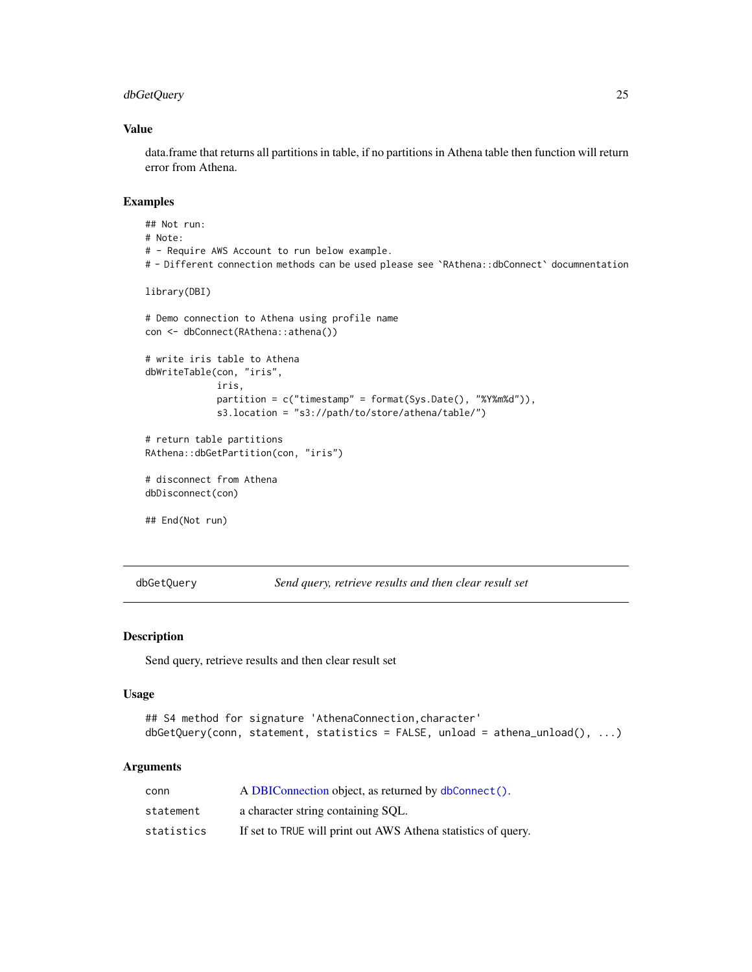## <span id="page-24-0"></span>dbGetQuery 25

#### Value

data.frame that returns all partitions in table, if no partitions in Athena table then function will return error from Athena.

## Examples

```
## Not run:
# Note:
# - Require AWS Account to run below example.
# - Different connection methods can be used please see `RAthena::dbConnect` documnentation
library(DBI)
# Demo connection to Athena using profile name
con <- dbConnect(RAthena::athena())
# write iris table to Athena
dbWriteTable(con, "iris",
             iris,
             partition = c("timestamp" = format(Sys.Date(), "%Y%m%d")),
             s3.location = "s3://path/to/store/athena/table/")
# return table partitions
RAthena::dbGetPartition(con, "iris")
# disconnect from Athena
dbDisconnect(con)
## End(Not run)
```
<span id="page-24-1"></span>dbGetQuery *Send query, retrieve results and then clear result set*

## Description

Send query, retrieve results and then clear result set

#### Usage

```
## S4 method for signature 'AthenaConnection, character'
dbGetQuery(conn, statement, statistics = FALSE, unload = athena_unload(), ...)
```

| conn       | A DBIConnection object, as returned by dbConnect().           |
|------------|---------------------------------------------------------------|
| statement  | a character string containing SOL.                            |
| statistics | If set to TRUE will print out AWS Athena statistics of query. |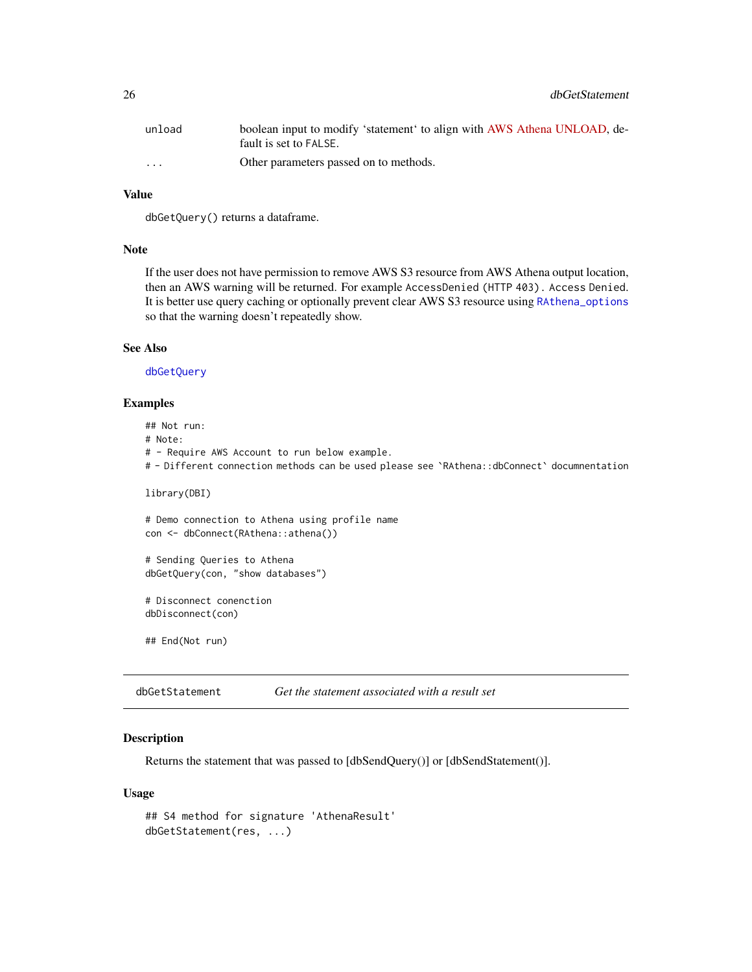<span id="page-25-0"></span>

| unload   | boolean input to modify 'statement' to align with AWS Athena UNLOAD, de-<br>fault is set to FALSE. |
|----------|----------------------------------------------------------------------------------------------------|
| $\cdots$ | Other parameters passed on to methods.                                                             |

## Value

dbGetQuery() returns a dataframe.

#### Note

If the user does not have permission to remove AWS S3 resource from AWS Athena output location, then an AWS warning will be returned. For example AccessDenied (HTTP 403). Access Denied. It is better use query caching or optionally prevent clear AWS S3 resource using [RAthena\\_options](#page-43-1) so that the warning doesn't repeatedly show.

## See Also

[dbGetQuery](#page-24-1)

## Examples

## Not run: # Note: # - Require AWS Account to run below example. # - Different connection methods can be used please see `RAthena::dbConnect` documnentation library(DBI) # Demo connection to Athena using profile name con <- dbConnect(RAthena::athena()) # Sending Queries to Athena dbGetQuery(con, "show databases") # Disconnect conenction dbDisconnect(con)

## End(Not run)

<span id="page-25-1"></span>dbGetStatement *Get the statement associated with a result set*

#### Description

Returns the statement that was passed to [dbSendQuery()] or [dbSendStatement()].

#### Usage

```
## S4 method for signature 'AthenaResult'
dbGetStatement(res, ...)
```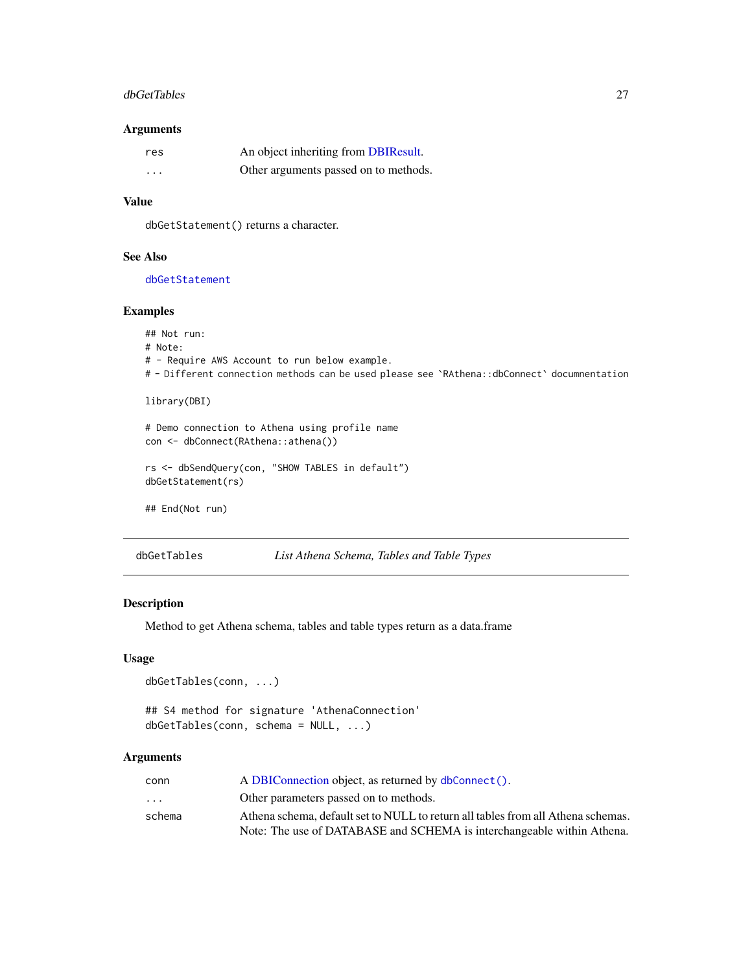#### <span id="page-26-0"></span>dbGetTables 27

#### Arguments

| res      | An object inheriting from DBIResult.  |
|----------|---------------------------------------|
| $\cdots$ | Other arguments passed on to methods. |

## Value

dbGetStatement() returns a character.

## See Also

[dbGetStatement](#page-25-1)

## Examples

```
## Not run:
# Note:
# - Require AWS Account to run below example.
# - Different connection methods can be used please see `RAthena::dbConnect` documnentation
library(DBI)
# Demo connection to Athena using profile name
con <- dbConnect(RAthena::athena())
rs <- dbSendQuery(con, "SHOW TABLES in default")
dbGetStatement(rs)
## End(Not run)
```

| dbGetTables | List Athena Schema, Tables and Table Types |  |  |
|-------------|--------------------------------------------|--|--|
|-------------|--------------------------------------------|--|--|

#### Description

Method to get Athena schema, tables and table types return as a data.frame

## Usage

```
dbGetTables(conn, ...)
```

```
## S4 method for signature 'AthenaConnection'
dbGetTables(conn, schema = NULL, ...)
```

| conn                    | A DBIConnection object, as returned by dbConnect().                              |
|-------------------------|----------------------------------------------------------------------------------|
| $\cdot$ $\cdot$ $\cdot$ | Other parameters passed on to methods.                                           |
| schema                  | Athena schema, default set to NULL to return all tables from all Athena schemas. |
|                         | Note: The use of DATABASE and SCHEMA is interchangeable within Athena.           |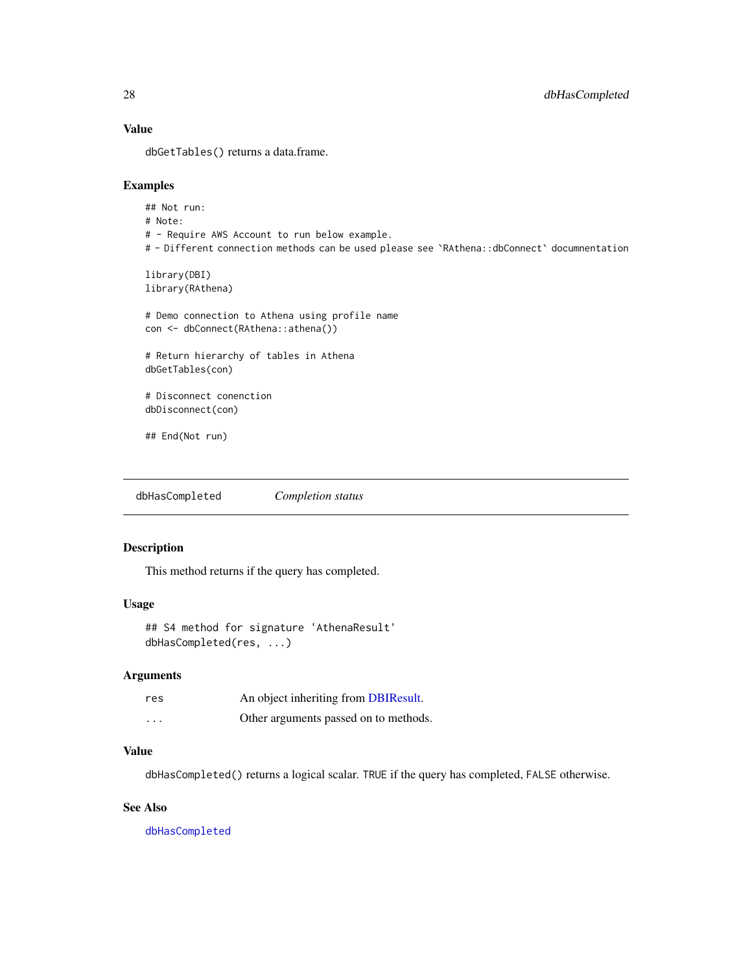## Value

dbGetTables() returns a data.frame.

## Examples

```
## Not run:
# Note:
# - Require AWS Account to run below example.
# - Different connection methods can be used please see `RAthena::dbConnect` documnentation
library(DBI)
library(RAthena)
# Demo connection to Athena using profile name
con <- dbConnect(RAthena::athena())
# Return hierarchy of tables in Athena
dbGetTables(con)
# Disconnect conenction
dbDisconnect(con)
## End(Not run)
```
<span id="page-27-1"></span>dbHasCompleted *Completion status*

#### Description

This method returns if the query has completed.

## Usage

```
## S4 method for signature 'AthenaResult'
dbHasCompleted(res, ...)
```
## Arguments

| res     | An object inheriting from DBIResult.  |
|---------|---------------------------------------|
| $\cdot$ | Other arguments passed on to methods. |

#### Value

dbHasCompleted() returns a logical scalar. TRUE if the query has completed, FALSE otherwise.

## See Also

[dbHasCompleted](#page-27-1)

<span id="page-27-0"></span>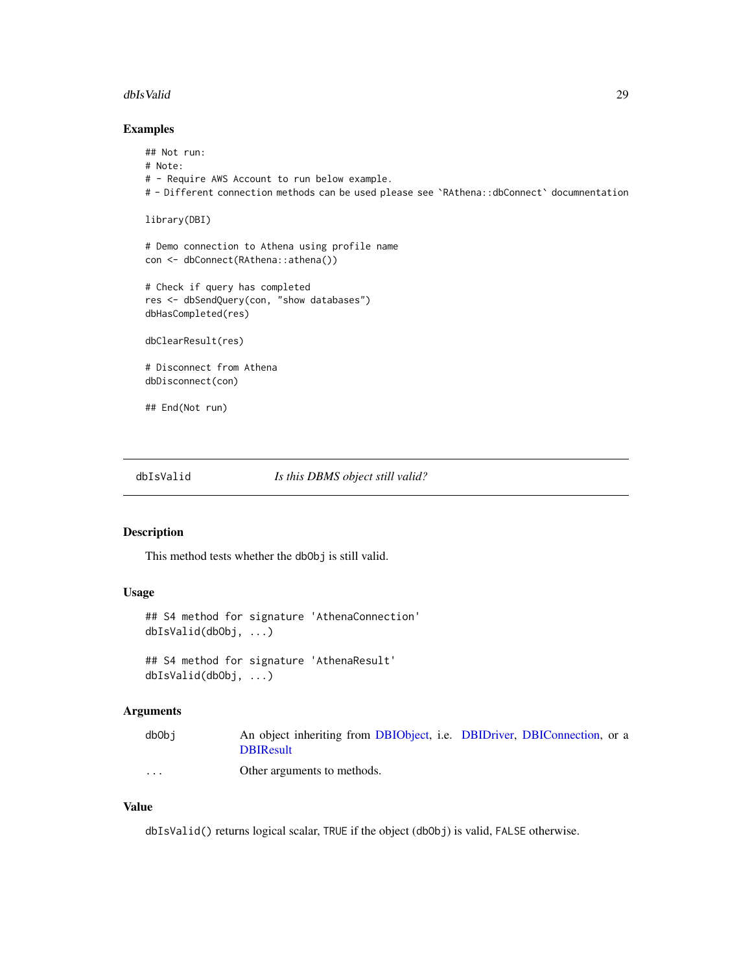#### <span id="page-28-0"></span>dbIsValid 29

## Examples

```
## Not run:
# Note:
# - Require AWS Account to run below example.
# - Different connection methods can be used please see `RAthena::dbConnect` documnentation
library(DBI)
# Demo connection to Athena using profile name
con <- dbConnect(RAthena::athena())
# Check if query has completed
res <- dbSendQuery(con, "show databases")
dbHasCompleted(res)
dbClearResult(res)
# Disconnect from Athena
dbDisconnect(con)
## End(Not run)
```
#### <span id="page-28-1"></span>dbIsValid *Is this DBMS object still valid?*

## Description

This method tests whether the dbObj is still valid.

#### Usage

```
## S4 method for signature 'AthenaConnection'
dbIsValid(dbObj, ...)
## S4 method for signature 'AthenaResult'
dbIsValid(dbObj, ...)
```
#### Arguments

| dbObi                | An object inheriting from DBIObject, i.e. DBIDriver, DBIConnection, or a |
|----------------------|--------------------------------------------------------------------------|
|                      | <b>DBIResult</b>                                                         |
| $\ddot{\phantom{0}}$ | Other arguments to methods.                                              |

#### Value

dbIsValid() returns logical scalar, TRUE if the object (dbObj) is valid, FALSE otherwise.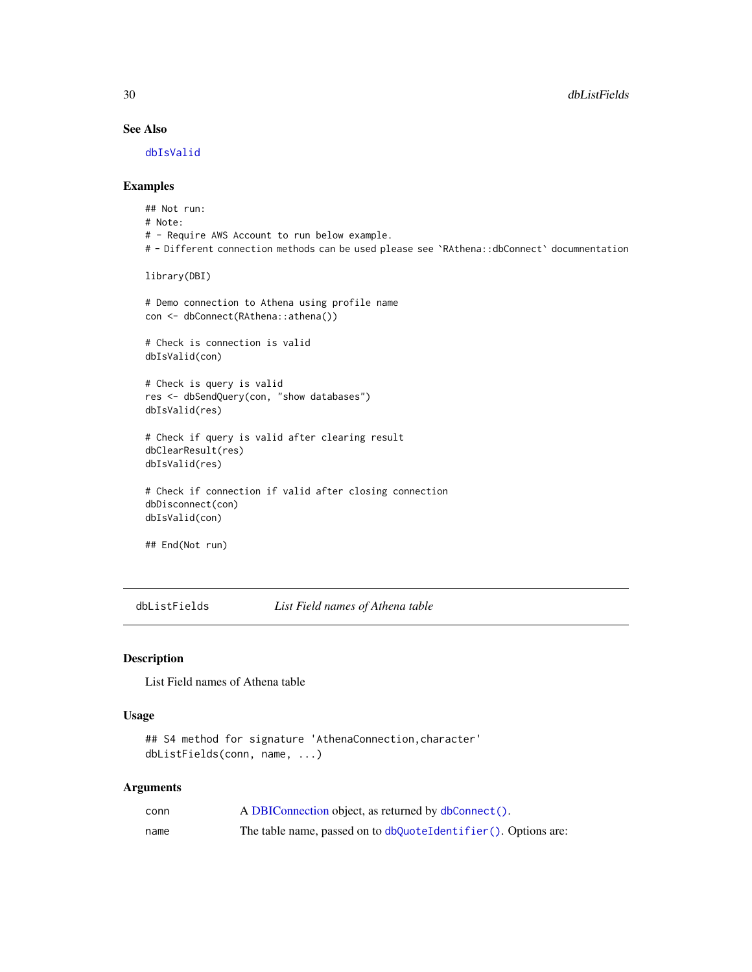## See Also

[dbIsValid](#page-28-1)

## Examples

```
## Not run:
# Note:
# - Require AWS Account to run below example.
# - Different connection methods can be used please see `RAthena::dbConnect` documnentation
library(DBI)
# Demo connection to Athena using profile name
con <- dbConnect(RAthena::athena())
# Check is connection is valid
dbIsValid(con)
# Check is query is valid
res <- dbSendQuery(con, "show databases")
dbIsValid(res)
# Check if query is valid after clearing result
dbClearResult(res)
dbIsValid(res)
# Check if connection if valid after closing connection
dbDisconnect(con)
dbIsValid(con)
## End(Not run)
```
<span id="page-29-1"></span>dbListFields *List Field names of Athena table*

## Description

List Field names of Athena table

#### Usage

```
## S4 method for signature 'AthenaConnection, character'
dbListFields(conn, name, ...)
```

| conn | A DBIConnection object, as returned by dbConnect().            |
|------|----------------------------------------------------------------|
| name | The table name, passed on to dbQuoteIdentifier(). Options are: |

<span id="page-29-0"></span>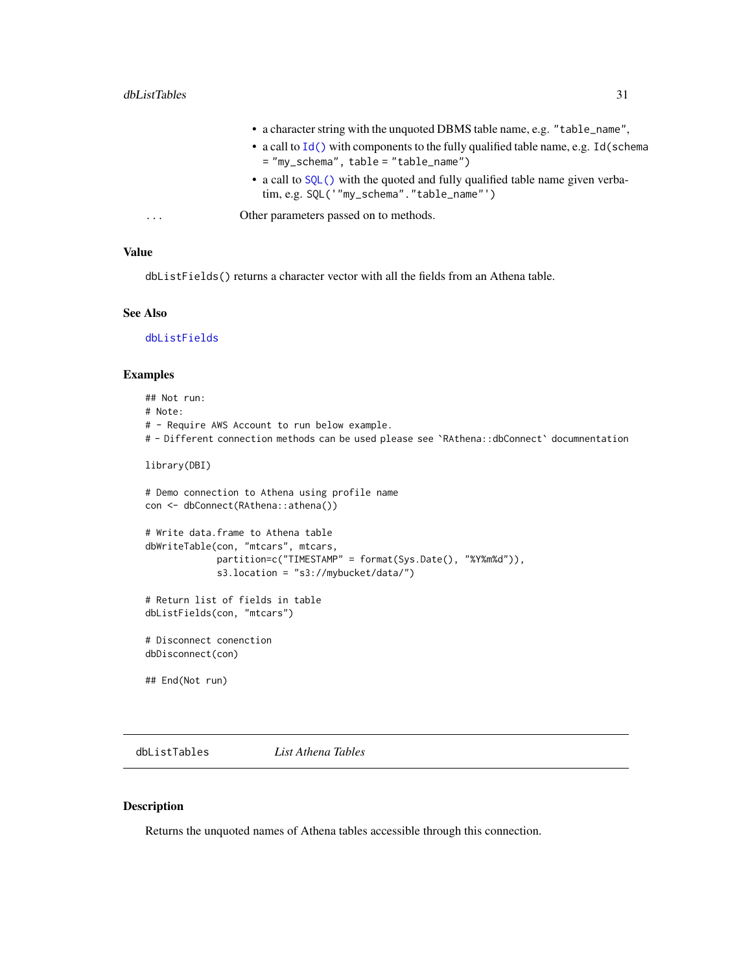- a character string with the unquoted DBMS table name, e.g. "table\_name",
- a call to [Id\(\)](#page-0-0) with components to the fully qualified table name, e.g. Id(schema = "my\_schema", table = "table\_name")
- a call to [SQL\(\)](#page-0-0) with the quoted and fully qualified table name given verbatim, e.g. SQL('"my\_schema"."table\_name"')

<span id="page-30-0"></span>... Other parameters passed on to methods.

#### Value

dbListFields() returns a character vector with all the fields from an Athena table.

#### See Also

[dbListFields](#page-29-1)

#### Examples

## Not run: # Note: # - Require AWS Account to run below example. # - Different connection methods can be used please see `RAthena::dbConnect` documnentation library(DBI) # Demo connection to Athena using profile name con <- dbConnect(RAthena::athena()) # Write data.frame to Athena table dbWriteTable(con, "mtcars", mtcars, partition=c("TIMESTAMP" = format(Sys.Date(), "%Y%m%d")), s3.location = "s3://mybucket/data/") # Return list of fields in table dbListFields(con, "mtcars") # Disconnect conenction dbDisconnect(con) ## End(Not run)

<span id="page-30-1"></span>dbListTables *List Athena Tables*

#### Description

Returns the unquoted names of Athena tables accessible through this connection.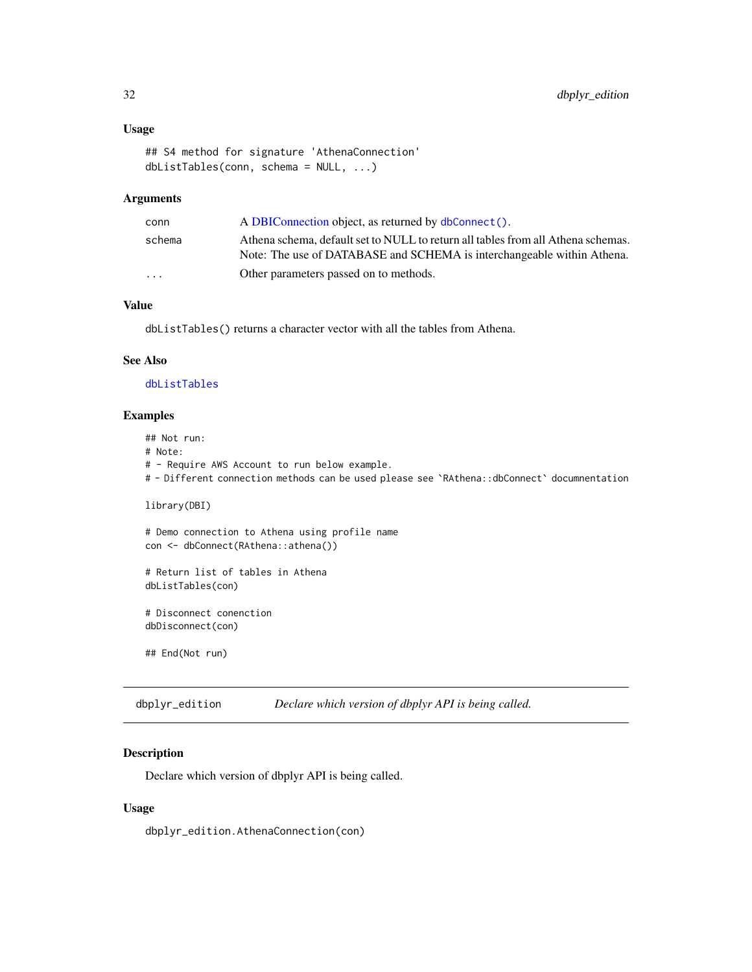## <span id="page-31-0"></span>Usage

```
## S4 method for signature 'AthenaConnection'
dbListTables(conn, schema = NULL, ...)
```
## Arguments

| conn                    | A DBIConnection object, as returned by dbConnect().                                                                                                        |
|-------------------------|------------------------------------------------------------------------------------------------------------------------------------------------------------|
| schema                  | Athena schema, default set to NULL to return all tables from all Athena schemas.<br>Note: The use of DATABASE and SCHEMA is interchangeable within Athena. |
| $\cdot$ $\cdot$ $\cdot$ | Other parameters passed on to methods.                                                                                                                     |

## Value

dbListTables() returns a character vector with all the tables from Athena.

## See Also

[dbListTables](#page-30-1)

## Examples

## Not run: # Note: # - Require AWS Account to run below example. # - Different connection methods can be used please see `RAthena::dbConnect` documnentation library(DBI) # Demo connection to Athena using profile name con <- dbConnect(RAthena::athena()) # Return list of tables in Athena dbListTables(con) # Disconnect conenction dbDisconnect(con)

## End(Not run)

dbplyr\_edition *Declare which version of dbplyr API is being called.*

## Description

Declare which version of dbplyr API is being called.

#### Usage

dbplyr\_edition.AthenaConnection(con)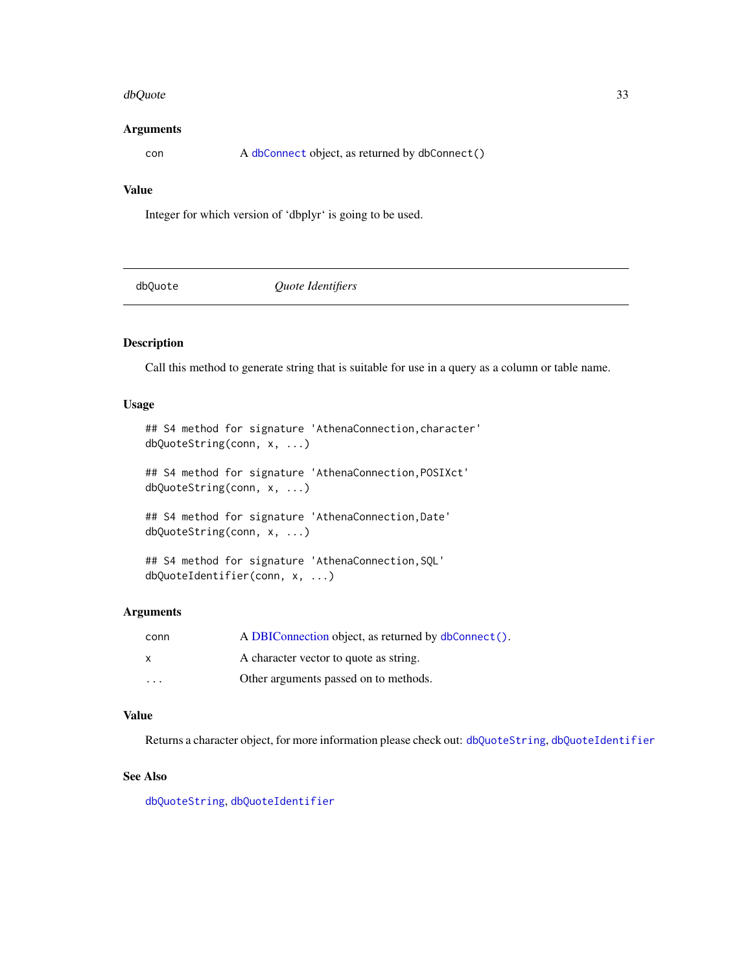#### <span id="page-32-0"></span>dbQuote 33

#### **Arguments**

con A [dbConnect](#page-12-1) object, as returned by dbConnect()

## Value

Integer for which version of 'dbplyr' is going to be used.

dbQuote *Quote Identifiers*

## Description

Call this method to generate string that is suitable for use in a query as a column or table name.

## Usage

```
## S4 method for signature 'AthenaConnection, character'
dbQuoteString(conn, x, ...)
```
## S4 method for signature 'AthenaConnection,POSIXct' dbQuoteString(conn, x, ...)

## S4 method for signature 'AthenaConnection,Date' dbQuoteString(conn, x, ...)

```
## S4 method for signature 'AthenaConnection,SQL'
dbQuoteIdentifier(conn, x, ...)
```
#### Arguments

| conn                    | A DBIConnection object, as returned by dbConnect(). |
|-------------------------|-----------------------------------------------------|
| $\mathsf{X}$            | A character vector to quote as string.              |
| $\cdot$ $\cdot$ $\cdot$ | Other arguments passed on to methods.               |

## Value

Returns a character object, for more information please check out: [dbQuoteString](#page-0-0), [dbQuoteIdentifier](#page-0-0)

#### See Also

[dbQuoteString](#page-0-0), [dbQuoteIdentifier](#page-0-0)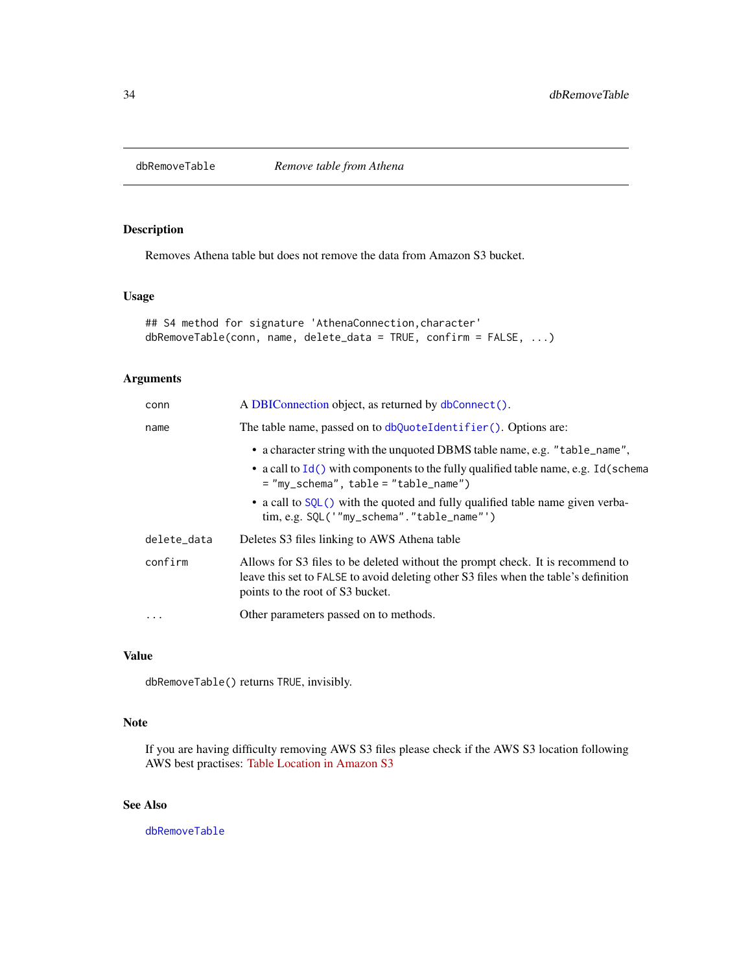<span id="page-33-1"></span><span id="page-33-0"></span>

## Description

Removes Athena table but does not remove the data from Amazon S3 bucket.

## Usage

```
## S4 method for signature 'AthenaConnection, character'
dbRemoveTable(conn, name, delete_data = TRUE, confirm = FALSE, ...)
```
## Arguments

| conn        | A DBIConnection object, as returned by dbConnect().                                                                                                                                                                                                                                                                                           |
|-------------|-----------------------------------------------------------------------------------------------------------------------------------------------------------------------------------------------------------------------------------------------------------------------------------------------------------------------------------------------|
| name        | The table name, passed on to dbQuoteIdentifier(). Options are:                                                                                                                                                                                                                                                                                |
|             | • a character string with the unquoted DBMS table name, e.g. "table_name",<br>• a call to $Id()$ with components to the fully qualified table name, e.g. Id(schema<br>$=$ "my_schema", table = "table_name")<br>• a call to SQL() with the quoted and fully qualified table name given verba-<br>$\lim, e.g.$ SQL('"my_schema"."table_name"') |
| delete_data | Deletes S3 files linking to AWS Athena table                                                                                                                                                                                                                                                                                                  |
| confirm     | Allows for S3 files to be deleted without the prompt check. It is recommend to<br>leave this set to FALSE to avoid deleting other S3 files when the table's definition<br>points to the root of S3 bucket.                                                                                                                                    |
| $\ddots$ .  | Other parameters passed on to methods.                                                                                                                                                                                                                                                                                                        |

## Value

dbRemoveTable() returns TRUE, invisibly.

## Note

If you are having difficulty removing AWS S3 files please check if the AWS S3 location following AWS best practises: [Table Location in Amazon S3](https://docs.aws.amazon.com/athena/latest/ug/tables-location-format.html)

## See Also

[dbRemoveTable](#page-33-1)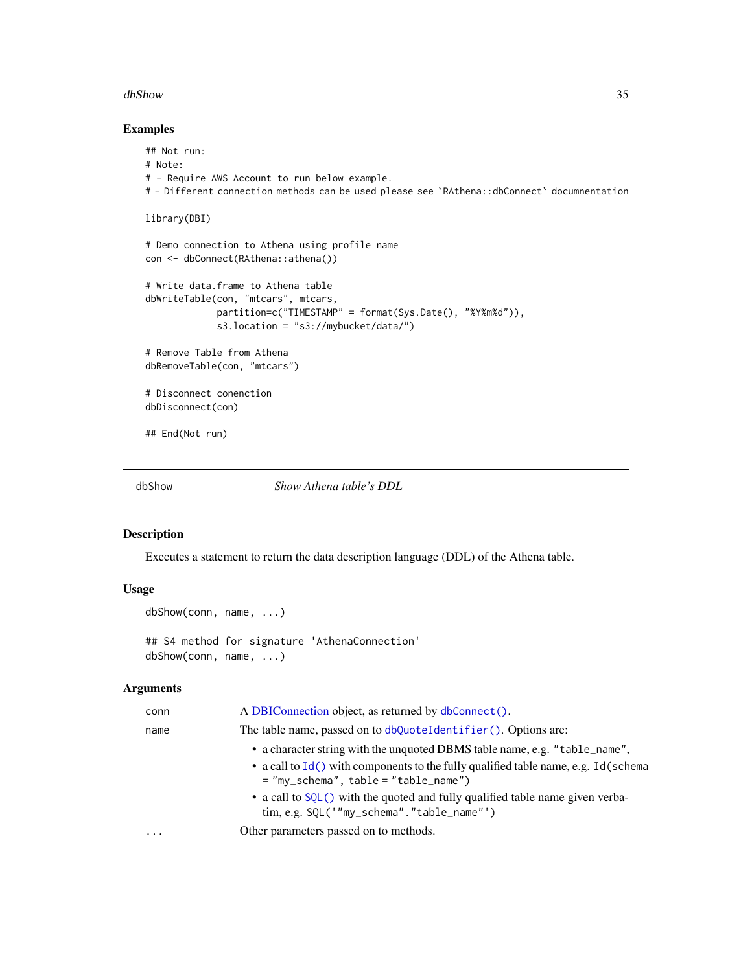#### <span id="page-34-0"></span>dbShow 35

## Examples

```
## Not run:
# Note:
# - Require AWS Account to run below example.
# - Different connection methods can be used please see `RAthena::dbConnect` documnentation
library(DBI)
# Demo connection to Athena using profile name
con <- dbConnect(RAthena::athena())
# Write data.frame to Athena table
dbWriteTable(con, "mtcars", mtcars,
             partition=c("TIMESTAMP" = format(Sys.Date(), "%Y%m%d")),
             s3.location = "s3://mybucket/data/")
# Remove Table from Athena
dbRemoveTable(con, "mtcars")
# Disconnect conenction
dbDisconnect(con)
## End(Not run)
```
dbShow *Show Athena table's DDL*

#### Description

Executes a statement to return the data description language (DDL) of the Athena table.

#### Usage

```
dbShow(conn, name, ...)
```
## S4 method for signature 'AthenaConnection' dbShow(conn, name, ...)

| conn                    | A DBIConnection object, as returned by dbConnect().                                                                            |
|-------------------------|--------------------------------------------------------------------------------------------------------------------------------|
| name                    | The table name, passed on to dbQuoteIdentifier(). Options are:                                                                 |
|                         | • a character string with the unquoted DBMS table name, e.g. "table_name",                                                     |
|                         | • a call to $Id()$ with components to the fully qualified table name, e.g. Id(schema<br>$=$ "my_schema", table = "table_name") |
|                         | • a call to SQL() with the quoted and fully qualified table name given verba-<br>tim, e.g. SQL('"my_schema"."table_name"')     |
| $\cdot$ $\cdot$ $\cdot$ | Other parameters passed on to methods.                                                                                         |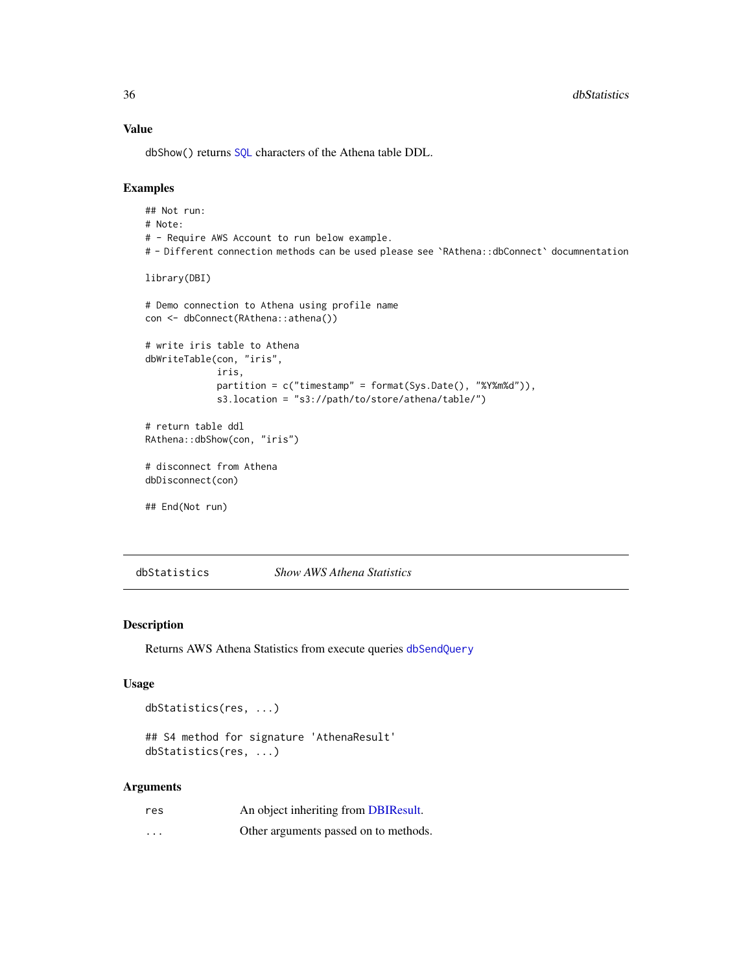## Value

dbShow() returns [SQL](#page-0-0) characters of the Athena table DDL.

#### Examples

```
## Not run:
# Note:
# - Require AWS Account to run below example.
# - Different connection methods can be used please see `RAthena::dbConnect` documnentation
library(DBI)
# Demo connection to Athena using profile name
con <- dbConnect(RAthena::athena())
# write iris table to Athena
dbWriteTable(con, "iris",
             iris,
             partition = c("timestamp" = format(Sys.Date(), "%Y%m%d")),
             s3.location = "s3://path/to/store/athena/table/")
# return table ddl
RAthena::dbShow(con, "iris")
# disconnect from Athena
dbDisconnect(con)
## End(Not run)
```
dbStatistics *Show AWS Athena Statistics*

#### Description

Returns AWS Athena Statistics from execute queries [dbSendQuery](#page-0-0)

#### Usage

```
dbStatistics(res, ...)
```

```
## S4 method for signature 'AthenaResult'
dbStatistics(res, ...)
```

| res                     | An object inheriting from DBIResult.  |
|-------------------------|---------------------------------------|
| $\cdot$ $\cdot$ $\cdot$ | Other arguments passed on to methods. |

<span id="page-35-0"></span>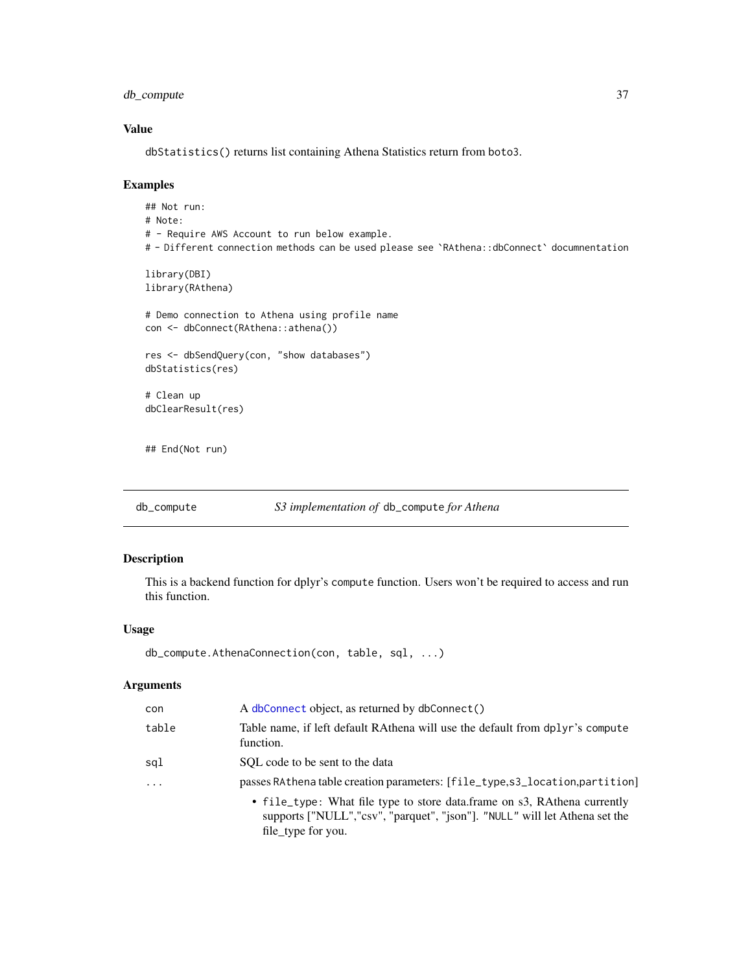<span id="page-36-0"></span>db\_compute 37

## Value

dbStatistics() returns list containing Athena Statistics return from boto3.

#### Examples

```
## Not run:
# Note:
# - Require AWS Account to run below example.
# - Different connection methods can be used please see `RAthena::dbConnect` documnentation
library(DBI)
library(RAthena)
# Demo connection to Athena using profile name
con <- dbConnect(RAthena::athena())
res <- dbSendQuery(con, "show databases")
dbStatistics(res)
# Clean up
dbClearResult(res)
## End(Not run)
```
db\_compute *S3 implementation of* db\_compute *for Athena*

## Description

This is a backend function for dplyr's compute function. Users won't be required to access and run this function.

## Usage

```
db_compute.AthenaConnection(con, table, sql, ...)
```

| con      | A dbConnect object, as returned by dbConnect()                                                                                                                               |
|----------|------------------------------------------------------------------------------------------------------------------------------------------------------------------------------|
| table    | Table name, if left default RAthena will use the default from dplyr's compute<br>function.                                                                                   |
| sal      | SOL code to be sent to the data                                                                                                                                              |
| $\cdots$ | passes RAthena table creation parameters: [file_type,s3_location,partition]                                                                                                  |
|          | • file_type: What file type to store data.frame on s3, RAthena currently<br>supports ["NULL","csv", "parquet", "json"]. "NULL" will let Athena set the<br>file_type for you. |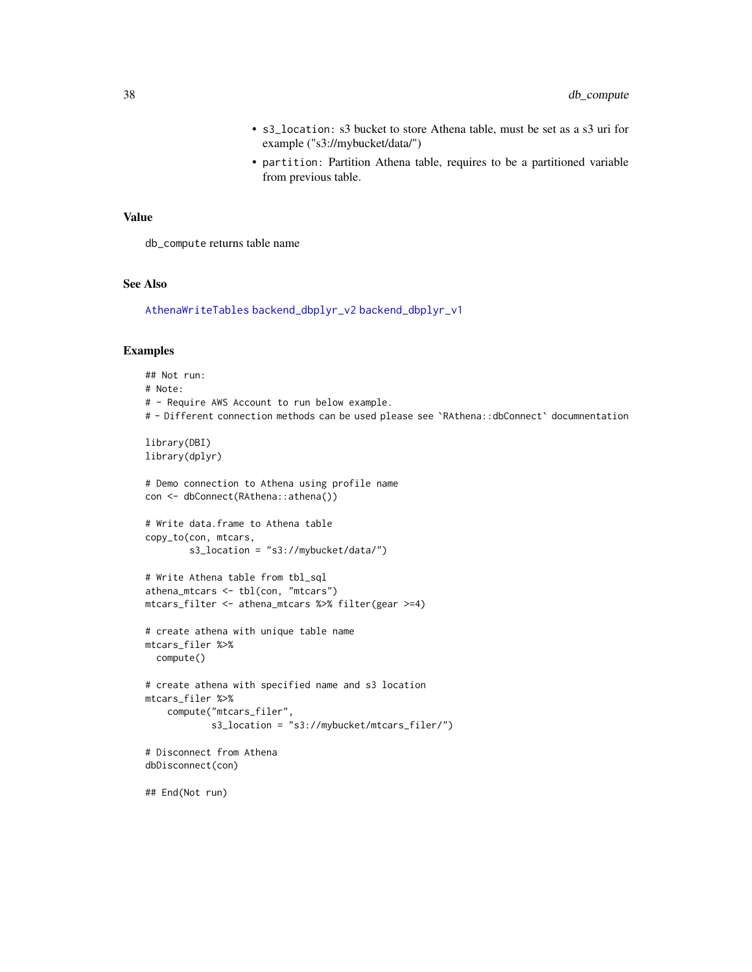- s3\_location: s3 bucket to store Athena table, must be set as a s3 uri for example ("s3://mybucket/data/")
- partition: Partition Athena table, requires to be a partitioned variable from previous table.

#### <span id="page-37-0"></span>Value

db\_compute returns table name

#### See Also

[AthenaWriteTables](#page-5-1) [backend\\_dbplyr\\_v2](#page-9-1) [backend\\_dbplyr\\_v1](#page-8-1)

## Examples

## Not run: # Note: # - Require AWS Account to run below example. # - Different connection methods can be used please see `RAthena::dbConnect` documnentation library(DBI) library(dplyr) # Demo connection to Athena using profile name con <- dbConnect(RAthena::athena()) # Write data.frame to Athena table copy\_to(con, mtcars, s3\_location = "s3://mybucket/data/") # Write Athena table from tbl\_sql athena\_mtcars <- tbl(con, "mtcars") mtcars\_filter <- athena\_mtcars %>% filter(gear >=4) # create athena with unique table name mtcars\_filer %>% compute() # create athena with specified name and s3 location mtcars\_filer %>% compute("mtcars\_filer", s3\_location = "s3://mybucket/mtcars\_filer/") # Disconnect from Athena dbDisconnect(con) ## End(Not run)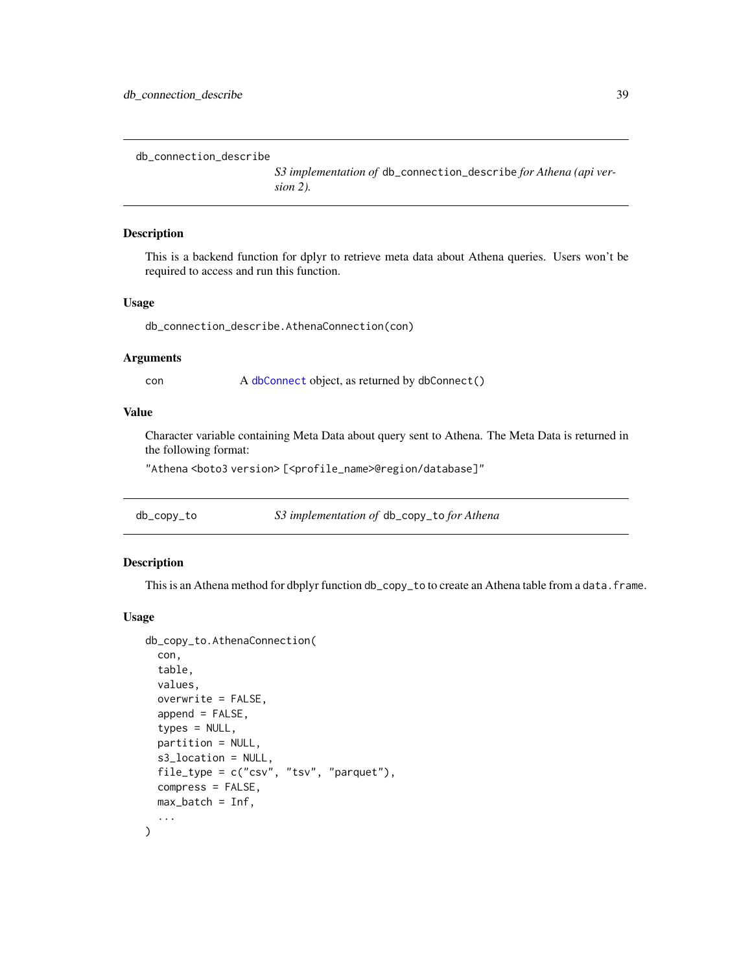<span id="page-38-0"></span>db\_connection\_describe

*S3 implementation of* db\_connection\_describe *for Athena (api version 2).*

#### Description

This is a backend function for dplyr to retrieve meta data about Athena queries. Users won't be required to access and run this function.

#### Usage

db\_connection\_describe.AthenaConnection(con)

## Arguments

con A [dbConnect](#page-12-1) object, as returned by dbConnect()

## Value

Character variable containing Meta Data about query sent to Athena. The Meta Data is returned in the following format:

"Athena<boto3 version>[<profile\_name>@region/database]"

| db_copy_to | S3 implementation of db_copy_to for Athena |
|------------|--------------------------------------------|
|            |                                            |

#### Description

This is an Athena method for dbplyr function db\_copy\_to to create an Athena table from a data. frame.

#### Usage

```
db_copy_to.AthenaConnection(
  con,
  table,
  values,
  overwrite = FALSE,
  append = FALSE,types = NULL,
 partition = NULL,
  s3_location = NULL,
  file_type = c("csv", "tsv", "parquet"),
  compress = FALSE,
 max_b = \inf,
  ...
)
```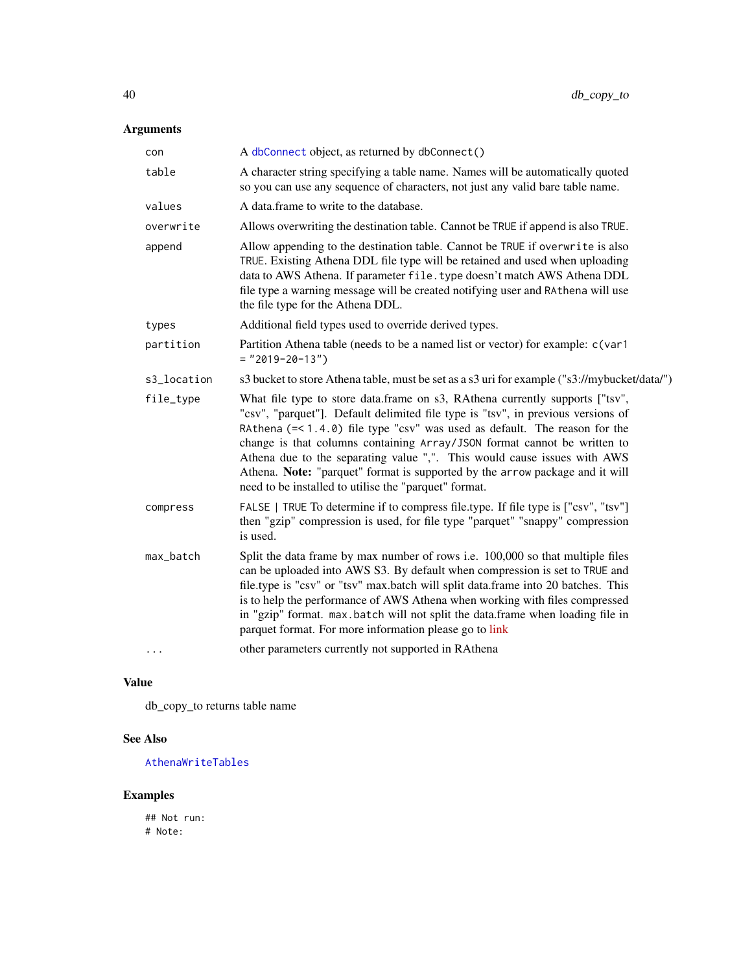## <span id="page-39-0"></span>Arguments

| con         | A dbConnect object, as returned by dbConnect()                                                                                                                                                                                                                                                                                                                                                                                                                                                                                                                  |  |
|-------------|-----------------------------------------------------------------------------------------------------------------------------------------------------------------------------------------------------------------------------------------------------------------------------------------------------------------------------------------------------------------------------------------------------------------------------------------------------------------------------------------------------------------------------------------------------------------|--|
| table       | A character string specifying a table name. Names will be automatically quoted<br>so you can use any sequence of characters, not just any valid bare table name.                                                                                                                                                                                                                                                                                                                                                                                                |  |
| values      | A data frame to write to the database.                                                                                                                                                                                                                                                                                                                                                                                                                                                                                                                          |  |
| overwrite   | Allows overwriting the destination table. Cannot be TRUE if append is also TRUE.                                                                                                                                                                                                                                                                                                                                                                                                                                                                                |  |
| append      | Allow appending to the destination table. Cannot be TRUE if overwrite is also<br>TRUE. Existing Athena DDL file type will be retained and used when uploading<br>data to AWS Athena. If parameter file. type doesn't match AWS Athena DDL<br>file type a warning message will be created notifying user and RAthena will use<br>the file type for the Athena DDL.                                                                                                                                                                                               |  |
| types       | Additional field types used to override derived types.                                                                                                                                                                                                                                                                                                                                                                                                                                                                                                          |  |
| partition   | Partition Athena table (needs to be a named list or vector) for example: c(var1<br>$=$ "2019-20-13")                                                                                                                                                                                                                                                                                                                                                                                                                                                            |  |
| s3_location | s3 bucket to store Athena table, must be set as a s3 uri for example ("s3://mybucket/data/")                                                                                                                                                                                                                                                                                                                                                                                                                                                                    |  |
| file_type   | What file type to store data.frame on s3, RAthena currently supports ["tsv",<br>"csv", "parquet"]. Default delimited file type is "tsv", in previous versions of<br>RAthena $(=\langle 1.4.0 \rangle)$ file type "csv" was used as default. The reason for the<br>change is that columns containing Array/JSON format cannot be written to<br>Athena due to the separating value ",". This would cause issues with AWS<br>Athena. Note: "parquet" format is supported by the arrow package and it will<br>need to be installed to utilise the "parquet" format. |  |
| compress    | FALSE   TRUE To determine if to compress file.type. If file type is ["csv", "tsv"]<br>then "gzip" compression is used, for file type "parquet" "snappy" compression<br>is used.                                                                                                                                                                                                                                                                                                                                                                                 |  |
| max_batch   | Split the data frame by max number of rows i.e. 100,000 so that multiple files<br>can be uploaded into AWS S3. By default when compression is set to TRUE and<br>file.type is "csv" or "tsv" max.batch will split data.frame into 20 batches. This<br>is to help the performance of AWS Athena when working with files compressed<br>in "gzip" format. max.batch will not split the data.frame when loading file in<br>parquet format. For more information please go to link                                                                                   |  |
| $\cdots$    | other parameters currently not supported in RAthena                                                                                                                                                                                                                                                                                                                                                                                                                                                                                                             |  |

## Value

db\_copy\_to returns table name

## See Also

[AthenaWriteTables](#page-5-1)

## Examples

## Not run: # Note: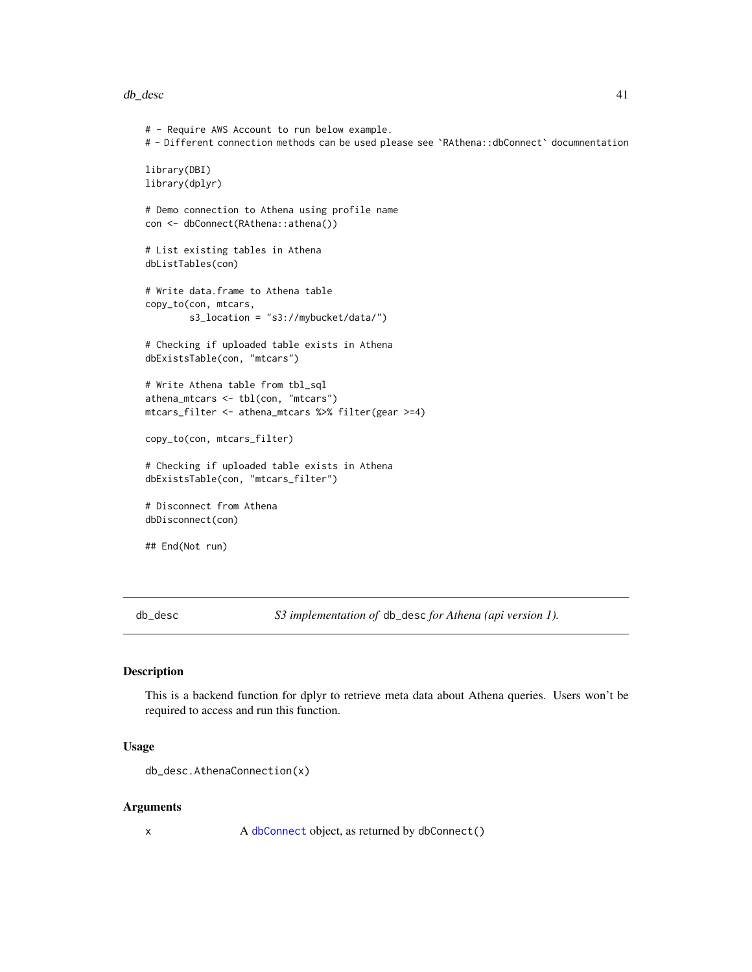#### <span id="page-40-0"></span>db\_desc 41

```
# - Require AWS Account to run below example.
# - Different connection methods can be used please see `RAthena::dbConnect` documnentation
library(DBI)
library(dplyr)
# Demo connection to Athena using profile name
con <- dbConnect(RAthena::athena())
# List existing tables in Athena
dbListTables(con)
# Write data.frame to Athena table
copy_to(con, mtcars,
        s3_location = "s3://mybucket/data/")
# Checking if uploaded table exists in Athena
dbExistsTable(con, "mtcars")
# Write Athena table from tbl_sql
athena_mtcars <- tbl(con, "mtcars")
mtcars_filter <- athena_mtcars %>% filter(gear >=4)
copy_to(con, mtcars_filter)
# Checking if uploaded table exists in Athena
dbExistsTable(con, "mtcars_filter")
# Disconnect from Athena
dbDisconnect(con)
## End(Not run)
```
db\_desc *S3 implementation of* db\_desc *for Athena (api version 1).*

#### Description

This is a backend function for dplyr to retrieve meta data about Athena queries. Users won't be required to access and run this function.

#### Usage

```
db_desc.AthenaConnection(x)
```
#### Arguments

x A [dbConnect](#page-12-1) object, as returned by dbConnect()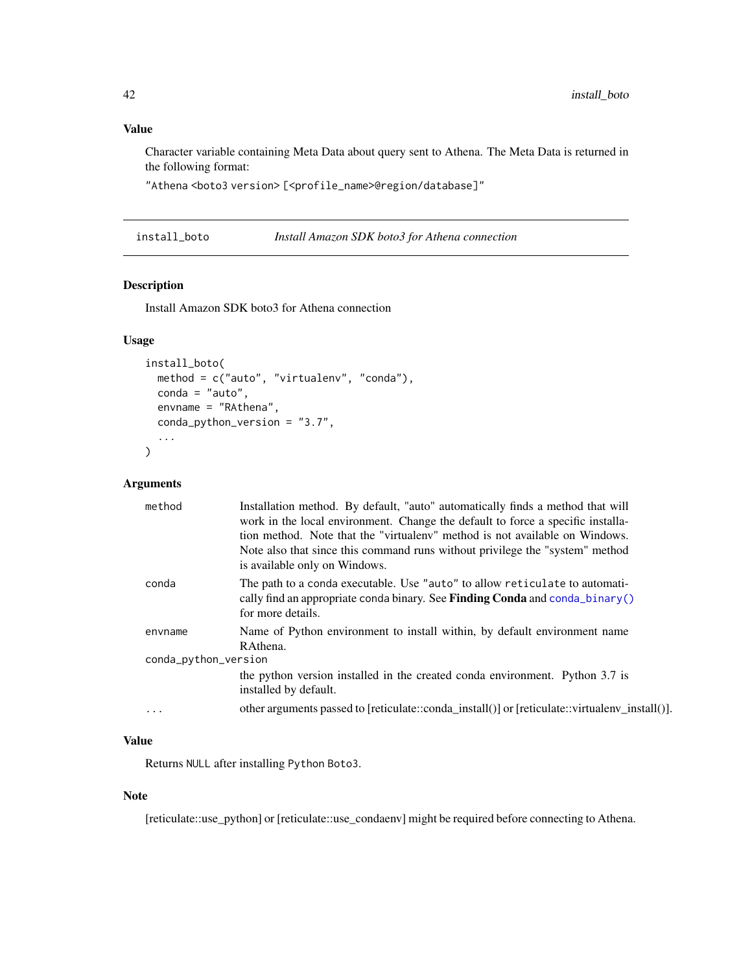## <span id="page-41-0"></span>Value

Character variable containing Meta Data about query sent to Athena. The Meta Data is returned in the following format:

"Athena<boto3 version> [<profile\_name>@region/database]"

| install_boto | Install Amazon SDK boto3 for Athena connection |  |
|--------------|------------------------------------------------|--|
|--------------|------------------------------------------------|--|

## Description

Install Amazon SDK boto3 for Athena connection

## Usage

```
install_boto(
 method = c("auto", "virtualenv", "conda"),
 conda = "auto",envname = "RAthena",
 conda_python_version = "3.7",
  ...
\mathcal{L}
```
## Arguments

| method               | Installation method. By default, "auto" automatically finds a method that will<br>work in the local environment. Change the default to force a specific installa-<br>tion method. Note that the "virtualeny" method is not available on Windows.<br>Note also that since this command runs without privilege the "system" method<br>is available only on Windows. |
|----------------------|-------------------------------------------------------------------------------------------------------------------------------------------------------------------------------------------------------------------------------------------------------------------------------------------------------------------------------------------------------------------|
| conda                | The path to a conda executable. Use "auto" to allow reticulate to automati-<br>cally find an appropriate conda binary. See <b>Finding Conda</b> and conda $\phi$ binary()<br>for more details.                                                                                                                                                                    |
| envname              | Name of Python environment to install within, by default environment name<br>RAthena.                                                                                                                                                                                                                                                                             |
| conda_python_version |                                                                                                                                                                                                                                                                                                                                                                   |
|                      | the python version installed in the created conda environment. Python 3.7 is<br>installed by default.                                                                                                                                                                                                                                                             |
| $\cdot$              | other arguments passed to [reticulate::conda_install()] or [reticulate::virtualenv_install()].                                                                                                                                                                                                                                                                    |

## Value

Returns NULL after installing Python Boto3.

## Note

[reticulate::use\_python] or [reticulate::use\_condaenv] might be required before connecting to Athena.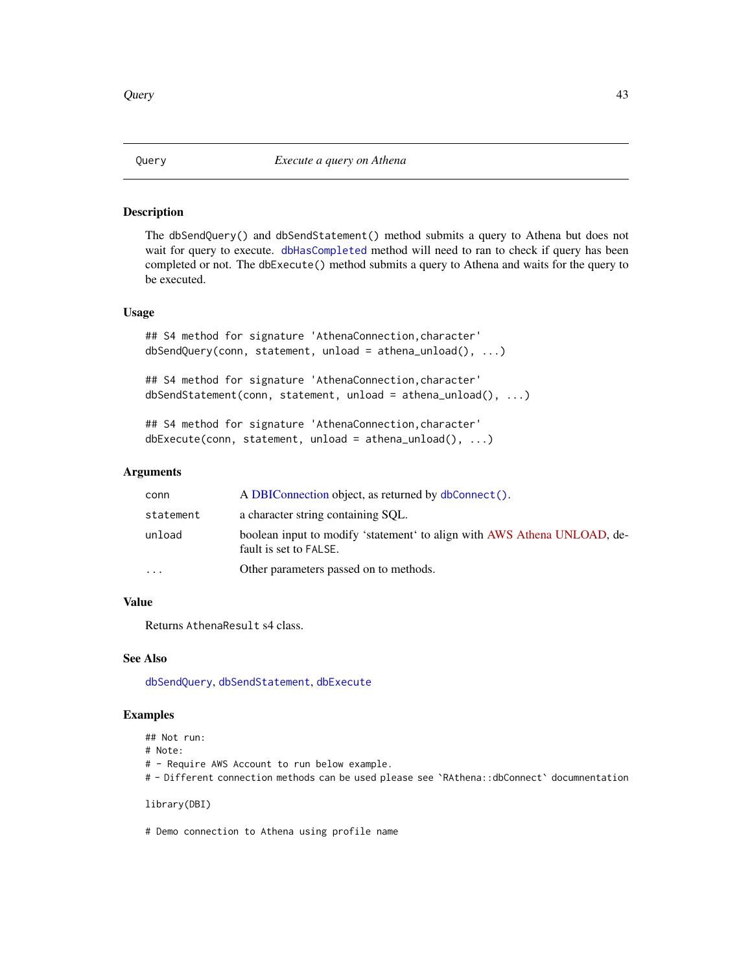#### **Description**

The dbSendQuery() and dbSendStatement() method submits a query to Athena but does not wait for query to execute. [dbHasCompleted](#page-27-1) method will need to ran to check if query has been completed or not. The dbExecute() method submits a query to Athena and waits for the query to be executed.

#### Usage

```
## S4 method for signature 'AthenaConnection, character'
dbSendQuery(conn, statement, unload = athena_unload(), ...)
```

```
## S4 method for signature 'AthenaConnection,character'
dbSendStatement(conn, statement, unload = athena_unload(), ...)
```

```
## S4 method for signature 'AthenaConnection, character'
dbExecute(conn, statement, unload = athena_unload(), ...)
```
#### Arguments

| conn      | A DBIConnection object, as returned by dbConnect().                                                |
|-----------|----------------------------------------------------------------------------------------------------|
| statement | a character string containing SQL.                                                                 |
| unload    | boolean input to modify 'statement' to align with AWS Athena UNLOAD, de-<br>fault is set to FALSE. |
| $\cdot$   | Other parameters passed on to methods.                                                             |

#### Value

Returns AthenaResult s4 class.

## See Also

[dbSendQuery](#page-0-0), [dbSendStatement](#page-0-0), [dbExecute](#page-0-0)

#### Examples

```
## Not run:
```
# Note:

# - Require AWS Account to run below example.

# - Different connection methods can be used please see `RAthena::dbConnect` documnentation

library(DBI)

# Demo connection to Athena using profile name

<span id="page-42-0"></span>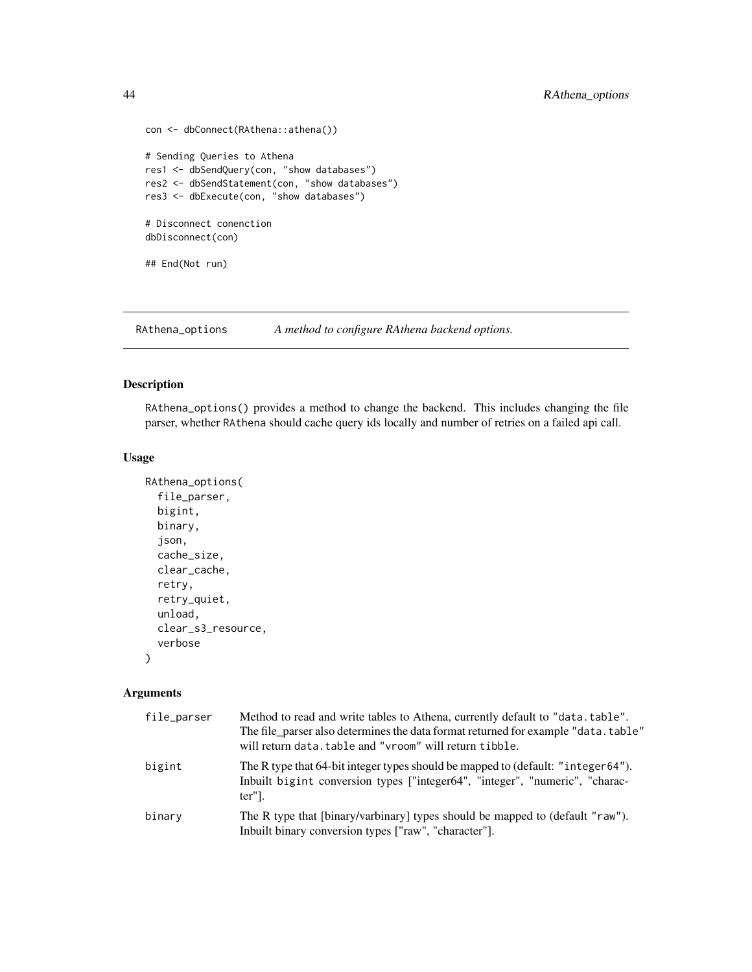```
con <- dbConnect(RAthena::athena())
# Sending Queries to Athena
res1 <- dbSendQuery(con, "show databases")
res2 <- dbSendStatement(con, "show databases")
res3 <- dbExecute(con, "show databases")
# Disconnect conenction
dbDisconnect(con)
## End(Not run)
```
<span id="page-43-1"></span>RAthena\_options *A method to configure RAthena backend options.*

## Description

RAthena\_options() provides a method to change the backend. This includes changing the file parser, whether RAthena should cache query ids locally and number of retries on a failed api call.

#### Usage

```
RAthena_options(
  file_parser,
  bigint,
 binary,
  json,
  cache_size,
  clear_cache,
  retry,
  retry_quiet,
  unload,
  clear_s3_resource,
  verbose
\lambda
```

| file_parser | Method to read and write tables to Athena, currently default to "data.table".<br>The file parser also determines the data format returned for example "data.table"<br>will return data. table and "vroom" will return tibble. |
|-------------|-------------------------------------------------------------------------------------------------------------------------------------------------------------------------------------------------------------------------------|
| bigint      | The R type that 64-bit integer types should be mapped to (default: "integer64").<br>Inbuilt bigint conversion types ["integer64", "integer", "numeric", "charac-<br>ter"].                                                    |
| binary      | The R type that [binary/varbinary] types should be mapped to (default "raw").<br>Inbuilt binary conversion types ["raw", "character"].                                                                                        |

<span id="page-43-0"></span>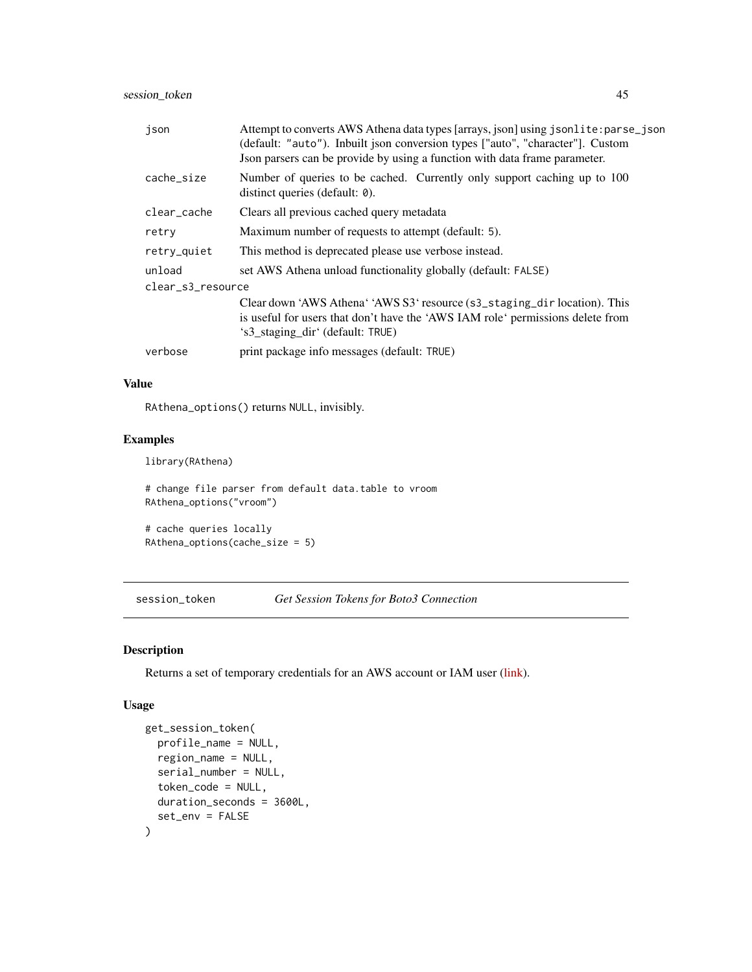<span id="page-44-0"></span>

| json              | Attempt to converts AWS Athena data types [arrays, json] using jsonlite: parse_json<br>(default: "auto"). Inbuilt json conversion types ["auto", "character"]. Custom<br>Json parsers can be provide by using a function with data frame parameter. |  |
|-------------------|-----------------------------------------------------------------------------------------------------------------------------------------------------------------------------------------------------------------------------------------------------|--|
| cache_size        | Number of queries to be cached. Currently only support caching up to 100<br>distinct queries (default: 0).                                                                                                                                          |  |
| clear cache       | Clears all previous cached query metadata                                                                                                                                                                                                           |  |
| retry             | Maximum number of requests to attempt (default: 5).                                                                                                                                                                                                 |  |
| retry_quiet       | This method is deprecated please use verbose instead.                                                                                                                                                                                               |  |
| unload            | set AWS Athena unload functionality globally (default: FALSE)                                                                                                                                                                                       |  |
| clear s3 resource |                                                                                                                                                                                                                                                     |  |
|                   | Clear down 'AWS Athena' 'AWS S3' resource (s3_staging_dir location). This<br>is useful for users that don't have the 'AWS IAM role' permissions delete from<br>'s3_staging_dir' (default: TRUE)                                                     |  |
| verbose           | print package info messages (default: TRUE)                                                                                                                                                                                                         |  |

## Value

RAthena\_options() returns NULL, invisibly.

## Examples

library(RAthena)

# change file parser from default data.table to vroom RAthena\_options("vroom")

# cache queries locally RAthena\_options(cache\_size = 5)

session\_token *Get Session Tokens for Boto3 Connection*

## Description

Returns a set of temporary credentials for an AWS account or IAM user [\(link\)](https://boto3.amazonaws.com/v1/documentation/api/latest/reference/services/sts.html#STS.Client.get_session_token).

## Usage

```
get_session_token(
 profile_name = NULL,
  region_name = NULL,
  serial_number = NULL,
  token_code = NULL,
 duration_seconds = 3600L,
  set_env = FALSE
\mathcal{E}
```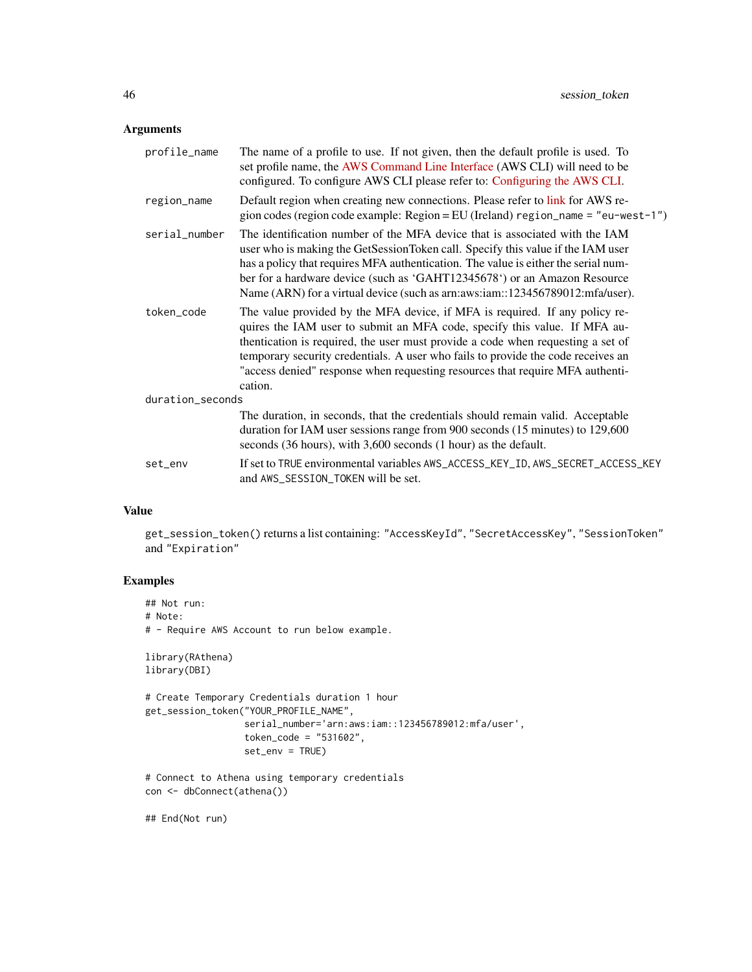## Arguments

| profile_name     | The name of a profile to use. If not given, then the default profile is used. To<br>set profile name, the AWS Command Line Interface (AWS CLI) will need to be<br>configured. To configure AWS CLI please refer to: Configuring the AWS CLI.                                                                                                                                                                                |  |
|------------------|-----------------------------------------------------------------------------------------------------------------------------------------------------------------------------------------------------------------------------------------------------------------------------------------------------------------------------------------------------------------------------------------------------------------------------|--|
| region_name      | Default region when creating new connections. Please refer to link for AWS re-<br>gion codes (region code example: Region = EU (Ireland) region_name = "eu-west-1")                                                                                                                                                                                                                                                         |  |
| serial_number    | The identification number of the MFA device that is associated with the IAM<br>user who is making the GetSessionToken call. Specify this value if the IAM user<br>has a policy that requires MFA authentication. The value is either the serial num-<br>ber for a hardware device (such as 'GAHT12345678') or an Amazon Resource<br>Name (ARN) for a virtual device (such as arm:aws:iam::123456789012:mfa/user).           |  |
| token code       | The value provided by the MFA device, if MFA is required. If any policy re-<br>quires the IAM user to submit an MFA code, specify this value. If MFA au-<br>thentication is required, the user must provide a code when requesting a set of<br>temporary security credentials. A user who fails to provide the code receives an<br>"access denied" response when requesting resources that require MFA authenti-<br>cation. |  |
| duration_seconds |                                                                                                                                                                                                                                                                                                                                                                                                                             |  |
|                  | The duration, in seconds, that the credentials should remain valid. Acceptable<br>duration for IAM user sessions range from 900 seconds (15 minutes) to 129,600<br>seconds (36 hours), with 3,600 seconds (1 hour) as the default.                                                                                                                                                                                          |  |
| set_env          | If set to TRUE environmental variables AWS_ACCESS_KEY_ID, AWS_SECRET_ACCESS_KEY<br>and AWS_SESSION_TOKEN will be set.                                                                                                                                                                                                                                                                                                       |  |

## Value

get\_session\_token() returns a list containing: "AccessKeyId", "SecretAccessKey", "SessionToken" and "Expiration"

## Examples

```
## Not run:
# Note:
# - Require AWS Account to run below example.
library(RAthena)
library(DBI)
# Create Temporary Credentials duration 1 hour
get_session_token("YOUR_PROFILE_NAME",
                 serial_number='arn:aws:iam::123456789012:mfa/user',
                  token\_code = "531602",set_env = TRUE)
# Connect to Athena using temporary credentials
```

```
con <- dbConnect(athena())
```
## End(Not run)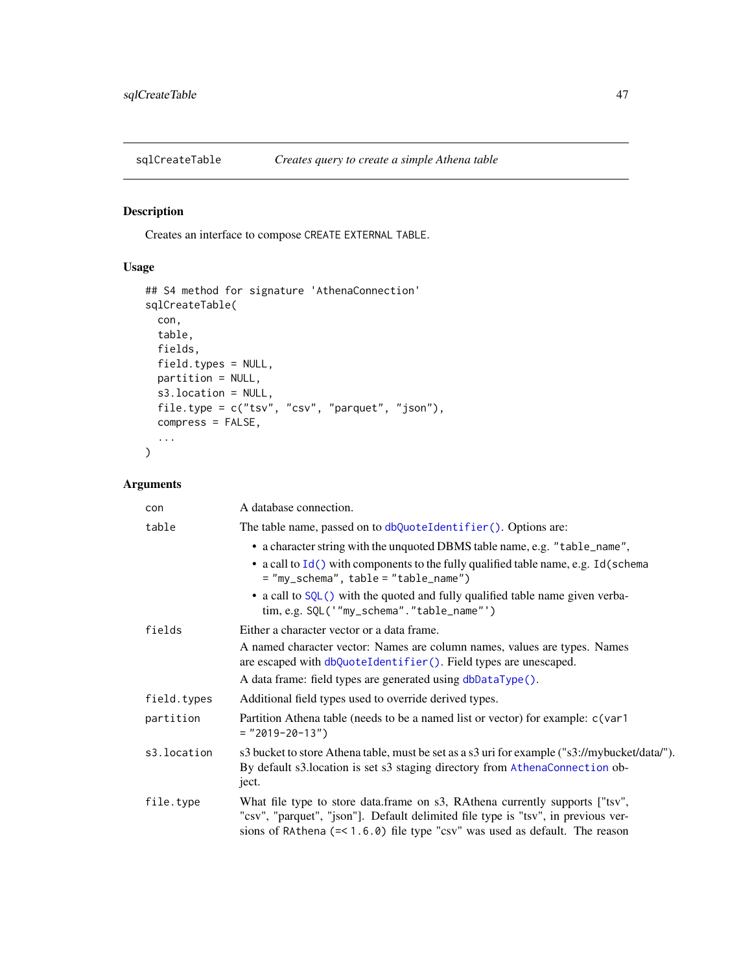<span id="page-46-1"></span><span id="page-46-0"></span>

## Description

Creates an interface to compose CREATE EXTERNAL TABLE.

## Usage

```
## S4 method for signature 'AthenaConnection'
sqlCreateTable(
 con,
 table,
 fields,
 field.types = NULL,
 partition = NULL,
 s3.location = NULL,
 file.type = c("tsv", "csv", "parquet", "json"),
 compress = FALSE,
  ...
)
```

| con         | A database connection.                                                                                                                                                                                                                              |
|-------------|-----------------------------------------------------------------------------------------------------------------------------------------------------------------------------------------------------------------------------------------------------|
| table       | The table name, passed on to dbQuoteIdentifier(). Options are:                                                                                                                                                                                      |
|             | • a character string with the unquoted DBMS table name, e.g. "table_name",                                                                                                                                                                          |
|             | • a call to Id() with components to the fully qualified table name, e.g. Id(schema<br>$=$ "my_schema", table = "table_name")                                                                                                                        |
|             | • a call to SQL() with the quoted and fully qualified table name given verba-<br>tim, e.g. SQL('"my_schema"."table_name"')                                                                                                                          |
| fields      | Either a character vector or a data frame.                                                                                                                                                                                                          |
|             | A named character vector: Names are column names, values are types. Names<br>are escaped with dbQuoteIdentifier(). Field types are unescaped.                                                                                                       |
|             | A data frame: field types are generated using dbDataType().                                                                                                                                                                                         |
| field.types | Additional field types used to override derived types.                                                                                                                                                                                              |
| partition   | Partition Athena table (needs to be a named list or vector) for example: c(var1<br>$=$ "2019-20-13")                                                                                                                                                |
| s3.location | s3 bucket to store Athena table, must be set as a s3 uri for example ("s3://mybucket/data/").<br>By default s3.1 ocation is set s3 staging directory from AthenaConnection ob-<br>ject.                                                             |
| file.type   | What file type to store data.frame on s3, RAthena currently supports ["tsv",<br>"csv", "parquet", "json"]. Default delimited file type is "tsv", in previous ver-<br>sions of RAthena $(= < 1.6.0)$ file type "csv" was used as default. The reason |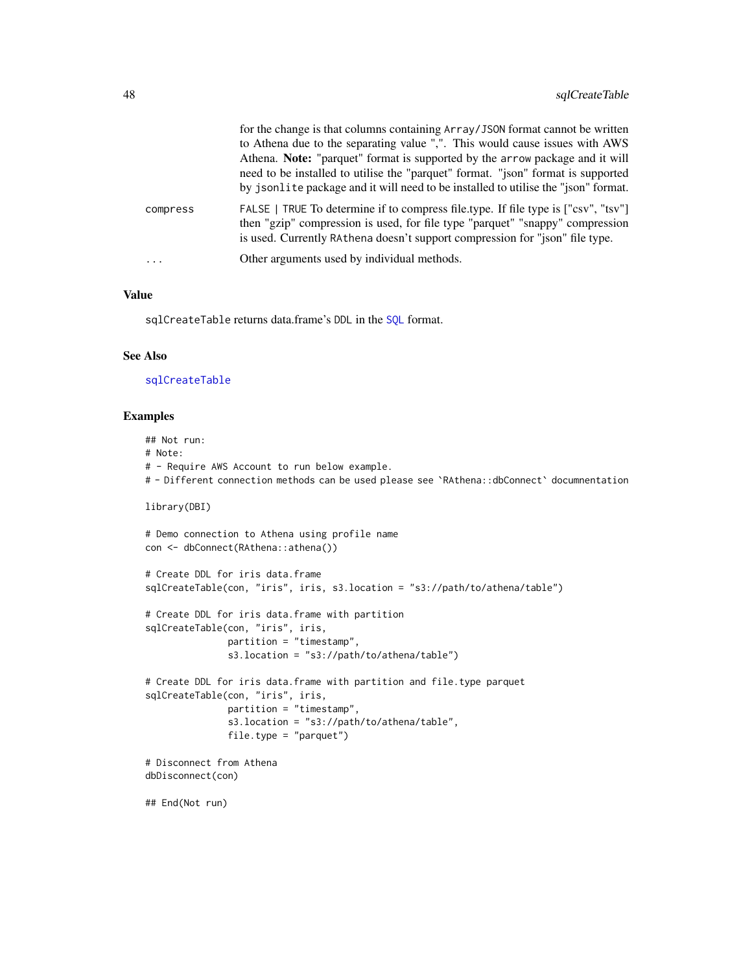<span id="page-47-0"></span>

|          | for the change is that columns containing Array/JSON format cannot be written<br>to Athena due to the separating value ",". This would cause issues with AWS<br>Athena. Note: "parquet" format is supported by the arrow package and it will<br>need to be installed to utilise the "parquet" format. "json" format is supported<br>by jsonlite package and it will need to be installed to utilise the "json" format. |
|----------|------------------------------------------------------------------------------------------------------------------------------------------------------------------------------------------------------------------------------------------------------------------------------------------------------------------------------------------------------------------------------------------------------------------------|
| compress | FALSE   TRUE To determine if to compress file type. If file type is ["csv", "tsv"]<br>then "gzip" compression is used, for file type "parquet" "snappy" compression<br>is used. Currently RAthena doesn't support compression for "json" file type.                                                                                                                                                                    |
| $\cdots$ | Other arguments used by individual methods.                                                                                                                                                                                                                                                                                                                                                                            |

#### Value

sqlCreateTable returns data.frame's DDL in the [SQL](#page-0-0) format.

#### See Also

## [sqlCreateTable](#page-46-1)

#### Examples

## Not run: # Note: # - Require AWS Account to run below example. # - Different connection methods can be used please see `RAthena::dbConnect` documnentation library(DBI) # Demo connection to Athena using profile name con <- dbConnect(RAthena::athena()) # Create DDL for iris data.frame sqlCreateTable(con, "iris", iris, s3.location = "s3://path/to/athena/table") # Create DDL for iris data.frame with partition sqlCreateTable(con, "iris", iris, partition = "timestamp", s3.location = "s3://path/to/athena/table") # Create DDL for iris data.frame with partition and file.type parquet sqlCreateTable(con, "iris", iris, partition = "timestamp", s3.location = "s3://path/to/athena/table", file.type = "parquet") # Disconnect from Athena dbDisconnect(con) ## End(Not run)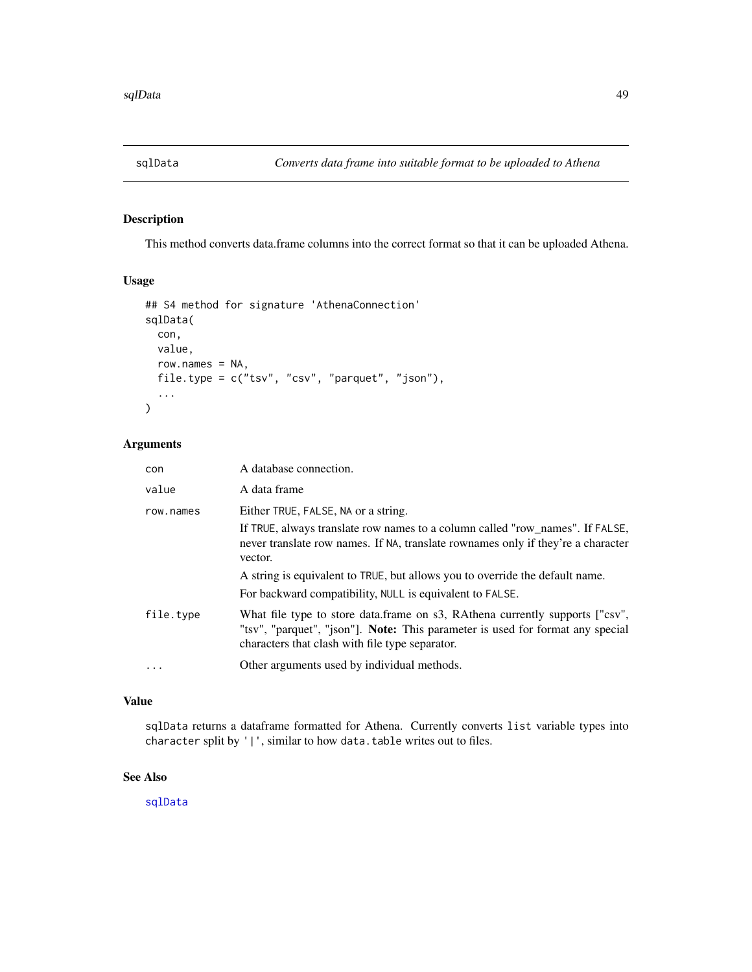<span id="page-48-1"></span><span id="page-48-0"></span>

## Description

This method converts data.frame columns into the correct format so that it can be uploaded Athena.

## Usage

```
## S4 method for signature 'AthenaConnection'
sqlData(
 con,
 value,
 row.names = NA,
 file.type = c("tsv", "csv", "parquet", "json"),
  ...
\mathcal{L}
```
## Arguments

| con       | A database connection.                                                                                                                                                                                                                                                                              |
|-----------|-----------------------------------------------------------------------------------------------------------------------------------------------------------------------------------------------------------------------------------------------------------------------------------------------------|
| value     | A data frame                                                                                                                                                                                                                                                                                        |
| row.names | Either TRUE, FALSE, NA or a string.<br>If TRUE, always translate row names to a column called "row_names". If FALSE,<br>never translate row names. If NA, translate rownames only if they're a character<br>vector.<br>A string is equivalent to TRUE, but allows you to override the default name. |
|           | For backward compatibility, NULL is equivalent to FALSE.                                                                                                                                                                                                                                            |
| file.type | What file type to store data.frame on s3, RAthena currently supports ["csv",<br>"tsv", "parquet", "json"]. Note: This parameter is used for format any special<br>characters that clash with file type separator.                                                                                   |
| $\ddotsc$ | Other arguments used by individual methods.                                                                                                                                                                                                                                                         |

## Value

sqlData returns a dataframe formatted for Athena. Currently converts list variable types into character split by '|', similar to how data.table writes out to files.

## See Also

[sqlData](#page-48-1)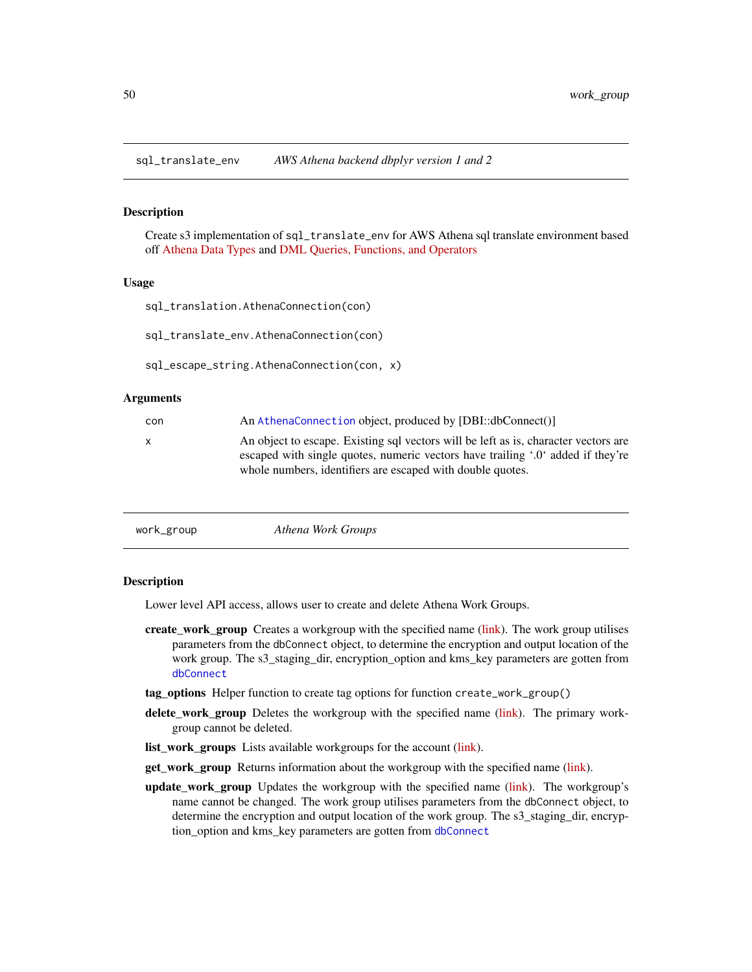<span id="page-49-0"></span>sql\_translate\_env *AWS Athena backend dbplyr version 1 and 2*

#### Description

Create s3 implementation of sql\_translate\_env for AWS Athena sql translate environment based off [Athena Data Types](https://docs.aws.amazon.com/athena/latest/ug/data-types.html) and [DML Queries, Functions, and Operators](https://docs.aws.amazon.com/athena/latest/ug/functions-operators-reference-section.html)

#### Usage

```
sql_translation.AthenaConnection(con)
```
sql\_translate\_env.AthenaConnection(con)

sql\_escape\_string.AthenaConnection(con, x)

#### Arguments

| con | An AthenaConnection object, produced by [DBI::dbConnect()]                                                                                                                                                                           |
|-----|--------------------------------------------------------------------------------------------------------------------------------------------------------------------------------------------------------------------------------------|
| x   | An object to escape. Existing sql vectors will be left as is, character vectors are<br>escaped with single quotes, numeric vectors have trailing '.0' added if they're<br>whole numbers, identifiers are escaped with double quotes. |
|     |                                                                                                                                                                                                                                      |

```
work_group Athena Work Groups
```
## **Description**

Lower level API access, allows user to create and delete Athena Work Groups.

- create\_work\_group Creates a workgroup with the specified name [\(link\)](https://boto3.amazonaws.com/v1/documentation/api/latest/reference/services/athena.html#Athena.Client.create_work_group). The work group utilises parameters from the dbConnect object, to determine the encryption and output location of the work group. The s3\_staging\_dir, encryption\_option and kms\_key parameters are gotten from [dbConnect](#page-12-1)
- tag\_options Helper function to create tag options for function create\_work\_group()
- delete\_work\_group Deletes the workgroup with the specified name [\(link\)](https://boto3.amazonaws.com/v1/documentation/api/latest/reference/services/athena.html#Athena.Client.delete_work_group). The primary workgroup cannot be deleted.
- list\_work\_groups Lists available workgroups for the account [\(link\)](https://boto3.amazonaws.com/v1/documentation/api/latest/reference/services/athena.html#Athena.Client.list_work_groups).
- get\_work\_group Returns information about the workgroup with the specified name [\(link\)](https://boto3.amazonaws.com/v1/documentation/api/latest/reference/services/athena.html#Athena.Client.get_work_group).
- update work group Updates the workgroup with the specified name [\(link\)](https://boto3.amazonaws.com/v1/documentation/api/latest/reference/services/athena.html#Athena.Client.update_work_group). The workgroup's name cannot be changed. The work group utilises parameters from the dbConnect object, to determine the encryption and output location of the work group. The s3\_staging\_dir, encryption\_option and kms\_key parameters are gotten from [dbConnect](#page-12-1)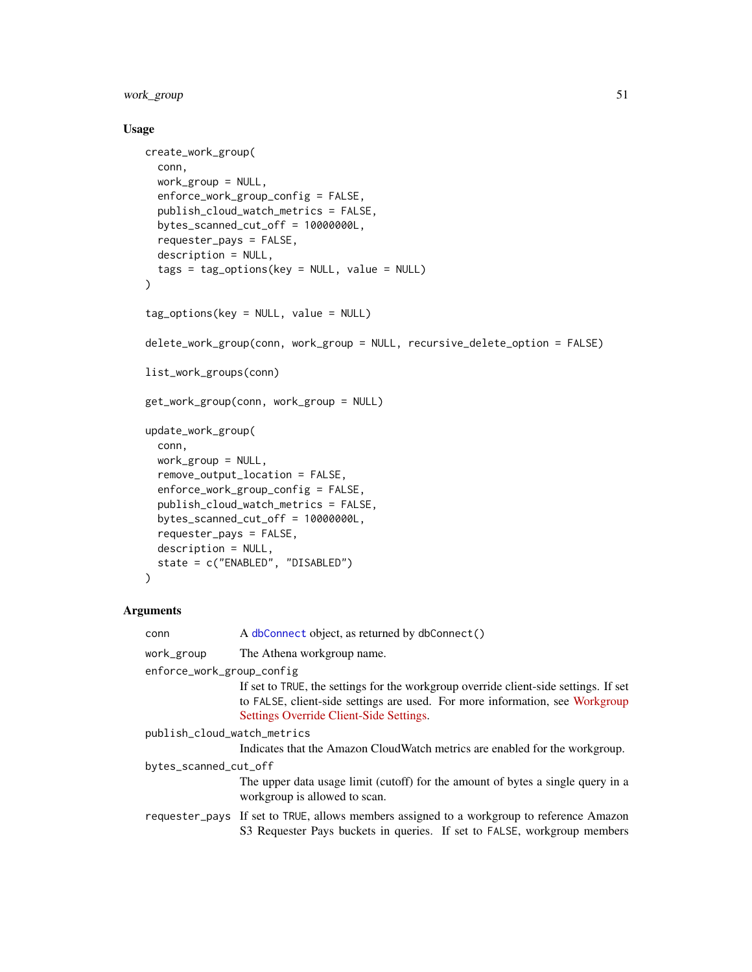<span id="page-50-0"></span>work\_group 51

## Usage

```
create_work_group(
 conn,
  work_group = NULL,
  enforce_work_group_config = FALSE,
 publish_cloud_watch_metrics = FALSE,
 bytes_scanned_cut_off = 10000000L,
  requester_pays = FALSE,
 description = NULL,
  tags = tag_options(key = NULL, value = NULL)
\mathcal{L}tag_options(key = NULL, value = NULL)
delete_work_group(conn, work_group = NULL, recursive_delete_option = FALSE)
list_work_groups(conn)
get_work_group(conn, work_group = NULL)
update_work_group(
  conn,
  work_group = NULL,
  remove_output_location = FALSE,
  enforce_work_group_config = FALSE,
  publish_cloud_watch_metrics = FALSE,
  bytes_scanned_cut_off = 10000000L,
  requester_pays = FALSE,
 description = NULL,
  state = c("ENABLED", "DISABLED")
)
```

| conn                        | A dbConnect object, as returned by dbConnect()                                                                                                                                                                  |  |
|-----------------------------|-----------------------------------------------------------------------------------------------------------------------------------------------------------------------------------------------------------------|--|
| work_group                  | The Athena workgroup name.                                                                                                                                                                                      |  |
| enforce_work_group_config   |                                                                                                                                                                                                                 |  |
|                             | If set to TRUE, the settings for the workgroup override client-side settings. If set<br>to FALSE, client-side settings are used. For more information, see Workgroup<br>Settings Override Client-Side Settings. |  |
| publish_cloud_watch_metrics |                                                                                                                                                                                                                 |  |
|                             | Indicates that the Amazon CloudWatch metrics are enabled for the workgroup.                                                                                                                                     |  |
| bytes_scanned_cut_off       |                                                                                                                                                                                                                 |  |
|                             | The upper data usage limit (cutoff) for the amount of bytes a single query in a<br>workgroup is allowed to scan.                                                                                                |  |
|                             | requester_pays If set to TRUE, allows members assigned to a workgroup to reference Amazon<br>S3 Requester Pays buckets in queries. If set to FALSE, workgroup members                                           |  |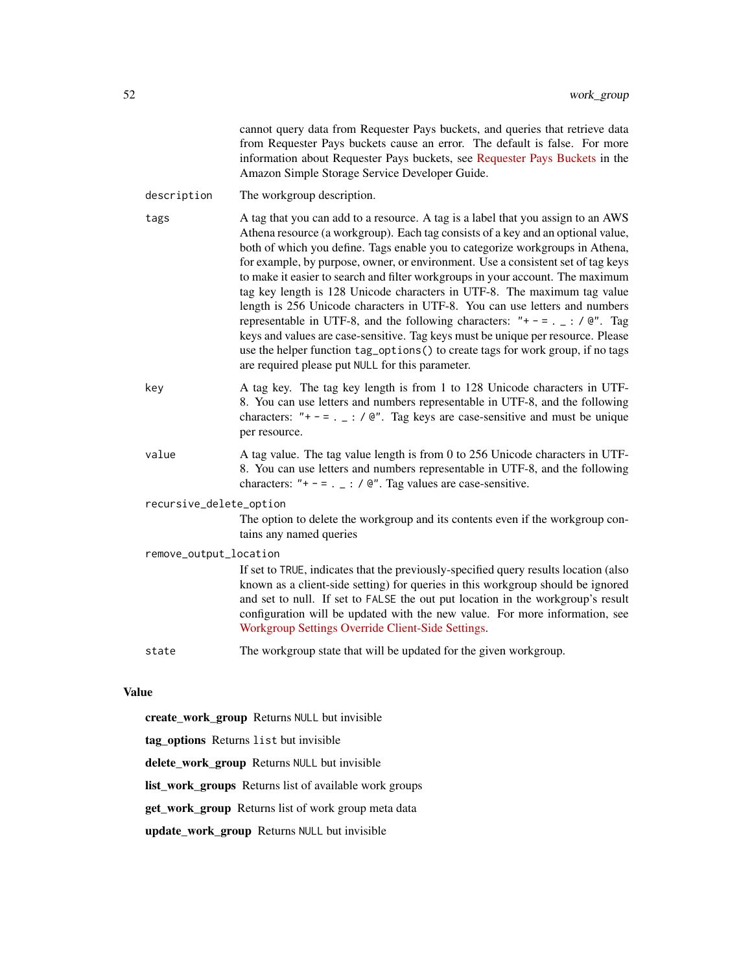|                                              |                         | cannot query data from Requester Pays buckets, and queries that retrieve data<br>from Requester Pays buckets cause an error. The default is false. For more<br>information about Requester Pays buckets, see Requester Pays Buckets in the<br>Amazon Simple Storage Service Developer Guide.                                                                                                                                                                                                                                                                                                                                                                                                                                                                                                                                                                                                            |
|----------------------------------------------|-------------------------|---------------------------------------------------------------------------------------------------------------------------------------------------------------------------------------------------------------------------------------------------------------------------------------------------------------------------------------------------------------------------------------------------------------------------------------------------------------------------------------------------------------------------------------------------------------------------------------------------------------------------------------------------------------------------------------------------------------------------------------------------------------------------------------------------------------------------------------------------------------------------------------------------------|
|                                              | description             | The workgroup description.                                                                                                                                                                                                                                                                                                                                                                                                                                                                                                                                                                                                                                                                                                                                                                                                                                                                              |
|                                              | tags                    | A tag that you can add to a resource. A tag is a label that you assign to an AWS<br>Athena resource (a workgroup). Each tag consists of a key and an optional value,<br>both of which you define. Tags enable you to categorize workgroups in Athena,<br>for example, by purpose, owner, or environment. Use a consistent set of tag keys<br>to make it easier to search and filter workgroups in your account. The maximum<br>tag key length is 128 Unicode characters in UTF-8. The maximum tag value<br>length is 256 Unicode characters in UTF-8. You can use letters and numbers<br>representable in UTF-8, and the following characters: "+ - = . $\angle$ : / @". Tag<br>keys and values are case-sensitive. Tag keys must be unique per resource. Please<br>use the helper function tag_options() to create tags for work group, if no tags<br>are required please put NULL for this parameter. |
|                                              | key                     | A tag key. The tag key length is from 1 to 128 Unicode characters in UTF-<br>8. You can use letters and numbers representable in UTF-8, and the following<br>characters: "+ - = . $\angle$ : / @". Tag keys are case-sensitive and must be unique<br>per resource.                                                                                                                                                                                                                                                                                                                                                                                                                                                                                                                                                                                                                                      |
|                                              | value                   | A tag value. The tag value length is from 0 to 256 Unicode characters in UTF-<br>8. You can use letters and numbers representable in UTF-8, and the following<br>characters: "+ - = . $\angle$ : / @". Tag values are case-sensitive.                                                                                                                                                                                                                                                                                                                                                                                                                                                                                                                                                                                                                                                                   |
|                                              | recursive_delete_option |                                                                                                                                                                                                                                                                                                                                                                                                                                                                                                                                                                                                                                                                                                                                                                                                                                                                                                         |
|                                              |                         | The option to delete the workgroup and its contents even if the workgroup con-<br>tains any named queries                                                                                                                                                                                                                                                                                                                                                                                                                                                                                                                                                                                                                                                                                                                                                                                               |
|                                              | remove_output_location  |                                                                                                                                                                                                                                                                                                                                                                                                                                                                                                                                                                                                                                                                                                                                                                                                                                                                                                         |
|                                              |                         | If set to TRUE, indicates that the previously-specified query results location (also<br>known as a client-side setting) for queries in this workgroup should be ignored<br>and set to null. If set to FALSE the out put location in the workgroup's result<br>configuration will be updated with the new value. For more information, see<br>Workgroup Settings Override Client-Side Settings.                                                                                                                                                                                                                                                                                                                                                                                                                                                                                                          |
|                                              | state                   | The workgroup state that will be updated for the given workgroup.                                                                                                                                                                                                                                                                                                                                                                                                                                                                                                                                                                                                                                                                                                                                                                                                                                       |
| <b>Value</b>                                 |                         |                                                                                                                                                                                                                                                                                                                                                                                                                                                                                                                                                                                                                                                                                                                                                                                                                                                                                                         |
|                                              |                         | create_work_group Returns NULL but invisible                                                                                                                                                                                                                                                                                                                                                                                                                                                                                                                                                                                                                                                                                                                                                                                                                                                            |
| tag options Returns list but invisible       |                         |                                                                                                                                                                                                                                                                                                                                                                                                                                                                                                                                                                                                                                                                                                                                                                                                                                                                                                         |
| delete_work_group Returns NULL but invisible |                         |                                                                                                                                                                                                                                                                                                                                                                                                                                                                                                                                                                                                                                                                                                                                                                                                                                                                                                         |

list\_work\_groups Returns list of available work groups

get\_work\_group Returns list of work group meta data

update\_work\_group Returns NULL but invisible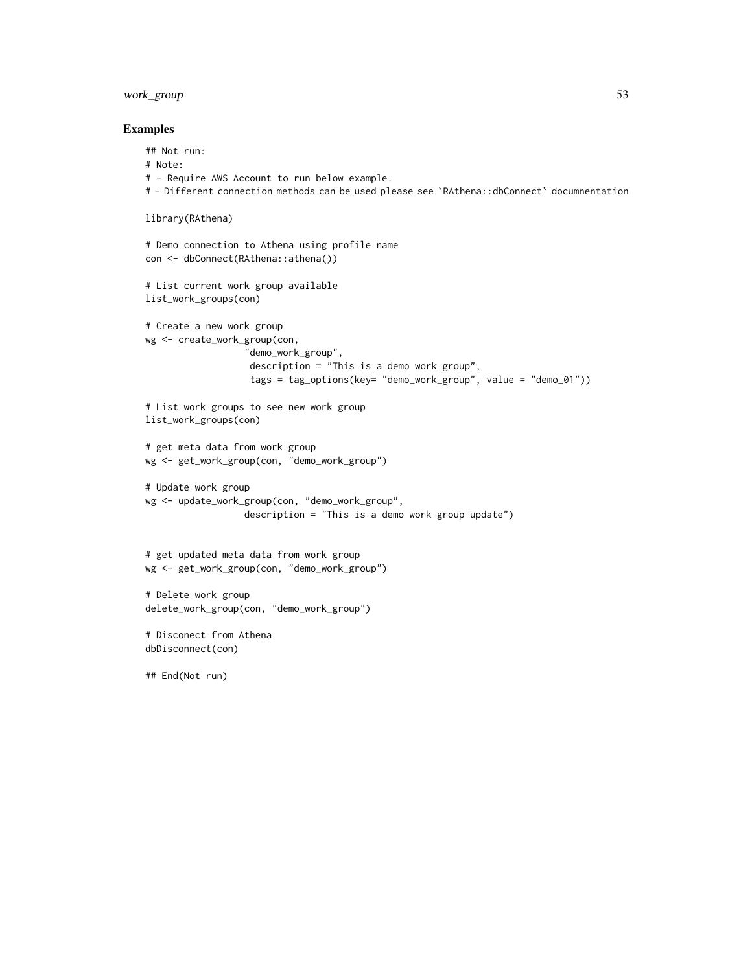## work\_group 53

## Examples

```
## Not run:
# Note:
# - Require AWS Account to run below example.
# - Different connection methods can be used please see `RAthena::dbConnect` documnentation
library(RAthena)
# Demo connection to Athena using profile name
con <- dbConnect(RAthena::athena())
# List current work group available
list_work_groups(con)
# Create a new work group
wg <- create_work_group(con,
                  "demo_work_group",
                   description = "This is a demo work group",
                   tags = tag_options(key= "demo_work_group", value = "demo_01"))
# List work groups to see new work group
list_work_groups(con)
# get meta data from work group
wg <- get_work_group(con, "demo_work_group")
# Update work group
wg <- update_work_group(con, "demo_work_group",
                  description = "This is a demo work group update")
# get updated meta data from work group
wg <- get_work_group(con, "demo_work_group")
# Delete work group
delete_work_group(con, "demo_work_group")
# Disconect from Athena
dbDisconnect(con)
```
## End(Not run)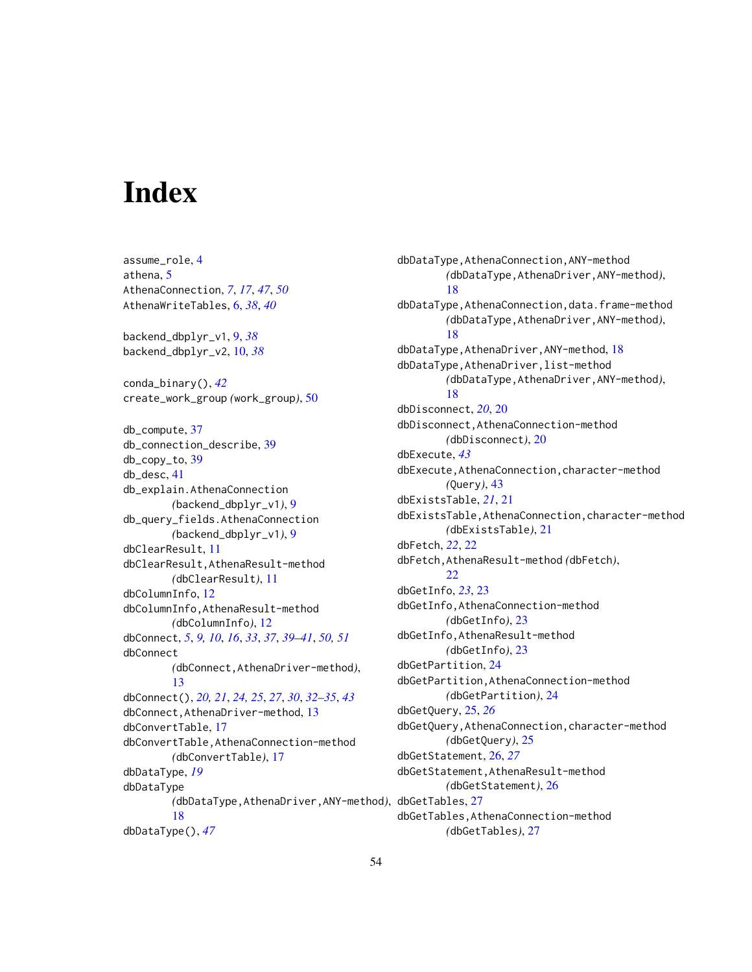# <span id="page-53-0"></span>Index

assume\_role, [4](#page-3-0) athena, [5](#page-4-0) AthenaConnection, *[7](#page-6-0)*, *[17](#page-16-0)*, *[47](#page-46-0)*, *[50](#page-49-0)* AthenaWriteTables, [6,](#page-5-0) *[38](#page-37-0)*, *[40](#page-39-0)* backend\_dbplyr\_v1, [9,](#page-8-0) *[38](#page-37-0)* backend\_dbplyr\_v2, [10,](#page-9-0) *[38](#page-37-0)* conda\_binary(), *[42](#page-41-0)* create\_work\_group *(*work\_group*)*, [50](#page-49-0) db\_compute, [37](#page-36-0) db\_connection\_describe, [39](#page-38-0) db\_copy\_to, [39](#page-38-0) db\_desc, [41](#page-40-0) db\_explain.AthenaConnection *(*backend\_dbplyr\_v1*)*, [9](#page-8-0) db\_query\_fields.AthenaConnection *(*backend\_dbplyr\_v1*)*, [9](#page-8-0) dbClearResult, [11](#page-10-0) dbClearResult,AthenaResult-method *(*dbClearResult*)*, [11](#page-10-0) dbColumnInfo, [12](#page-11-0) dbColumnInfo,AthenaResult-method *(*dbColumnInfo*)*, [12](#page-11-0) dbConnect, *[5](#page-4-0)*, *[9,](#page-8-0) [10](#page-9-0)*, *[16](#page-15-0)*, *[33](#page-32-0)*, *[37](#page-36-0)*, *[39–](#page-38-0)[41](#page-40-0)*, *[50,](#page-49-0) [51](#page-50-0)* dbConnect *(*dbConnect,AthenaDriver-method*)*, [13](#page-12-0) dbConnect(), *[20,](#page-19-0) [21](#page-20-0)*, *[24,](#page-23-0) [25](#page-24-0)*, *[27](#page-26-0)*, *[30](#page-29-0)*, *[32–](#page-31-0)[35](#page-34-0)*, *[43](#page-42-0)* dbConnect,AthenaDriver-method, [13](#page-12-0) dbConvertTable, [17](#page-16-0) dbConvertTable,AthenaConnection-method *(*dbConvertTable*)*, [17](#page-16-0) dbDataType, *[19](#page-18-0)* dbDataType *(*dbDataType,AthenaDriver,ANY-method*)*, dbGetTables, [27](#page-26-0) [18](#page-17-0) dbDataType(), *[47](#page-46-0)*

dbDataType,AthenaConnection,ANY-method *(*dbDataType,AthenaDriver,ANY-method*)*, [18](#page-17-0) dbDataType,AthenaConnection,data.frame-method *(*dbDataType,AthenaDriver,ANY-method*)*, [18](#page-17-0) dbDataType,AthenaDriver,ANY-method, [18](#page-17-0) dbDataType,AthenaDriver,list-method *(*dbDataType,AthenaDriver,ANY-method*)*, [18](#page-17-0) dbDisconnect, *[20](#page-19-0)*, [20](#page-19-0) dbDisconnect,AthenaConnection-method *(*dbDisconnect*)*, [20](#page-19-0) dbExecute, *[43](#page-42-0)* dbExecute,AthenaConnection,character-method *(*Query*)*, [43](#page-42-0) dbExistsTable, *[21](#page-20-0)*, [21](#page-20-0) dbExistsTable,AthenaConnection,character-method *(*dbExistsTable*)*, [21](#page-20-0) dbFetch, *[22](#page-21-0)*, [22](#page-21-0) dbFetch,AthenaResult-method *(*dbFetch*)*, [22](#page-21-0) dbGetInfo, *[23](#page-22-0)*, [23](#page-22-0) dbGetInfo,AthenaConnection-method *(*dbGetInfo*)*, [23](#page-22-0) dbGetInfo,AthenaResult-method *(*dbGetInfo*)*, [23](#page-22-0) dbGetPartition, [24](#page-23-0) dbGetPartition,AthenaConnection-method *(*dbGetPartition*)*, [24](#page-23-0) dbGetQuery, [25,](#page-24-0) *[26](#page-25-0)* dbGetQuery,AthenaConnection,character-method *(*dbGetQuery*)*, [25](#page-24-0) dbGetStatement, [26,](#page-25-0) *[27](#page-26-0)* dbGetStatement,AthenaResult-method *(*dbGetStatement*)*, [26](#page-25-0) dbGetTables,AthenaConnection-method *(*dbGetTables*)*, [27](#page-26-0)